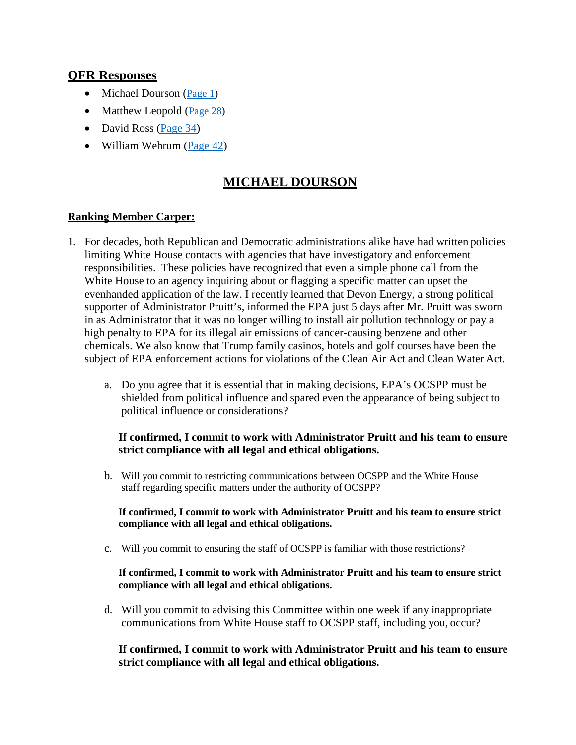## **QFR Responses**

- Michael Dourson [\(Page 1\)](#page-0-0)
- Matthew Leopold [\(Page 28\)](#page-27-0)
- David Ross [\(Page 34\)](#page-33-0)
- William Wehrum [\(Page 42\)](#page-41-0)

## <span id="page-0-0"></span>**MICHAEL DOURSON**

#### **Ranking Member Carper:**

- 1. For decades, both Republican and Democratic administrations alike have had written policies limiting White House contacts with agencies that have investigatory and enforcement responsibilities. These policies have recognized that even a simple phone call from the White House to an agency inquiring about or flagging a specific matter can upset the evenhanded application of the law. I recently learned that Devon Energy, a strong political supporter of Administrator Pruitt's, informed the EPA just 5 days after Mr. Pruitt was sworn in as Administrator that it was no longer willing to install air pollution technology or pay a high penalty to EPA for its illegal air emissions of cancer-causing benzene and other chemicals. We also know that Trump family casinos, hotels and golf courses have been the subject of EPA enforcement actions for violations of the Clean Air Act and Clean Water Act.
	- a. Do you agree that it is essential that in making decisions, EPA's OCSPP must be shielded from political influence and spared even the appearance of being subject to political influence or considerations?

#### **If confirmed, I commit to work with Administrator Pruitt and his team to ensure strict compliance with all legal and ethical obligations.**

b. Will you commit to restricting communications between OCSPP and the White House staff regarding specific matters under the authority of OCSPP?

**If confirmed, I commit to work with Administrator Pruitt and his team to ensure strict compliance with all legal and ethical obligations.**

c. Will you commit to ensuring the staff of OCSPP is familiar with those restrictions?

#### **If confirmed, I commit to work with Administrator Pruitt and his team to ensure strict compliance with all legal and ethical obligations.**

d. Will you commit to advising this Committee within one week if any inappropriate communications from White House staff to OCSPP staff, including you, occur?

**If confirmed, I commit to work with Administrator Pruitt and his team to ensure strict compliance with all legal and ethical obligations.**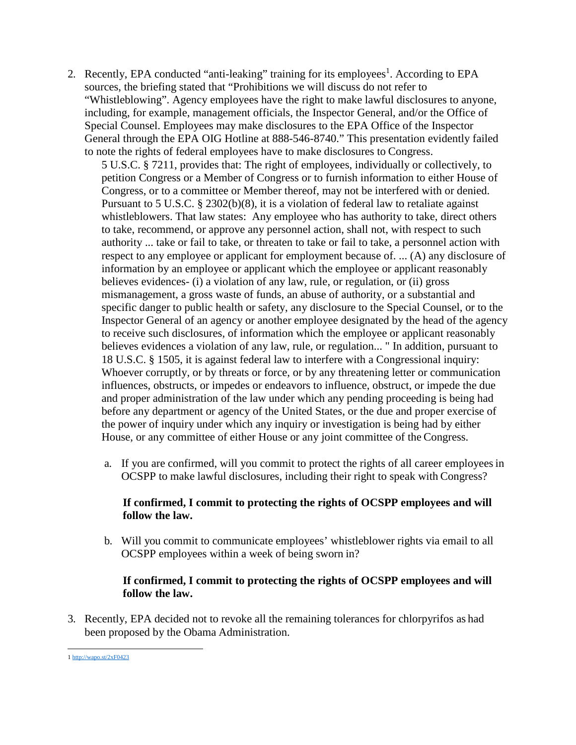- 2. Recently, EPA conducted "anti-leaking" training for its employees<sup>1</sup>. According to EPA sources, the briefing stated that "Prohibitions we will discuss do not refer to "Whistleblowing". Agency employees have the right to make lawful disclosures to anyone, including, for example, management officials, the Inspector General, and/or the Office of Special Counsel. Employees may make disclosures to the EPA Office of the Inspector General through the EPA OIG Hotline at 888-546-8740." This presentation evidently failed to note the rights of federal employees have to make disclosures to Congress.
	- 5 U.S.C. § 7211, provides that: The right of employees, individually or collectively, to petition Congress or a Member of Congress or to furnish information to either House of Congress, or to a committee or Member thereof, may not be interfered with or denied. Pursuant to 5 U.S.C. § 2302(b)(8), it is a violation of federal law to retaliate against whistleblowers. That law states: Any employee who has authority to take, direct others to take, recommend, or approve any personnel action, shall not, with respect to such authority ... take or fail to take, or threaten to take or fail to take, a personnel action with respect to any employee or applicant for employment because of. ... (A) any disclosure of information by an employee or applicant which the employee or applicant reasonably believes evidences- (i) a violation of any law, rule, or regulation, or (ii) gross mismanagement, a gross waste of funds, an abuse of authority, or a substantial and specific danger to public health or safety, any disclosure to the Special Counsel, or to the Inspector General of an agency or another employee designated by the head of the agency to receive such disclosures, of information which the employee or applicant reasonably believes evidences a violation of any law, rule, or regulation... " In addition, pursuant to 18 U.S.C. § 1505, it is against federal law to interfere with a Congressional inquiry: Whoever corruptly, or by threats or force, or by any threatening letter or communication influences, obstructs, or impedes or endeavors to influence, obstruct, or impede the due and proper administration of the law under which any pending proceeding is being had before any department or agency of the United States, or the due and proper exercise of the power of inquiry under which any inquiry or investigation is being had by either House, or any committee of either House or any joint committee of the Congress.
	- a. If you are confirmed, will you commit to protect the rights of all career employeesin OCSPP to make lawful disclosures, including their right to speak with Congress?

#### **If confirmed, I commit to protecting the rights of OCSPP employees and will follow the law.**

b. Will you commit to communicate employees' whistleblower rights via email to all OCSPP employees within a week of being sworn in?

#### **If confirmed, I commit to protecting the rights of OCSPP employees and will follow the law.**

3. Recently, EPA decided not to revoke all the remaining tolerances for chlorpyrifos as had been proposed by the Obama Administration.

[<sup>1</sup> http://wapo.st/2xF0423](http://wapo.st/2xF0423)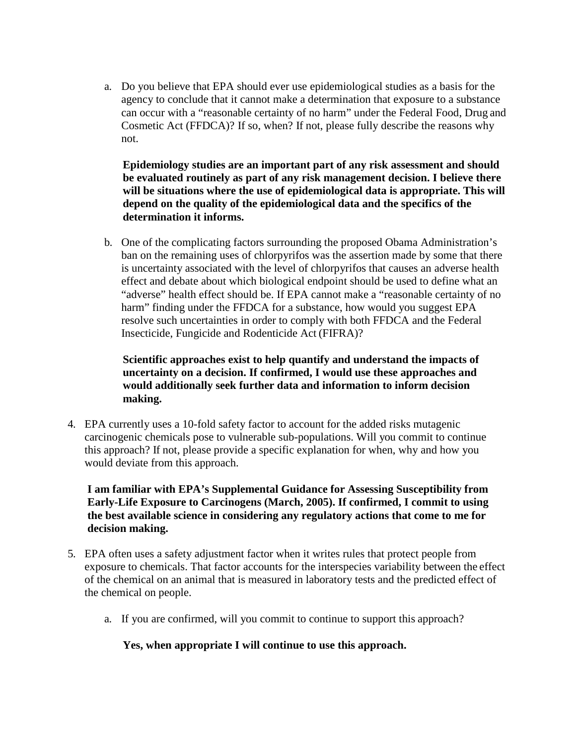a. Do you believe that EPA should ever use epidemiological studies as a basis for the agency to conclude that it cannot make a determination that exposure to a substance can occur with a "reasonable certainty of no harm" under the Federal Food, Drug and Cosmetic Act (FFDCA)? If so, when? If not, please fully describe the reasons why not.

**Epidemiology studies are an important part of any risk assessment and should be evaluated routinely as part of any risk management decision. I believe there will be situations where the use of epidemiological data is appropriate. This will depend on the quality of the epidemiological data and the specifics of the determination it informs.**

b. One of the complicating factors surrounding the proposed Obama Administration's ban on the remaining uses of chlorpyrifos was the assertion made by some that there is uncertainty associated with the level of chlorpyrifos that causes an adverse health effect and debate about which biological endpoint should be used to define what an "adverse" health effect should be. If EPA cannot make a "reasonable certainty of no harm" finding under the FFDCA for a substance, how would you suggest EPA resolve such uncertainties in order to comply with both FFDCA and the Federal Insecticide, Fungicide and Rodenticide Act (FIFRA)?

**Scientific approaches exist to help quantify and understand the impacts of uncertainty on a decision. If confirmed, I would use these approaches and would additionally seek further data and information to inform decision making.**

4. EPA currently uses a 10-fold safety factor to account for the added risks mutagenic carcinogenic chemicals pose to vulnerable sub-populations. Will you commit to continue this approach? If not, please provide a specific explanation for when, why and how you would deviate from this approach.

**I am familiar with EPA's Supplemental Guidance for Assessing Susceptibility from Early-Life Exposure to Carcinogens (March, 2005). If confirmed, I commit to using the best available science in considering any regulatory actions that come to me for decision making.**

- 5. EPA often uses a safety adjustment factor when it writes rules that protect people from exposure to chemicals. That factor accounts for the interspecies variability between the effect of the chemical on an animal that is measured in laboratory tests and the predicted effect of the chemical on people.
	- a. If you are confirmed, will you commit to continue to support this approach?

**Yes, when appropriate I will continue to use this approach.**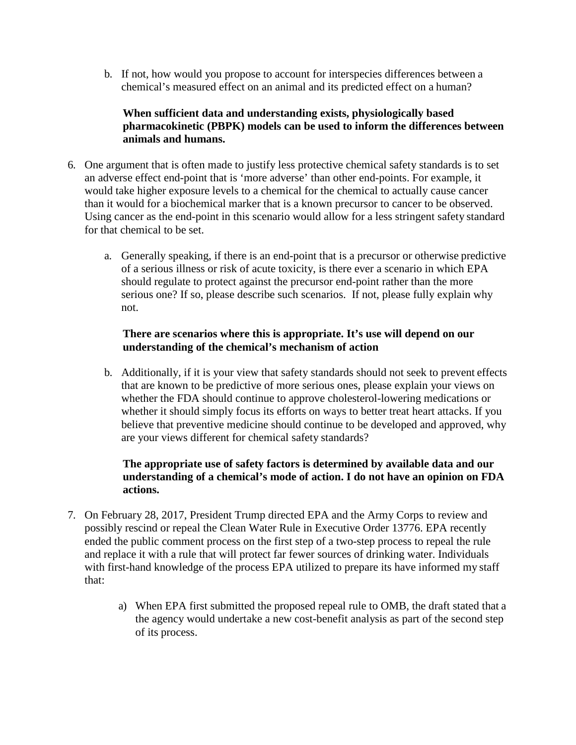b. If not, how would you propose to account for interspecies differences between a chemical's measured effect on an animal and its predicted effect on a human?

## **When sufficient data and understanding exists, physiologically based pharmacokinetic (PBPK) models can be used to inform the differences between animals and humans.**

- 6. One argument that is often made to justify less protective chemical safety standards is to set an adverse effect end-point that is 'more adverse' than other end-points. For example, it would take higher exposure levels to a chemical for the chemical to actually cause cancer than it would for a biochemical marker that is a known precursor to cancer to be observed. Using cancer as the end-point in this scenario would allow for a less stringent safety standard for that chemical to be set.
	- a. Generally speaking, if there is an end-point that is a precursor or otherwise predictive of a serious illness or risk of acute toxicity, is there ever a scenario in which EPA should regulate to protect against the precursor end-point rather than the more serious one? If so, please describe such scenarios. If not, please fully explain why not.

## **There are scenarios where this is appropriate. It's use will depend on our understanding of the chemical's mechanism of action**

b. Additionally, if it is your view that safety standards should not seek to prevent effects that are known to be predictive of more serious ones, please explain your views on whether the FDA should continue to approve cholesterol-lowering medications or whether it should simply focus its efforts on ways to better treat heart attacks. If you believe that preventive medicine should continue to be developed and approved, why are your views different for chemical safety standards?

## **The appropriate use of safety factors is determined by available data and our understanding of a chemical's mode of action. I do not have an opinion on FDA actions.**

- 7. On February 28, 2017, President Trump directed EPA and the Army Corps to review and possibly rescind or repeal the Clean Water Rule in Executive Order 13776. EPA recently ended the public comment process on the first step of a two-step process to repeal the rule and replace it with a rule that will protect far fewer sources of drinking water. Individuals with first-hand knowledge of the process EPA utilized to prepare its have informed my staff that:
	- a) When EPA first submitted the proposed repeal rule to OMB, the draft stated that a the agency would undertake a new cost-benefit analysis as part of the second step of its process.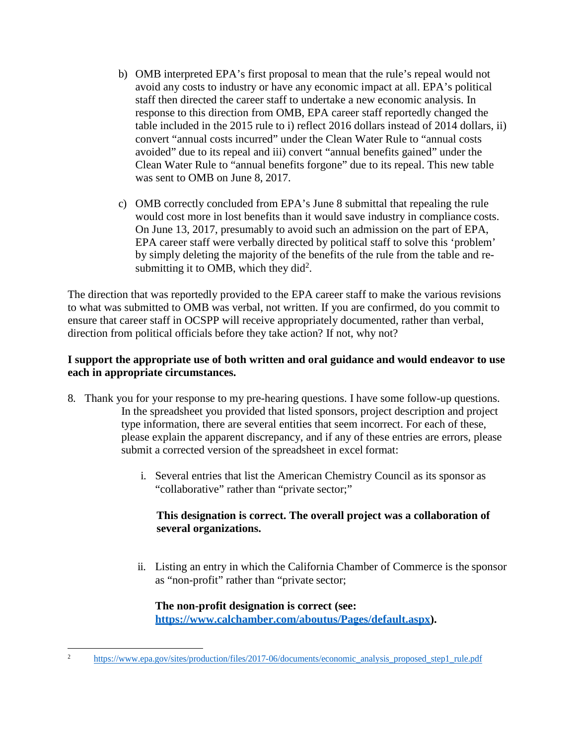- b) OMB interpreted EPA's first proposal to mean that the rule's repeal would not avoid any costs to industry or have any economic impact at all. EPA's political staff then directed the career staff to undertake a new economic analysis. In response to this direction from OMB, EPA career staff reportedly changed the table included in the 2015 rule to i) reflect 2016 dollars instead of 2014 dollars, ii) convert "annual costs incurred" under the Clean Water Rule to "annual costs avoided" due to its repeal and iii) convert "annual benefits gained" under the Clean Water Rule to "annual benefits forgone" due to its repeal. This new table was sent to OMB on June 8, 2017.
- c) OMB correctly concluded from EPA's June 8 submittal that repealing the rule would cost more in lost benefits than it would save industry in compliance costs. On June 13, 2017, presumably to avoid such an admission on the part of EPA, EPA career staff were verbally directed by political staff to solve this 'problem' by simply deleting the majority of the benefits of the rule from the table and resubmitting it to OMB, which they did<sup>2</sup>.

The direction that was reportedly provided to the EPA career staff to make the various revisions to what was submitted to OMB was verbal, not written. If you are confirmed, do you commit to ensure that career staff in OCSPP will receive appropriately documented, rather than verbal, direction from political officials before they take action? If not, why not?

## **I support the appropriate use of both written and oral guidance and would endeavor to use each in appropriate circumstances.**

- 8. Thank you for your response to my pre-hearing questions. I have some follow-up questions. In the spreadsheet you provided that listed sponsors, project description and project type information, there are several entities that seem incorrect. For each of these, please explain the apparent discrepancy, and if any of these entries are errors, please submit a corrected version of the spreadsheet in excel format:
	- i. Several entries that list the American Chemistry Council as its sponsor as "collaborative" rather than "private sector;"

## **This designation is correct. The overall project was a collaboration of several organizations.**

ii. Listing an entry in which the California Chamber of Commerce is the sponsor as "non-profit" rather than "private sector;

## **The non-profit designation is correct (see: [https://www.calchamber.com/aboutus/Pages/default.aspx\)](https://www.calchamber.com/aboutus/Pages/default.aspx).**

<sup>&</sup>lt;sup>2</sup> https://www.epa.gov/sites/production/files/2017-06/documents/economic analysis proposed step1 rule.pdf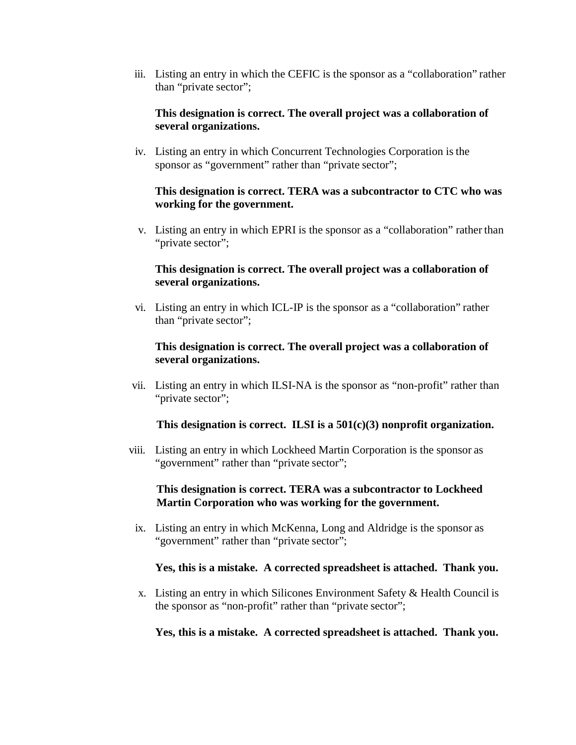iii. Listing an entry in which the CEFIC is the sponsor as a "collaboration" rather than "private sector";

#### **This designation is correct. The overall project was a collaboration of several organizations.**

iv. Listing an entry in which Concurrent Technologies Corporation is the sponsor as "government" rather than "private sector";

## **This designation is correct. TERA was a subcontractor to CTC who was working for the government.**

v. Listing an entry in which EPRI is the sponsor as a "collaboration" rather than "private sector":

#### **This designation is correct. The overall project was a collaboration of several organizations.**

vi. Listing an entry in which ICL-IP is the sponsor as a "collaboration" rather than "private sector";

#### **This designation is correct. The overall project was a collaboration of several organizations.**

vii. Listing an entry in which ILSI-NA is the sponsor as "non-profit" rather than "private sector";

## **This designation is correct. ILSI is a 501(c)(3) nonprofit organization.**

viii. Listing an entry in which Lockheed Martin Corporation is the sponsor as "government" rather than "private sector";

## **This designation is correct. TERA was a subcontractor to Lockheed Martin Corporation who was working for the government.**

ix. Listing an entry in which McKenna, Long and Aldridge is the sponsor as "government" rather than "private sector";

## **Yes, this is a mistake. A corrected spreadsheet is attached. Thank you.**

x. Listing an entry in which Silicones Environment Safety & Health Council is the sponsor as "non-profit" rather than "private sector";

**Yes, this is a mistake. A corrected spreadsheet is attached. Thank you.**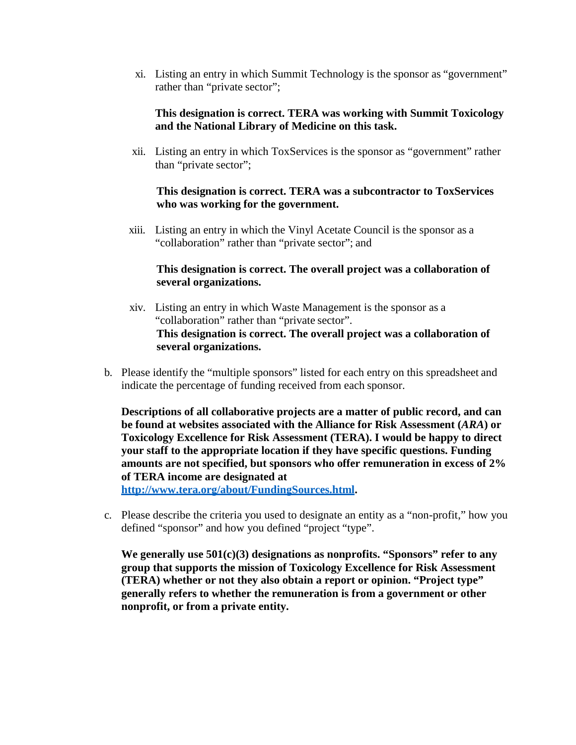xi. Listing an entry in which Summit Technology is the sponsor as "government" rather than "private sector";

#### **This designation is correct. TERA was working with Summit Toxicology and the National Library of Medicine on this task.**

xii. Listing an entry in which ToxServices is the sponsor as "government" rather than "private sector";

#### **This designation is correct. TERA was a subcontractor to ToxServices who was working for the government.**

xiii. Listing an entry in which the Vinyl Acetate Council is the sponsor as a "collaboration" rather than "private sector"; and

#### **This designation is correct. The overall project was a collaboration of several organizations.**

- xiv. Listing an entry in which Waste Management is the sponsor as a "collaboration" rather than "private sector". **This designation is correct. The overall project was a collaboration of several organizations.**
- b. Please identify the "multiple sponsors" listed for each entry on this spreadsheet and indicate the percentage of funding received from each sponsor.

**Descriptions of all collaborative projects are a matter of public record, and can be found at websites associated with the Alliance for Risk Assessment (***ARA***) or Toxicology Excellence for Risk Assessment (TERA). I would be happy to direct your staff to the appropriate location if they have specific questions. Funding amounts are not specified, but sponsors who offer remuneration in excess of 2% of TERA income are designated at** 

**[http://www.tera.org/about/FundingSources.html.](http://www.tera.org/about/FundingSources.html)**

c. Please describe the criteria you used to designate an entity as a "non-profit," how you defined "sponsor" and how you defined "project "type".

**We generally use 501(c)(3) designations as nonprofits. "Sponsors" refer to any group that supports the mission of Toxicology Excellence for Risk Assessment (TERA) whether or not they also obtain a report or opinion. "Project type" generally refers to whether the remuneration is from a government or other nonprofit, or from a private entity.**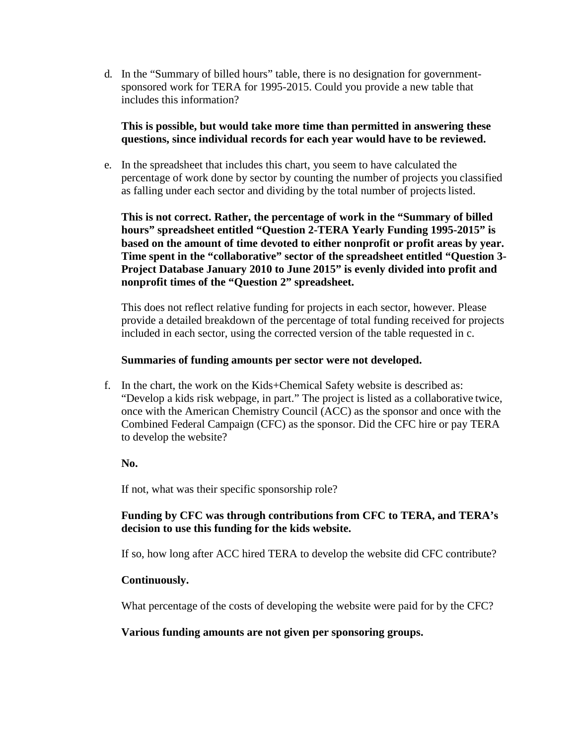d. In the "Summary of billed hours" table, there is no designation for governmentsponsored work for TERA for 1995-2015. Could you provide a new table that includes this information?

## **This is possible, but would take more time than permitted in answering these questions, since individual records for each year would have to be reviewed.**

e. In the spreadsheet that includes this chart, you seem to have calculated the percentage of work done by sector by counting the number of projects you classified as falling under each sector and dividing by the total number of projects listed.

**This is not correct. Rather, the percentage of work in the "Summary of billed hours" spreadsheet entitled "Question 2-TERA Yearly Funding 1995-2015" is based on the amount of time devoted to either nonprofit or profit areas by year. Time spent in the "collaborative" sector of the spreadsheet entitled "Question 3- Project Database January 2010 to June 2015" is evenly divided into profit and nonprofit times of the "Question 2" spreadsheet.**

This does not reflect relative funding for projects in each sector, however. Please provide a detailed breakdown of the percentage of total funding received for projects included in each sector, using the corrected version of the table requested in c.

#### **Summaries of funding amounts per sector were not developed.**

f. In the chart, the work on the Kids+Chemical Safety website is described as: "Develop a kids risk webpage, in part." The project is listed as a collaborative twice, once with the American Chemistry Council (ACC) as the sponsor and once with the Combined Federal Campaign (CFC) as the sponsor. Did the CFC hire or pay TERA to develop the website?

**No.**

If not, what was their specific sponsorship role?

## **Funding by CFC was through contributions from CFC to TERA, and TERA's decision to use this funding for the kids website.**

If so, how long after ACC hired TERA to develop the website did CFC contribute?

## **Continuously.**

What percentage of the costs of developing the website were paid for by the CFC?

## **Various funding amounts are not given per sponsoring groups.**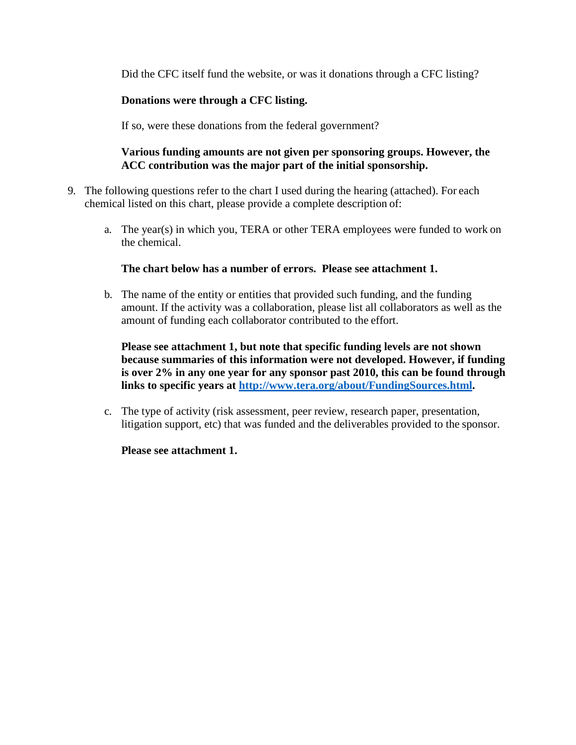Did the CFC itself fund the website, or was it donations through a CFC listing?

## **Donations were through a CFC listing.**

If so, were these donations from the federal government?

## **Various funding amounts are not given per sponsoring groups. However, the ACC contribution was the major part of the initial sponsorship.**

- 9. The following questions refer to the chart I used during the hearing (attached). For each chemical listed on this chart, please provide a complete description of:
	- a. The year(s) in which you, TERA or other TERA employees were funded to work on the chemical.

#### **The chart below has a number of errors. Please see attachment 1.**

b. The name of the entity or entities that provided such funding, and the funding amount. If the activity was a collaboration, please list all collaborators as well as the amount of funding each collaborator contributed to the effort.

**Please see attachment 1, but note that specific funding levels are not shown because summaries of this information were not developed. However, if funding is over 2% in any one year for any sponsor past 2010, this can be found through links to specific years at [http://www.tera.org/about/FundingSources.html.](http://www.tera.org/about/FundingSources.html)**

c. The type of activity (risk assessment, peer review, research paper, presentation, litigation support, etc) that was funded and the deliverables provided to the sponsor.

**Please see attachment 1.**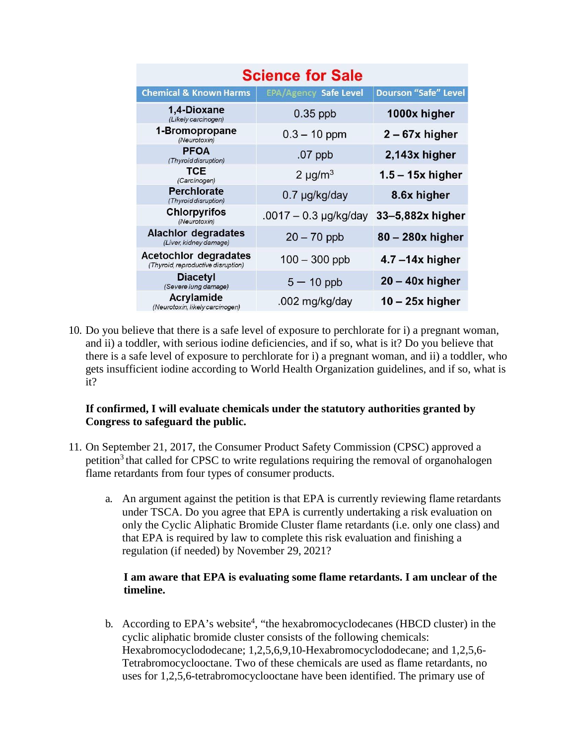| <b>Science for Sale</b>                                            |                              |                             |  |
|--------------------------------------------------------------------|------------------------------|-----------------------------|--|
| <b>Chemical &amp; Known Harms</b>                                  | <b>EPA/Agency Safe Level</b> | <b>Dourson "Safe" Level</b> |  |
| 1,4-Dioxane<br>(Likely carcinogen)                                 | $0.35$ ppb                   | 1000x higher                |  |
| 1-Bromopropane<br>(Neurotoxin)                                     | $0.3 - 10$ ppm               | $2 - 67x$ higher            |  |
| <b>PFOA</b><br>(Thyroid disruption)                                | $.07$ ppb                    | 2,143x higher               |  |
| <b>TCE</b><br>(Carcinogen)                                         | $2 \mu g/m^3$                | $1.5 - 15x$ higher          |  |
| <b>Perchlorate</b><br>(Thyroid disruption)                         | 0.7 µg/kg/day                | 8.6x higher                 |  |
| <b>Chlorpyrifos</b><br>(Neurotoxin)                                | $.0017 - 0.3$ µg/kg/day      | 33-5,882x higher            |  |
| <b>Alachlor degradates</b><br>(Liver, kidney damage)               | $20 - 70$ ppb                | 80 - 280x higher            |  |
| <b>Acetochlor degradates</b><br>(Thyroid, reproductive disruption) | $100 - 300$ ppb              | $4.7 - 14x$ higher          |  |
| <b>Diacetyl</b><br>(Severe lung damage)                            | $5 - 10$ ppb                 | $20 - 40x$ higher           |  |
| Acrylamide<br>(Neurotoxin, likely carcinogen)                      | .002 mg/kg/day               | $10 - 25x$ higher           |  |

10. Do you believe that there is a safe level of exposure to perchlorate for i) a pregnant woman, and ii) a toddler, with serious iodine deficiencies, and if so, what is it? Do you believe that there is a safe level of exposure to perchlorate for i) a pregnant woman, and ii) a toddler, who gets insufficient iodine according to World Health Organization guidelines, and if so, what is it?

## **If confirmed, I will evaluate chemicals under the statutory authorities granted by Congress to safeguard the public.**

- 11. On September 21, 2017, the Consumer Product Safety Commission (CPSC) approved a petition<sup>3</sup> that called for CPSC to write regulations requiring the removal of organohalogen flame retardants from four types of consumer products.
	- a. An argument against the petition is that EPA is currently reviewing flame retardants under TSCA. Do you agree that EPA is currently undertaking a risk evaluation on only the Cyclic Aliphatic Bromide Cluster flame retardants (i.e. only one class) and that EPA is required by law to complete this risk evaluation and finishing a regulation (if needed) by November 29, 2021?

#### **I am aware that EPA is evaluating some flame retardants. I am unclear of the timeline.**

b. According to EPA's website<sup>4</sup>, "the hexabromocyclodecanes (HBCD cluster) in the cyclic aliphatic bromide cluster consists of the following chemicals: Hexabromocyclododecane; 1,2,5,6,9,10-Hexabromocyclododecane; and 1,2,5,6- Tetrabromocyclooctane. Two of these chemicals are used as flame retardants, no uses for 1,2,5,6-tetrabromocyclooctane have been identified. The primary use of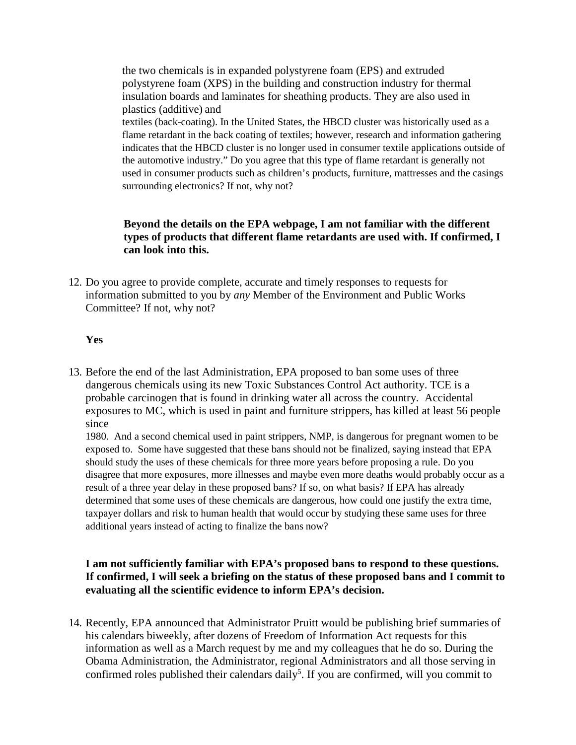the two chemicals is in expanded polystyrene foam (EPS) and extruded polystyrene foam (XPS) in the building and construction industry for thermal insulation boards and laminates for sheathing products. They are also used in plastics (additive) and textiles (back-coating). In the United States, the HBCD cluster was historically used as a flame retardant in the back coating of textiles; however, research and information gathering indicates that the HBCD cluster is no longer used in consumer textile applications outside of the automotive industry." Do you agree that this type of flame retardant is generally not used in consumer products such as children's products, furniture, mattresses and the casings surrounding electronics? If not, why not?

#### **Beyond the details on the EPA webpage, I am not familiar with the different types of products that different flame retardants are used with. If confirmed, I can look into this.**

12. Do you agree to provide complete, accurate and timely responses to requests for information submitted to you by *any* Member of the Environment and Public Works Committee? If not, why not?

#### **Yes**

13. Before the end of the last Administration, EPA proposed to ban some uses of three dangerous chemicals using its new Toxic Substances Control Act authority. TCE is a probable carcinogen that is found in drinking water all across the country. Accidental exposures to MC, which is used in paint and furniture strippers, has killed at least 56 people since

1980. And a second chemical used in paint strippers, NMP, is dangerous for pregnant women to be exposed to. Some have suggested that these bans should not be finalized, saying instead that EPA should study the uses of these chemicals for three more years before proposing a rule. Do you disagree that more exposures, more illnesses and maybe even more deaths would probably occur as a result of a three year delay in these proposed bans? If so, on what basis? If EPA has already determined that some uses of these chemicals are dangerous, how could one justify the extra time, taxpayer dollars and risk to human health that would occur by studying these same uses for three additional years instead of acting to finalize the bans now?

## **I am not sufficiently familiar with EPA's proposed bans to respond to these questions. If confirmed, I will seek a briefing on the status of these proposed bans and I commit to evaluating all the scientific evidence to inform EPA's decision.**

14. Recently, EPA announced that Administrator Pruitt would be publishing brief summaries of his calendars biweekly, after dozens of Freedom of Information Act requests for this information as well as a March request by me and my colleagues that he do so. During the Obama Administration, the Administrator, regional Administrators and all those serving in confirmed roles published their calendars daily<sup>5</sup>. If you are confirmed, will you commit to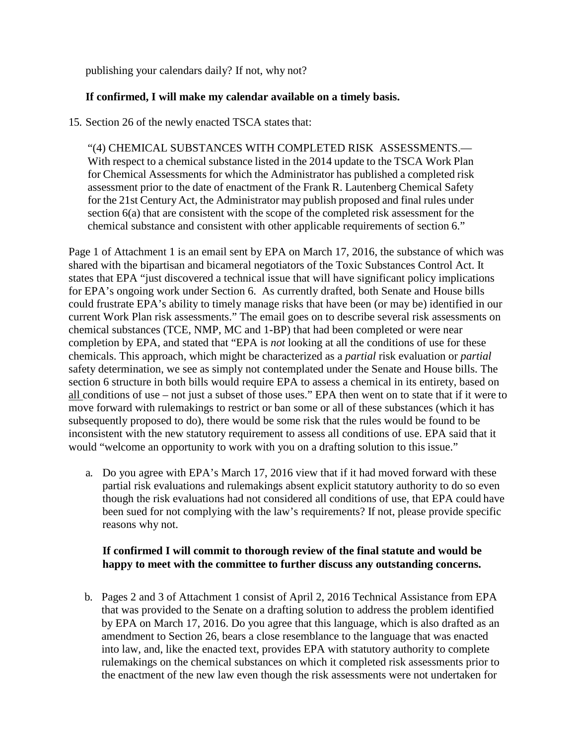publishing your calendars daily? If not, why not?

## **If confirmed, I will make my calendar available on a timely basis.**

15. Section 26 of the newly enacted TSCA states that:

"(4) CHEMICAL SUBSTANCES WITH COMPLETED RISK ASSESSMENTS.— With respect to a chemical substance listed in the 2014 update to the TSCA Work Plan for Chemical Assessments for which the Administrator has published a completed risk assessment prior to the date of enactment of the Frank R. Lautenberg Chemical Safety for the 21st Century Act, the Administrator may publish proposed and final rules under section 6(a) that are consistent with the scope of the completed risk assessment for the chemical substance and consistent with other applicable requirements of section 6."

Page 1 of Attachment 1 is an email sent by EPA on March 17, 2016, the substance of which was shared with the bipartisan and bicameral negotiators of the Toxic Substances Control Act. It states that EPA "just discovered a technical issue that will have significant policy implications for EPA's ongoing work under Section 6. As currently drafted, both Senate and House bills could frustrate EPA's ability to timely manage risks that have been (or may be) identified in our current Work Plan risk assessments." The email goes on to describe several risk assessments on chemical substances (TCE, NMP, MC and 1-BP) that had been completed or were near completion by EPA, and stated that "EPA is *not* looking at all the conditions of use for these chemicals. This approach, which might be characterized as a *partial* risk evaluation or *partial*  safety determination, we see as simply not contemplated under the Senate and House bills. The section 6 structure in both bills would require EPA to assess a chemical in its entirety, based on all conditions of use – not just a subset of those uses." EPA then went on to state that if it were to move forward with rulemakings to restrict or ban some or all of these substances (which it has subsequently proposed to do), there would be some risk that the rules would be found to be inconsistent with the new statutory requirement to assess all conditions of use. EPA said that it would "welcome an opportunity to work with you on a drafting solution to this issue."

a. Do you agree with EPA's March 17, 2016 view that if it had moved forward with these partial risk evaluations and rulemakings absent explicit statutory authority to do so even though the risk evaluations had not considered all conditions of use, that EPA could have been sued for not complying with the law's requirements? If not, please provide specific reasons why not.

## **If confirmed I will commit to thorough review of the final statute and would be happy to meet with the committee to further discuss any outstanding concerns.**

b. Pages 2 and 3 of Attachment 1 consist of April 2, 2016 Technical Assistance from EPA that was provided to the Senate on a drafting solution to address the problem identified by EPA on March 17, 2016. Do you agree that this language, which is also drafted as an amendment to Section 26, bears a close resemblance to the language that was enacted into law, and, like the enacted text, provides EPA with statutory authority to complete rulemakings on the chemical substances on which it completed risk assessments prior to the enactment of the new law even though the risk assessments were not undertaken for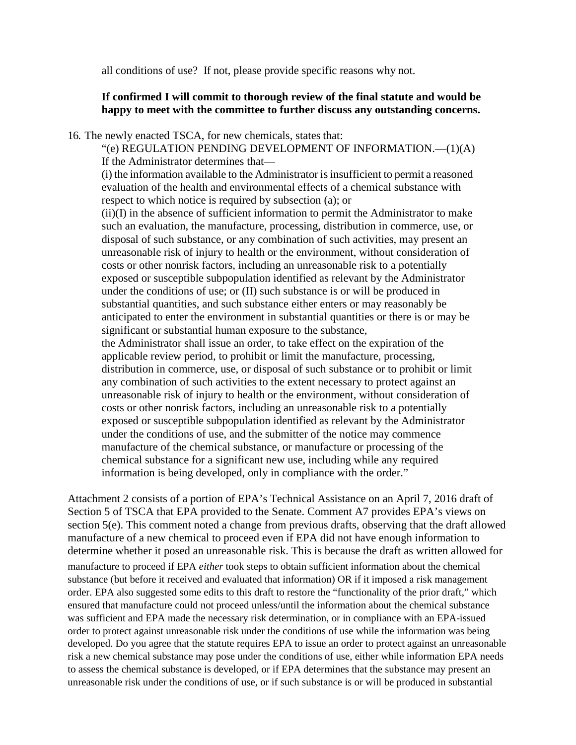all conditions of use? If not, please provide specific reasons why not.

#### **If confirmed I will commit to thorough review of the final statute and would be happy to meet with the committee to further discuss any outstanding concerns.**

16. The newly enacted TSCA, for new chemicals, states that:

"(e) REGULATION PENDING DEVELOPMENT OF INFORMATION.—(1)(A) If the Administrator determines that—

(i) the information available to the Administrator isinsufficient to permit a reasoned evaluation of the health and environmental effects of a chemical substance with respect to which notice is required by subsection (a); or

(ii)(I) in the absence of sufficient information to permit the Administrator to make such an evaluation, the manufacture, processing, distribution in commerce, use, or disposal of such substance, or any combination of such activities, may present an unreasonable risk of injury to health or the environment, without consideration of costs or other nonrisk factors, including an unreasonable risk to a potentially exposed or susceptible subpopulation identified as relevant by the Administrator under the conditions of use; or (II) such substance is or will be produced in substantial quantities, and such substance either enters or may reasonably be anticipated to enter the environment in substantial quantities or there is or may be significant or substantial human exposure to the substance,

the Administrator shall issue an order, to take effect on the expiration of the applicable review period, to prohibit or limit the manufacture, processing, distribution in commerce, use, or disposal of such substance or to prohibit or limit any combination of such activities to the extent necessary to protect against an unreasonable risk of injury to health or the environment, without consideration of costs or other nonrisk factors, including an unreasonable risk to a potentially exposed or susceptible subpopulation identified as relevant by the Administrator under the conditions of use, and the submitter of the notice may commence manufacture of the chemical substance, or manufacture or processing of the chemical substance for a significant new use, including while any required information is being developed, only in compliance with the order."

Attachment 2 consists of a portion of EPA's Technical Assistance on an April 7, 2016 draft of Section 5 of TSCA that EPA provided to the Senate. Comment A7 provides EPA's views on section 5(e). This comment noted a change from previous drafts, observing that the draft allowed manufacture of a new chemical to proceed even if EPA did not have enough information to determine whether it posed an unreasonable risk. This is because the draft as written allowed for manufacture to proceed if EPA *either* took steps to obtain sufficient information about the chemical substance (but before it received and evaluated that information) OR if it imposed a risk management order. EPA also suggested some edits to this draft to restore the "functionality of the prior draft," which ensured that manufacture could not proceed unless/until the information about the chemical substance was sufficient and EPA made the necessary risk determination, or in compliance with an EPA-issued order to protect against unreasonable risk under the conditions of use while the information was being developed. Do you agree that the statute requires EPA to issue an order to protect against an unreasonable risk a new chemical substance may pose under the conditions of use, either while information EPA needs to assess the chemical substance is developed, or if EPA determines that the substance may present an unreasonable risk under the conditions of use, or if such substance is or will be produced in substantial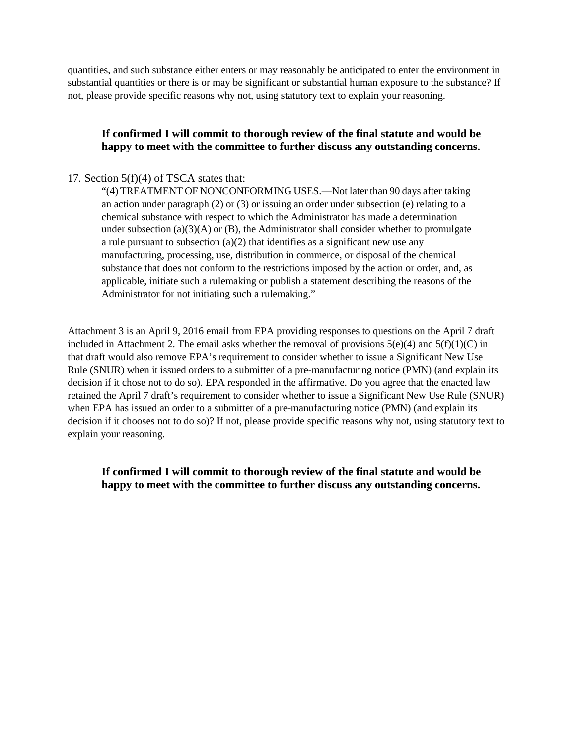quantities, and such substance either enters or may reasonably be anticipated to enter the environment in substantial quantities or there is or may be significant or substantial human exposure to the substance? If not, please provide specific reasons why not, using statutory text to explain your reasoning.

#### **If confirmed I will commit to thorough review of the final statute and would be happy to meet with the committee to further discuss any outstanding concerns.**

#### 17. Section 5(f)(4) of TSCA states that:

"(4) TREATMENT OF NONCONFORMING USES.—Not later than 90 days after taking an action under paragraph  $(2)$  or  $(3)$  or issuing an order under subsection (e) relating to a chemical substance with respect to which the Administrator has made a determination under subsection (a)(3)(A) or (B), the Administrator shall consider whether to promulgate a rule pursuant to subsection  $(a)(2)$  that identifies as a significant new use any manufacturing, processing, use, distribution in commerce, or disposal of the chemical substance that does not conform to the restrictions imposed by the action or order, and, as applicable, initiate such a rulemaking or publish a statement describing the reasons of the Administrator for not initiating such a rulemaking."

Attachment 3 is an April 9, 2016 email from EPA providing responses to questions on the April 7 draft included in Attachment 2. The email asks whether the removal of provisions  $5(e)(4)$  and  $5(f)(1)(C)$  in that draft would also remove EPA's requirement to consider whether to issue a Significant New Use Rule (SNUR) when it issued orders to a submitter of a pre-manufacturing notice (PMN) (and explain its decision if it chose not to do so). EPA responded in the affirmative. Do you agree that the enacted law retained the April 7 draft's requirement to consider whether to issue a Significant New Use Rule (SNUR) when EPA has issued an order to a submitter of a pre-manufacturing notice (PMN) (and explain its decision if it chooses not to do so)? If not, please provide specific reasons why not, using statutory text to explain your reasoning.

#### **If confirmed I will commit to thorough review of the final statute and would be happy to meet with the committee to further discuss any outstanding concerns.**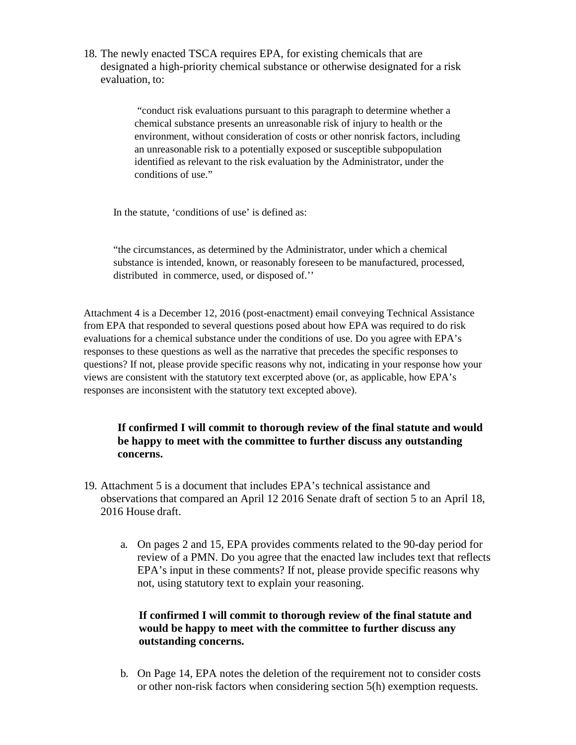18. The newly enacted TSCA requires EPA, for existing chemicals that are designated a high-priority chemical substance or otherwise designated for a risk evaluation, to:

> "conduct risk evaluations pursuant to this paragraph to determine whether a chemical substance presents an unreasonable risk of injury to health or the environment, without consideration of costs or other nonrisk factors, including an unreasonable risk to a potentially exposed or susceptible subpopulation identified as relevant to the risk evaluation by the Administrator, under the conditions of use."

In the statute, 'conditions of use' is defined as:

"the circumstances, as determined by the Administrator, under which a chemical substance is intended, known, or reasonably foreseen to be manufactured, processed, distributed in commerce, used, or disposed of.''

Attachment 4 is a December 12, 2016 (post-enactment) email conveying Technical Assistance from EPA that responded to several questions posed about how EPA was required to do risk evaluations for a chemical substance under the conditions of use. Do you agree with EPA's responses to these questions as well as the narrative that precedes the specific responses to questions? If not, please provide specific reasons why not, indicating in your response how your views are consistent with the statutory text excerpted above (or, as applicable, how EPA's responses are inconsistent with the statutory text excepted above).

### **If confirmed I will commit to thorough review of the final statute and would be happy to meet with the committee to further discuss any outstanding concerns.**

- 19. Attachment 5 is a document that includes EPA's technical assistance and observations that compared an April 12 2016 Senate draft of section 5 to an April 18, 2016 House draft.
	- a. On pages 2 and 15, EPA provides comments related to the 90-day period for review of a PMN. Do you agree that the enacted law includes text that reflects EPA's input in these comments? If not, please provide specific reasons why not, using statutory text to explain your reasoning.

## **If confirmed I will commit to thorough review of the final statute and would be happy to meet with the committee to further discuss any outstanding concerns.**

b. On Page 14, EPA notes the deletion of the requirement not to consider costs or other non-risk factors when considering section 5(h) exemption requests.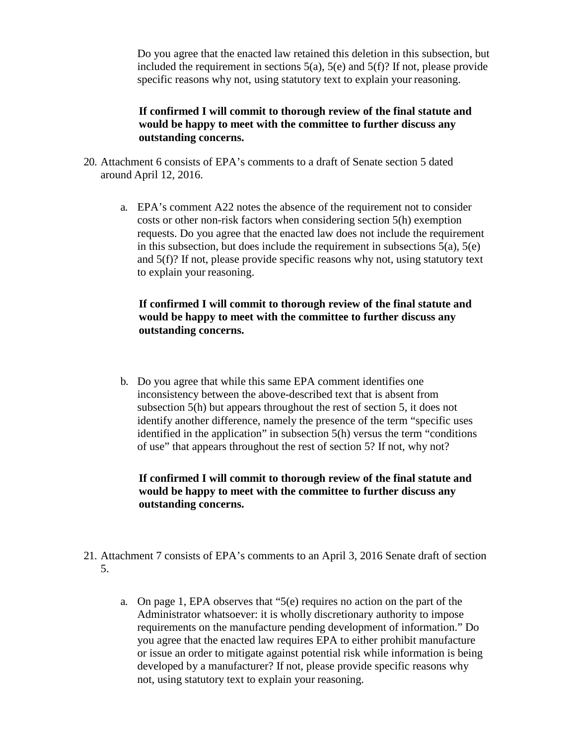Do you agree that the enacted law retained this deletion in this subsection, but included the requirement in sections  $5(a)$ ,  $5(e)$  and  $5(f)$ ? If not, please provide specific reasons why not, using statutory text to explain your reasoning.

## **If confirmed I will commit to thorough review of the final statute and would be happy to meet with the committee to further discuss any outstanding concerns.**

- 20. Attachment 6 consists of EPA's comments to a draft of Senate section 5 dated around April 12, 2016.
	- a. EPA's comment A22 notes the absence of the requirement not to consider costs or other non-risk factors when considering section 5(h) exemption requests. Do you agree that the enacted law does not include the requirement in this subsection, but does include the requirement in subsections  $5(a)$ ,  $5(e)$ and 5(f)? If not, please provide specific reasons why not, using statutory text to explain your reasoning.

## **If confirmed I will commit to thorough review of the final statute and would be happy to meet with the committee to further discuss any outstanding concerns.**

b. Do you agree that while this same EPA comment identifies one inconsistency between the above-described text that is absent from subsection 5(h) but appears throughout the rest of section 5, it does not identify another difference, namely the presence of the term "specific uses identified in the application" in subsection 5(h) versus the term "conditions of use" that appears throughout the rest of section 5? If not, why not?

## **If confirmed I will commit to thorough review of the final statute and would be happy to meet with the committee to further discuss any outstanding concerns.**

- 21. Attachment 7 consists of EPA's comments to an April 3, 2016 Senate draft of section 5.
	- a. On page 1, EPA observes that "5(e) requires no action on the part of the Administrator whatsoever: it is wholly discretionary authority to impose requirements on the manufacture pending development of information." Do you agree that the enacted law requires EPA to either prohibit manufacture or issue an order to mitigate against potential risk while information is being developed by a manufacturer? If not, please provide specific reasons why not, using statutory text to explain your reasoning.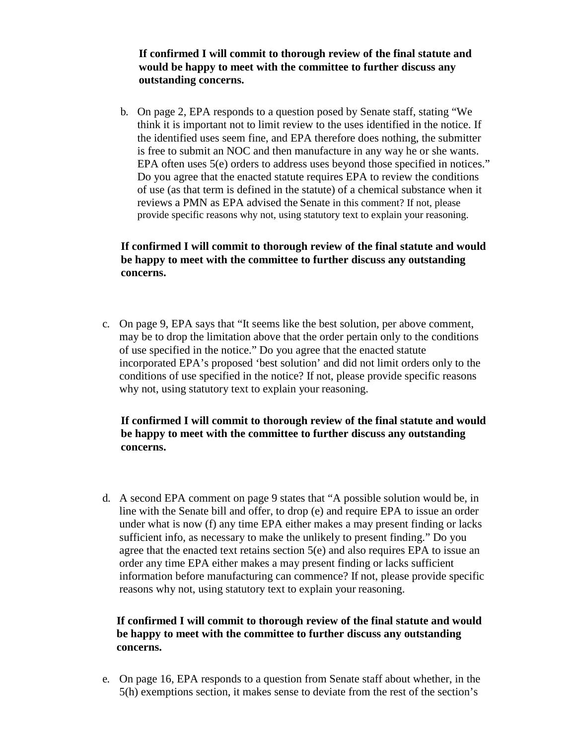#### **If confirmed I will commit to thorough review of the final statute and would be happy to meet with the committee to further discuss any outstanding concerns.**

b. On page 2, EPA responds to a question posed by Senate staff, stating "We think it is important not to limit review to the uses identified in the notice. If the identified uses seem fine, and EPA therefore does nothing, the submitter is free to submit an NOC and then manufacture in any way he or she wants. EPA often uses 5(e) orders to address uses beyond those specified in notices." Do you agree that the enacted statute requires EPA to review the conditions of use (as that term is defined in the statute) of a chemical substance when it reviews a PMN as EPA advised the Senate in this comment? If not, please provide specific reasons why not, using statutory text to explain your reasoning.

#### **If confirmed I will commit to thorough review of the final statute and would be happy to meet with the committee to further discuss any outstanding concerns.**

c. On page 9, EPA says that "It seems like the best solution, per above comment, may be to drop the limitation above that the order pertain only to the conditions of use specified in the notice." Do you agree that the enacted statute incorporated EPA's proposed 'best solution' and did not limit orders only to the conditions of use specified in the notice? If not, please provide specific reasons why not, using statutory text to explain your reasoning.

### **If confirmed I will commit to thorough review of the final statute and would be happy to meet with the committee to further discuss any outstanding concerns.**

d. A second EPA comment on page 9 states that "A possible solution would be, in line with the Senate bill and offer, to drop (e) and require EPA to issue an order under what is now (f) any time EPA either makes a may present finding or lacks sufficient info, as necessary to make the unlikely to present finding." Do you agree that the enacted text retains section 5(e) and also requires EPA to issue an order any time EPA either makes a may present finding or lacks sufficient information before manufacturing can commence? If not, please provide specific reasons why not, using statutory text to explain your reasoning.

### **If confirmed I will commit to thorough review of the final statute and would be happy to meet with the committee to further discuss any outstanding concerns.**

e. On page 16, EPA responds to a question from Senate staff about whether, in the 5(h) exemptions section, it makes sense to deviate from the rest of the section's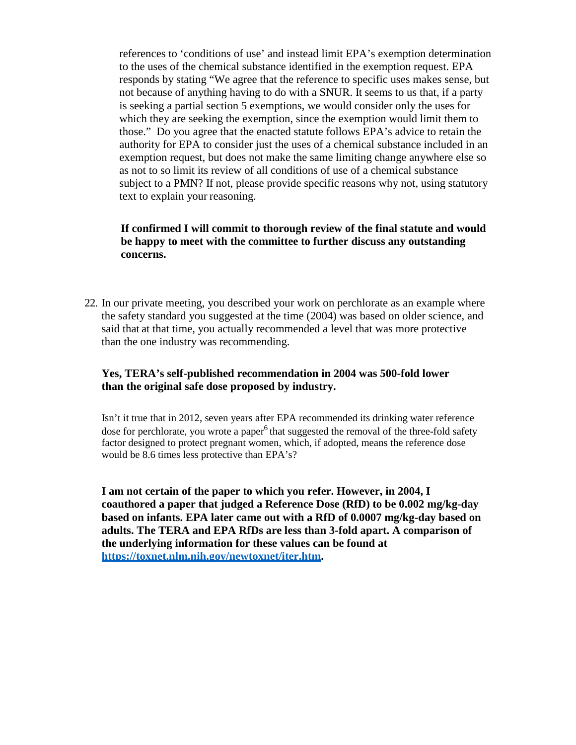references to 'conditions of use' and instead limit EPA's exemption determination to the uses of the chemical substance identified in the exemption request. EPA responds by stating "We agree that the reference to specific uses makes sense, but not because of anything having to do with a SNUR. It seems to us that, if a party is seeking a partial section 5 exemptions, we would consider only the uses for which they are seeking the exemption, since the exemption would limit them to those." Do you agree that the enacted statute follows EPA's advice to retain the authority for EPA to consider just the uses of a chemical substance included in an exemption request, but does not make the same limiting change anywhere else so as not to so limit its review of all conditions of use of a chemical substance subject to a PMN? If not, please provide specific reasons why not, using statutory text to explain your reasoning.

#### **If confirmed I will commit to thorough review of the final statute and would be happy to meet with the committee to further discuss any outstanding concerns.**

22. In our private meeting, you described your work on perchlorate as an example where the safety standard you suggested at the time (2004) was based on older science, and said that at that time, you actually recommended a level that was more protective than the one industry was recommending.

#### **Yes, TERA's self-published recommendation in 2004 was 500-fold lower than the original safe dose proposed by industry.**

Isn't it true that in 2012, seven years after EPA recommended its drinking water reference dose for perchlorate, you wrote a paper<sup>6</sup> that suggested the removal of the three-fold safety factor designed to protect pregnant women, which, if adopted, means the reference dose would be 8.6 times less protective than EPA's?

**I am not certain of the paper to which you refer. However, in 2004, I coauthored a paper that judged a Reference Dose (RfD) to be 0.002 mg/kg-day based on infants. EPA later came out with a RfD of 0.0007 mg/kg-day based on adults. The TERA and EPA RfDs are less than 3-fold apart. A comparison of the underlying information for these values can be found at [https://toxnet.nlm.nih.gov/newtoxnet/iter.htm.](https://toxnet.nlm.nih.gov/newtoxnet/iter.htm)**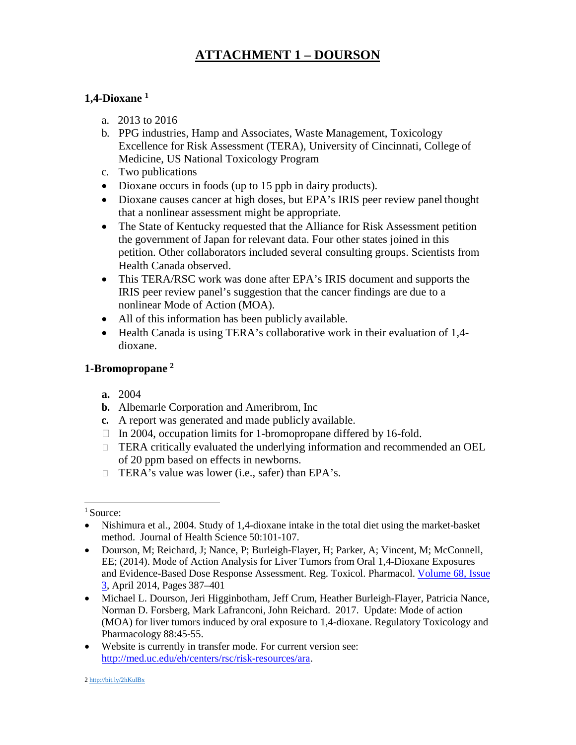## **ATTACHMENT 1 – DOURSON**

## **1,4-Dioxane 1**

- a. 2013 to 2016
- b. PPG industries, Hamp and Associates, Waste Management, Toxicology Excellence for Risk Assessment (TERA), University of Cincinnati, College of Medicine, US National Toxicology Program
- c. Two publications
- Dioxane occurs in foods (up to 15 ppb in dairy products).
- Dioxane causes cancer at high doses, but EPA's IRIS peer review panel thought that a nonlinear assessment might be appropriate.
- The State of Kentucky requested that the Alliance for Risk Assessment petition the government of Japan for relevant data. Four other states joined in this petition. Other collaborators included several consulting groups. Scientists from Health Canada observed.
- This TERA/RSC work was done after EPA's IRIS document and supports the IRIS peer review panel's suggestion that the cancer findings are due to a nonlinear Mode of Action (MOA).
- All of this information has been publicly available.
- Health Canada is using TERA's collaborative work in their evaluation of 1,4 dioxane.

## **1-Bromopropane <sup>2</sup>**

- **a.** 2004
- **b.** Albemarle Corporation and Ameribrom, Inc
- **c.** A report was generated and made publicly available.
- $\Box$  In 2004, occupation limits for 1-bromopropane differed by 16-fold.
- TERA critically evaluated the underlying information and recommended an OEL of 20 ppm based on effects in newborns.
- $\Box$  TERA's value was lower (i.e., safer) than EPA's.

• Website is currently in transfer mode. For current version see: [http://med.uc.edu/eh/centers/rsc/risk-resources/ara.](http://med.uc.edu/eh/centers/rsc/risk-resources/ara)

<sup>&</sup>lt;sup>1</sup> Source:

<sup>•</sup> Nishimura et al., 2004. Study of 1,4-dioxane intake in the total diet using the market-basket method. Journal of Health Science 50:101-107.

<sup>•</sup> Dourson, M; Reichard, J; Nance, P; Burleigh-Flayer, H; Parker, A; Vincent, M; McConnell, EE; (2014). Mode of Action Analysis for Liver Tumors from Oral 1,4-Dioxane Exposures and Evidence-Based Dose Response Assessment. Reg. Toxicol. Pharmacol. [Volume 68, Issue](http://www.sciencedirect.com/science/journal/02732300/68/3)  [3,](http://www.sciencedirect.com/science/journal/02732300/68/3) April 2014, Pages 387–401

<sup>•</sup> Michael L. Dourson, Jeri Higginbotham, Jeff Crum, Heather Burleigh-Flayer, Patricia Nance, Norman D. Forsberg, Mark Lafranconi, John Reichard. 2017. Update: Mode of action (MOA) for liver tumors induced by oral exposure to 1,4-dioxane. Regulatory Toxicology and Pharmacology 88:45-55.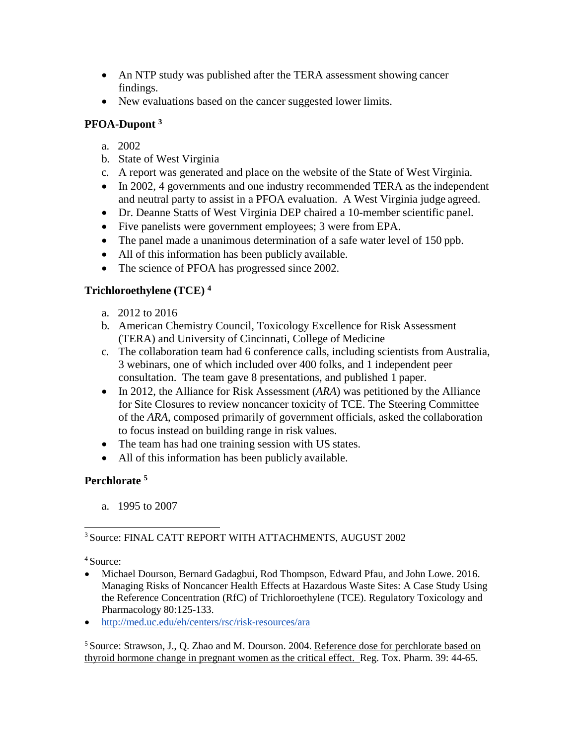- An NTP study was published after the TERA assessment showing cancer findings.
- New evaluations based on the cancer suggested lower limits.

## **PFOA-Dupont 3**

- a. 2002
- b. State of West Virginia
- c. A report was generated and place on the website of the State of West Virginia.
- In 2002, 4 governments and one industry recommended TERA as the independent and neutral party to assist in a PFOA evaluation. A West Virginia judge agreed.
- Dr. Deanne Statts of West Virginia DEP chaired a 10-member scientific panel.
- Five panelists were government employees; 3 were from EPA.
- The panel made a unanimous determination of a safe water level of 150 ppb.
- All of this information has been publicly available.
- The science of PFOA has progressed since 2002.

## **Trichloroethylene (TCE) 4**

- a. 2012 to 2016
- b. American Chemistry Council, Toxicology Excellence for Risk Assessment (TERA) and University of Cincinnati, College of Medicine
- c. The collaboration team had 6 conference calls, including scientists from Australia, 3 webinars, one of which included over 400 folks, and 1 independent peer consultation. The team gave 8 presentations, and published 1 paper.
- In 2012, the Alliance for Risk Assessment *(ARA)* was petitioned by the Alliance for Site Closures to review noncancer toxicity of TCE. The Steering Committee of the *ARA*, composed primarily of government officials, asked the collaboration to focus instead on building range in risk values.
- The team has had one training session with US states.
- All of this information has been publicly available.

## **Perchlorate 5**

a. 1995 to 2007

## 3 Source: FINAL CATT REPORT WITH ATTACHMENTS, AUGUST 2002

 $4$  Source:

- Michael Dourson, Bernard Gadagbui, Rod Thompson, Edward Pfau, and John Lowe. 2016. Managing Risks of Noncancer Health Effects at Hazardous Waste Sites: A Case Study Using the Reference Concentration (RfC) of Trichloroethylene (TCE). Regulatory Toxicology and Pharmacology 80:125-133.
- <http://med.uc.edu/eh/centers/rsc/risk-resources/ara>

<sup>5</sup> Source: Strawson, J., Q. Zhao and M. Dourson. 2004. Reference dose for perchlorate based on thyroid hormone change in pregnant women as the critical effect. Reg. Tox. Pharm. 39: 44-65.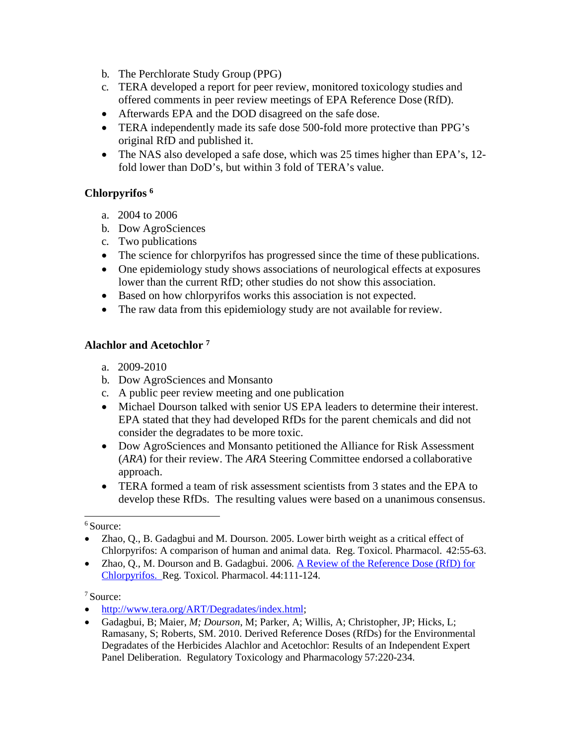- b. The Perchlorate Study Group (PPG)
- c. TERA developed a report for peer review, monitored toxicology studies and offered comments in peer review meetings of EPA Reference Dose (RfD).
- Afterwards EPA and the DOD disagreed on the safe dose.
- TERA independently made its safe dose 500-fold more protective than PPG's original RfD and published it.
- The NAS also developed a safe dose, which was 25 times higher than EPA's, 12fold lower than DoD's, but within 3 fold of TERA's value.

#### **Chlorpyrifos 6**

- a. 2004 to 2006
- b. Dow AgroSciences
- c. Two publications
- The science for chlorpyrifos has progressed since the time of these publications.
- One epidemiology study shows associations of neurological effects at exposures lower than the current RfD; other studies do not show this association.
- Based on how chlorpyrifos works this association is not expected.
- The raw data from this epidemiology study are not available for review.

#### **Alachlor and Acetochlor 7**

- a. 2009-2010
- b. Dow AgroSciences and Monsanto
- c. A public peer review meeting and one publication
- Michael Dourson talked with senior US EPA leaders to determine their interest. EPA stated that they had developed RfDs for the parent chemicals and did not consider the degradates to be more toxic.
- Dow AgroSciences and Monsanto petitioned the Alliance for Risk Assessment (*ARA*) for their review. The *ARA* Steering Committee endorsed a collaborative approach.
- TERA formed a team of risk assessment scientists from 3 states and the EPA to develop these RfDs. The resulting values were based on a unanimous consensus.

7 Source:

• Gadagbui, B; Maier, *M; Dourson*, M; Parker, A; Willis, A; Christopher, JP; Hicks, L; Ramasany, S; Roberts, SM. 2010. Derived Reference Doses (RfDs) for the Environmental Degradates of the Herbicides Alachlor and Acetochlor: Results of an Independent Expert Panel Deliberation. Regulatory Toxicology and Pharmacology 57:220-234.

<sup>6</sup> Source:

<sup>•</sup> Zhao, Q., B. Gadagbui and M. Dourson. 2005. [Lower birth weight as a critical effect of](http://www.tera.org/pubs/Chlorpyrifos%20RTP%20version.pdf) [Chlorpyrifos: A comparison of human and animal data.](http://www.tera.org/pubs/Chlorpyrifos%20RTP%20version.pdf) Reg. Toxicol. Pharmacol. 42:55-63.

<sup>•</sup> Zhao, Q., M. Dourson and B. Gadagbui. 2006. [A Review of the Reference Dose \(RfD\) for](http://www.tera.org/pubs/CPF%20Manuscript%20revision.pdf)  [Chlorpyrifos. R](http://www.tera.org/pubs/CPF%20Manuscript%20revision.pdf)eg. Toxicol. Pharmacol. 44:111-124.

<sup>•</sup> [http://www.tera.org/ART/Degradates/index.html;](http://www.tera.org/ART/Degradates/index.html)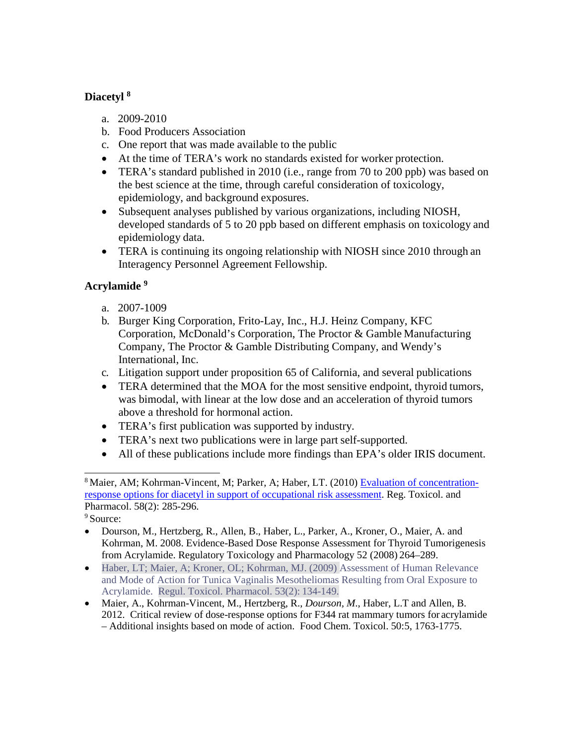## **Diacetyl 8**

- a. 2009-2010
- b. Food Producers Association
- c. One report that was made available to the public
- At the time of TERA's work no standards existed for worker protection.
- TERA's standard published in 2010 (i.e., range from 70 to 200 ppb) was based on the best science at the time, through careful consideration of toxicology, epidemiology, and background exposures.
- Subsequent analyses published by various organizations, including NIOSH, developed standards of 5 to 20 ppb based on different emphasis on toxicology and epidemiology data.
- TERA is continuing its ongoing relationship with NIOSH since 2010 through an Interagency Personnel Agreement Fellowship.

## **Acrylamide 9**

- a. 2007-1009
- b. Burger King Corporation, Frito-Lay, Inc., H.J. Heinz Company, KFC Corporation, McDonald's Corporation, The Proctor & Gamble Manufacturing Company, The Proctor & Gamble Distributing Company, and Wendy's International, Inc.
- c. Litigation support under proposition 65 of California, and several publications
- TERA determined that the MOA for the most sensitive endpoint, thyroid tumors, was bimodal, with linear at the low dose and an acceleration of thyroid tumors above a threshold for hormonal action.
- TERA's first publication was supported by industry.
- TERA's next two publications were in large part self-supported.
- All of these publications include more findings than EPA's older IRIS document.

<sup>9</sup> Source:

- Haber, LT; Maier, A; Kroner, OL; Kohrman, MJ. (2009) [Assessment of Human Relevance](http://www.tera.org/Publications/Haber%20et%20al.%202009.pdf) [and Mode of Action for Tunica Vaginalis Mesotheliomas Resulting from Oral Exposure to](http://www.tera.org/Publications/Haber%20et%20al.%202009.pdf) [Acrylamide. R](http://www.tera.org/Publications/Haber%20et%20al.%202009.pdf)egul. Toxicol. Pharmacol. 53(2): 134-149.
- Maier, A., Kohrman-Vincent, M., Hertzberg, R., *Dourson, M*., Haber, L.T and Allen, B. 2012. Critical review of dose-response options for F344 rat mammary tumors for acrylamide – Additional insights based on mode of action. Food Chem. Toxicol. 50:5, 1763-1775.

<sup>&</sup>lt;sup>8</sup> Maier, AM; Kohrman-Vincent, M; Parker, A; Haber, LT. (2010) [Evaluation of concentration](http://www.ncbi.nlm.nih.gov/pubmed/20600455)[response options for diacetyl in support of occupational risk assessment.](http://www.ncbi.nlm.nih.gov/pubmed/20600455) Reg. Toxicol. and Pharmacol. 58(2): 285-296.

<sup>•</sup> Dourson, M., Hertzberg, R., Allen, B., Haber, L., Parker, A., Kroner, O., Maier, A. and Kohrman, M. 2008. Evidence-Based Dose Response Assessment for Thyroid Tumorigenesis from Acrylamide. Regulatory Toxicology and Pharmacology 52 (2008) 264–289.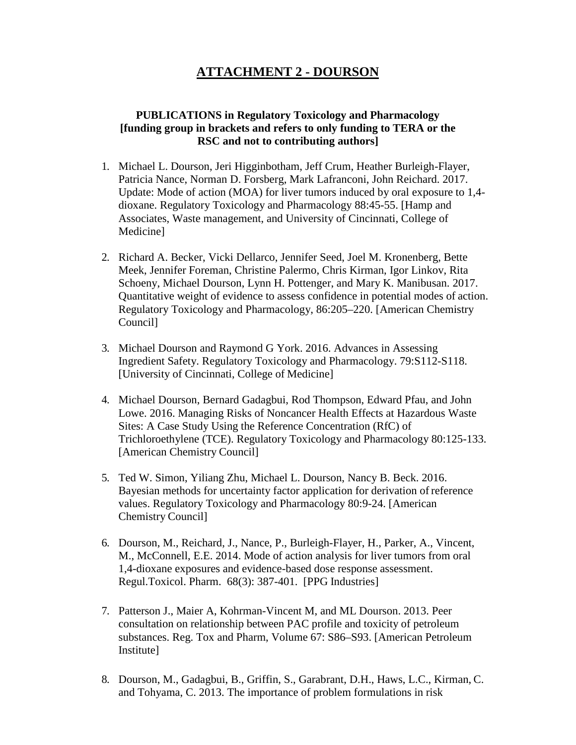## **ATTACHMENT 2 - DOURSON**

## **PUBLICATIONS in Regulatory Toxicology and Pharmacology [funding group in brackets and refers to only funding to TERA or the RSC and not to contributing authors]**

- 1. Michael L. Dourson, Jeri Higginbotham, Jeff Crum, Heather Burleigh-Flayer, Patricia Nance, Norman D. Forsberg, Mark Lafranconi, John Reichard. 2017. Update: Mode of action (MOA) for liver tumors induced by oral exposure to 1,4 dioxane. Regulatory Toxicology and Pharmacology 88:45-55. [Hamp and Associates, Waste management, and University of Cincinnati, College of Medicine]
- 2. Richard A. Becker, Vicki Dellarco, Jennifer Seed, Joel M. Kronenberg, Bette Meek, Jennifer Foreman, Christine Palermo, Chris Kirman, Igor Linkov, Rita Schoeny, Michael Dourson, Lynn H. Pottenger, and Mary K. Manibusan. 2017. Quantitative weight of evidence to assess confidence in potential modes of action. Regulatory Toxicology and Pharmacology, 86:205–220. [American Chemistry Council]
- 3. Michael Dourson and Raymond G York. 2016. Advances in Assessing Ingredient Safety. Regulatory Toxicology and Pharmacology. 79:S112-S118. [University of Cincinnati, College of Medicine]
- 4. Michael Dourson, Bernard Gadagbui, Rod Thompson, Edward Pfau, and John Lowe. 2016. Managing Risks of Noncancer Health Effects at Hazardous Waste Sites: A Case Study Using the Reference Concentration (RfC) of Trichloroethylene (TCE). Regulatory Toxicology and Pharmacology 80:125-133. [American Chemistry Council]
- 5. Ted W. Simon, Yiliang Zhu, Michael L. Dourson, Nancy B. Beck. 2016. Bayesian methods for uncertainty factor application for derivation of reference values. Regulatory Toxicology and Pharmacology 80:9-24. [American Chemistry Council]
- 6. Dourson, M., Reichard, J., Nance, P., Burleigh-Flayer, H., Parker, A., Vincent, M., McConnell, E.E. 2014. Mode of action analysis for liver tumors from oral 1,4-dioxane exposures and evidence-based dose response assessment. Regul.Toxicol. Pharm. 68(3): 387-401. [PPG Industries]
- 7. Patterson J., Maier A, Kohrman-Vincent M, and ML Dourson. 2013. Peer consultation on relationship between PAC profile and toxicity of petroleum substances. Reg. Tox and Pharm, Volume 67: S86–S93. [American Petroleum Institute]
- 8. Dourson, M., Gadagbui, B., Griffin, S., Garabrant, D.H., Haws, L.C., Kirman, C. and Tohyama, C. 2013. The importance of problem formulations in risk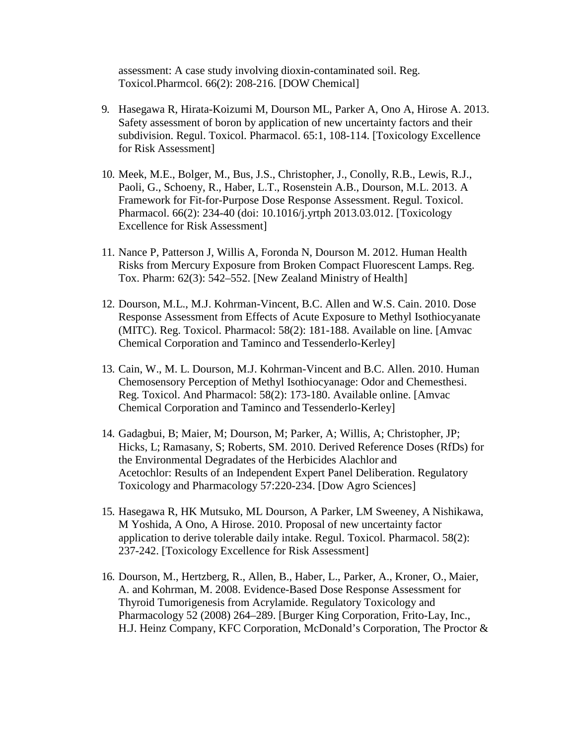assessment: A case study involving dioxin-contaminated soil. Reg. Toxicol.Pharmcol. 66(2): 208-216. [DOW Chemical]

- 9. Hasegawa R, Hirata-Koizumi M, Dourson ML, Parker A, Ono A, Hirose A. 2013. Safety assessment of boron by application of new uncertainty factors and their subdivision. Regul. Toxicol. Pharmacol. 65:1, 108-114. [Toxicology Excellence for Risk Assessment]
- 10. Meek, M.E., Bolger, M., Bus, J.S., Christopher, J., Conolly, R.B., Lewis, R.J., Paoli, G., Schoeny, R., Haber, L.T., Rosenstein A.B., Dourson, M.L. 2013. A Framework for Fit-for-Purpose Dose Response Assessment. Regul. Toxicol. Pharmacol. 66(2): 234-40 (doi: 10.1016/j.yrtph 2013.03.012. [Toxicology Excellence for Risk Assessment]
- 11. Nance P, Patterson J, Willis A, Foronda N, Dourson M. 2012. Human Health Risks from Mercury Exposure from Broken Compact Fluorescent Lamps. Reg. Tox. Pharm: 62(3): 542–552. [New Zealand Ministry of Health]
- 12. Dourson, M.L., M.J. Kohrman-Vincent, B.C. Allen and W.S. Cain. 2010. Dose Response Assessment from Effects of Acute Exposure to Methyl Isothiocyanate (MITC). Reg. Toxicol. Pharmacol: 58(2): 181-188. Available on line. [Amvac Chemical Corporation and Taminco and Tessenderlo-Kerley]
- 13. Cain, W., M. L. Dourson, M.J. Kohrman-Vincent and B.C. Allen. 2010. Human Chemosensory Perception of Methyl Isothiocyanage: Odor and Chemesthesi. Reg. Toxicol. And Pharmacol: 58(2): 173-180. Available online. [Amvac Chemical Corporation and Taminco and Tessenderlo-Kerley]
- 14. Gadagbui, B; Maier, M; Dourson, M; Parker, A; Willis, A; Christopher, JP; Hicks, L; Ramasany, S; Roberts, SM. 2010. Derived Reference Doses (RfDs) for the Environmental Degradates of the Herbicides Alachlor and Acetochlor: Results of an Independent Expert Panel Deliberation. Regulatory Toxicology and Pharmacology 57:220-234. [Dow Agro Sciences]
- 15. Hasegawa R, HK Mutsuko, ML Dourson, A Parker, LM Sweeney, A Nishikawa, M Yoshida, A Ono, A Hirose. 2010. Proposal of new uncertainty factor application to derive tolerable daily intake. Regul. Toxicol. Pharmacol. 58(2): 237-242. [Toxicology Excellence for Risk Assessment]
- 16. Dourson, M., Hertzberg, R., Allen, B., Haber, L., Parker, A., Kroner, O., Maier, A. and Kohrman, M. 2008. Evidence-Based Dose Response Assessment for Thyroid Tumorigenesis from Acrylamide. Regulatory Toxicology and Pharmacology 52 (2008) 264–289. [Burger King Corporation, Frito-Lay, Inc., H.J. Heinz Company, KFC Corporation, McDonald's Corporation, The Proctor &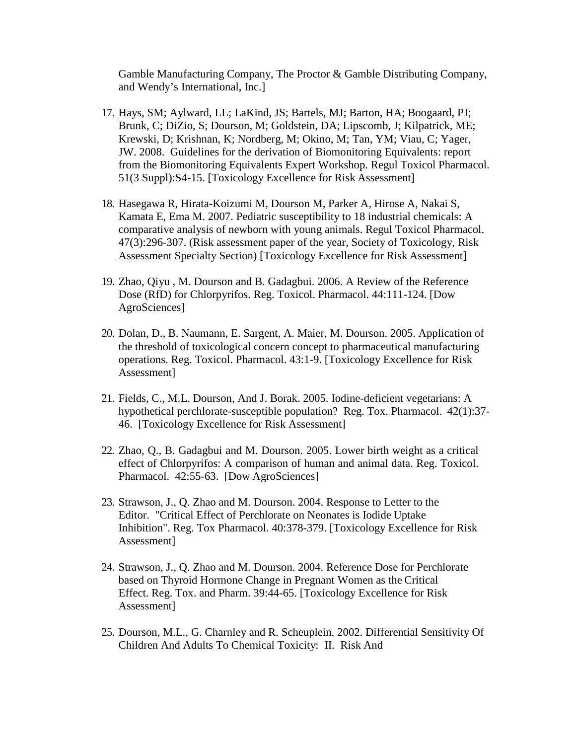Gamble Manufacturing Company, The Proctor & Gamble Distributing Company, and Wendy's International, Inc.]

- 17. Hays, SM; Aylward, LL; LaKind, JS; Bartels, MJ; Barton, HA; Boogaard, PJ; Brunk, C; DiZio, S; Dourson, M; Goldstein, DA; Lipscomb, J; Kilpatrick, ME; Krewski, D; Krishnan, K; Nordberg, M; Okino, M; Tan, YM; Viau, C; Yager, J[W. 2008. Guidelines for the derivation of](http://www.tera.org/Publications/Hays%20et%20al.%202008.pdf) [Biomonitoring Equivalents: report](http://www.tera.org/Publications/Hays%20et%20al.%202008.pdf) [from the Biomonitoring Equivalents Expert Workshop.](http://www.tera.org/Publications/Hays%20et%20al.%202008.pdf) Regul Toxicol Pharmacol. 51(3 Suppl):S4-15. [Toxicology Excellence for Risk Assessment]
- 18. Hasegawa R, Hirata-Koizumi M, Dourson M, Parker A, Hirose A, Nakai S, Kamata E, Ema M. 2007. [Pediatric susceptibility to 18 industrial chemicals: A](http://www.tera.org/pubs/Hasegawa%20et%20al%202007.pdf) [comparative analysis of newborn with young animals.](http://www.tera.org/pubs/Hasegawa%20et%20al%202007.pdf) Regul Toxicol Pharmacol. 47(3):296-307. (Risk assessment paper of the year, Society of Toxicology, Risk Assessment Specialty Section) [Toxicology Excellence for Risk Assessment]
- 19. Zhao, Qiyu , M. Dourson and B. Gadagbui. 2006. [A Review of the Reference](http://www.tera.org/pubs/CPF%20Manuscript%20revision.pdf) [Dose \(RfD\) for Chlorpyrifos.](http://www.tera.org/pubs/CPF%20Manuscript%20revision.pdf) Reg. Toxicol. Pharmacol. 44:111-124. [Dow AgroSciences]
- 20. Dolan, D., B. Naumann, E. Sargent, A. Maier, M. Dourson. 2005. Application of the threshold of toxicological concern concept to pharmaceutical manufacturing operations. Reg. Toxicol. Pharmacol. 43:1-9. [Toxicology Excellence for Risk Assessment]
- 21. Fields, C., M.L. Dourson, And J. Borak. 2005. [Iodine-deficient vegetarians: A](http://www.tera.org/Perchlorate/CFields.pdf) [hypothetical perchlorate-susceptible population?](http://www.tera.org/Perchlorate/CFields.pdf) Reg. Tox. Pharmacol. 42(1):37- 46. [Toxicology Excellence for Risk Assessment]
- 22. Zhao, Q., B. Gadagbui and M. Dourson. 2005. [Lower birth weight as a critical](http://www.tera.org/pubs/Chlorpyrifos%20RTP%20version.pdf) [effect of Chlorpyrifos: A comparison of human and animal data.](http://www.tera.org/pubs/Chlorpyrifos%20RTP%20version.pdf) Reg. Toxicol. Pharmacol. 42:55-63. [Dow AgroSciences]
- 23. Strawson, J., Q. Zhao and M. Dourson. 2004. Response to Letter to the Editor. ["Critical Effect of Perchlorate on Neonates is Iodide](http://www.tera.org/Perchlorate/perchlorate%202004%20ltrs%20to%20editors.pdf) Uptake [Inhibition".](http://www.tera.org/Perchlorate/perchlorate%202004%20ltrs%20to%20editors.pdf) Reg. Tox Pharmacol. 40:378-379. [Toxicology Excellence for Risk Assessment]
- 24. Strawson, J., Q. Zhao and M. Dourson. 2004. Reference Dose for Perchlorate based on Thyroid Hormone Change in Pregnant Women as the Critical Effect. Reg. Tox. and Pharm. 39:44-65. [Toxicology Excellence for Risk Assessment]
- 25. Dourson, M.L., G. Charnley and R. Scheuplein. 2002. [Differential Sensitivity Of](http://www.tera.org/news/Dourson502%20complete.pdf) [Children And Adults To Chemical Toxicity: II. Risk](http://www.tera.org/news/Dourson502%20complete.pdf) And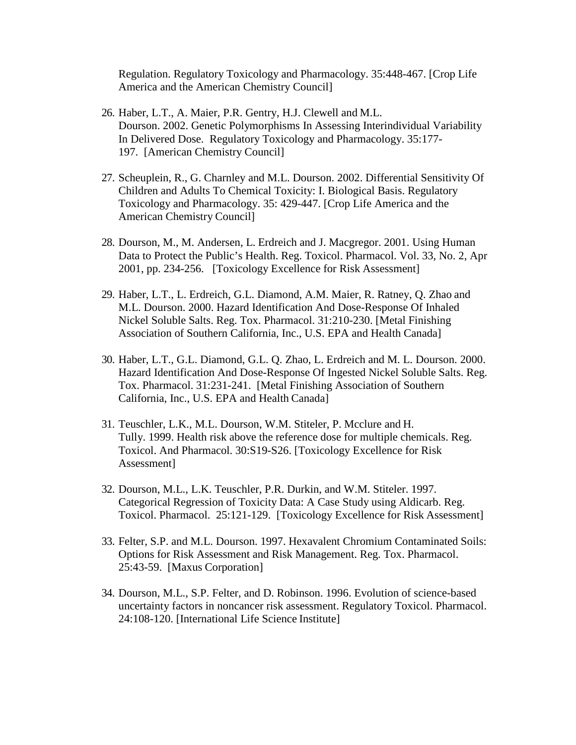[Regulation.](http://www.tera.org/news/Dourson502%20complete.pdf) Regulatory Toxicology and Pharmacology. 35:448-467. [Crop Life America and the American Chemistry Council]

- 26. Haber, L.T., A. Maier, P.R. Gentry, H.J. Clewell and M.L. Dou[rson. 2002. Genetic Polymorphisms In Assessing Interindividual Variability](http://www.tera.org/pubs/poly2002.pdf) [In Delivered Dose.](http://www.tera.org/pubs/poly2002.pdf) Regulatory Toxicology and Pharmacology. 35:177- 197. [American Chemistry Council]
- 27. Scheuplein, R., G. Charnley and M.L. Dourson. 2002. Differential Sensitivity Of Children and Adults To Chemical Toxicity: I. Biological Basis. Regulatory Toxicology and Pharmacology. 35: 429-447. [Crop Life America and the American Chemistry Council]
- 28. Dourson, M., M. Andersen, L. Erdreich and J. Macgregor. 2001. Using Human Data to Protect the Public's Health. Reg. Toxicol. Pharmacol. Vol. 33, No. 2, Apr 2001, pp. 234-256. [Toxicology Excellence for Risk Assessment]
- 29. Haber, L.T., L. Erdreich, G.L. Diamond, A.M. Maier, R. Ratney, Q. Zhao and M.L. Dourson. 2000. Hazard Identification And Dose-Response Of Inhaled Nickel Soluble Salts. Reg. Tox. Pharmacol. 31:210-230. [Metal Finishing Association of Southern California, Inc., U.S. EPA and Health Canada]
- 30. Haber, L.T., G.L. Diamond, G.L. Q. Zhao, L. Erdreich and M. L. Dourson. 2000. Hazard Identification And Dose-Response Of Ingested Nickel Soluble Salts. Reg. Tox. Pharmacol. 31:231-241. [Metal Finishing Association of Southern California, Inc., U.S. EPA and Health Canada]
- 31. Teuschler, L.K., M.L. Dourson, W.M. Stiteler, P. Mcclure and H. Tully. 1999. Health risk above the reference dose for multiple chemicals. Reg. Toxicol. And Pharmacol. 30:S19-S26. [Toxicology Excellence for Risk Assessment]
- 32. Dourson, M.L., L.K. Teuschler, P.R. Durkin, and W.M. Stiteler. 1997. Categorical Regression of Toxicity Data: A Case Study using Aldicarb. Reg. Toxicol. Pharmacol. 25:121-129. [Toxicology Excellence for Risk Assessment]
- 33. Felter, S.P. and M.L. Dourson. 1997. Hexavalent Chromium Contaminated Soils: Options for Risk Assessment and Risk Management. Reg. Tox. Pharmacol. 25:43-59. [Maxus Corporation]
- 34. Dourson, M.L., S.P. Felter, and D. Robinson. 1996. Evolution of science-based uncertainty factors in noncancer risk assessment. Regulatory Toxicol. Pharmacol. 24:108-120. [International Life Science Institute]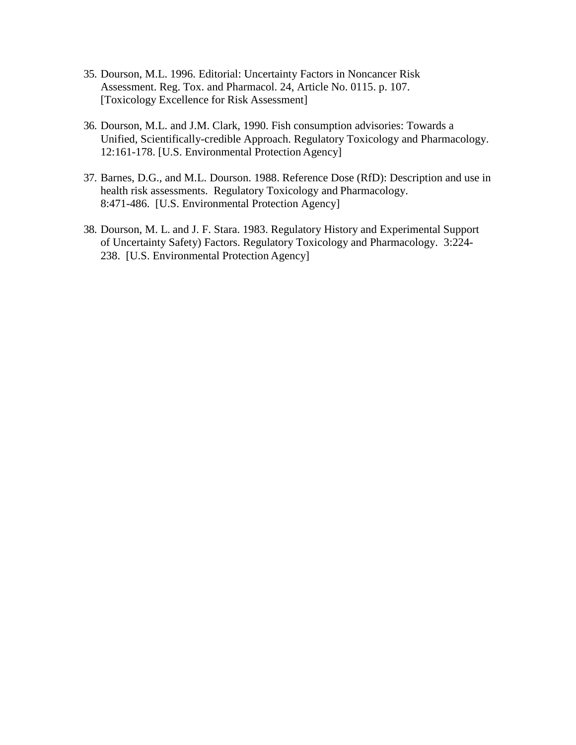- 35. Dourson, M.L. 1996. Editorial: Uncertainty Factors in Noncancer Risk Assessment. Reg. Tox. and Pharmacol. 24, Article No. 0115. p. 107. [Toxicology Excellence for Risk Assessment]
- 36. Dourson, M.L. and J.M. Clark, 1990. Fish consumption advisories: Towards a Unified, Scientifically-credible Approach. Regulatory Toxicology and Pharmacology. 12:161-178. [U.S. Environmental Protection Agency]
- 37. Barnes, D.G., and M.L. Dourson. 1988. Reference Dose (RfD): Description and use in health risk assessments. Regulatory Toxicology and Pharmacology. 8:471-486. [U.S. Environmental Protection Agency]
- 38. Dourson, M. L. and J. F. Stara. 1983. Regulatory History and Experimental Support of Uncertainty Safety) Factors. Regulatory Toxicology and Pharmacology. 3:224- 238. [U.S. Environmental Protection Agency]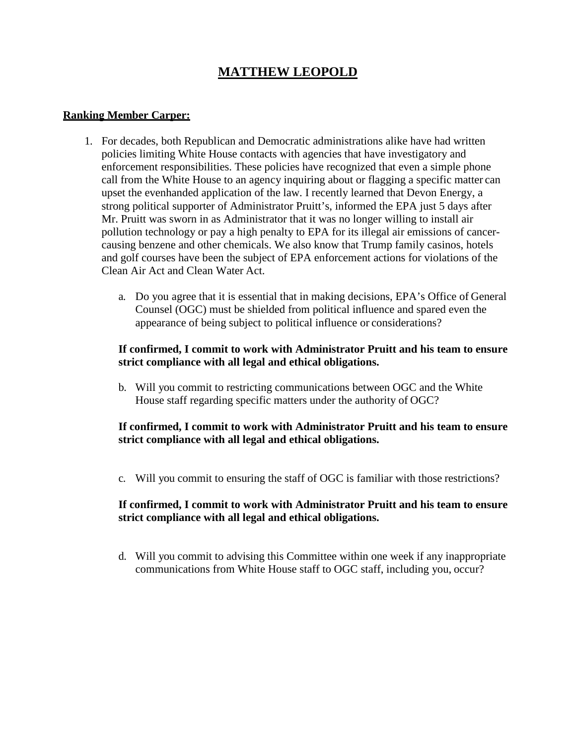# <span id="page-27-0"></span>**MATTHEW LEOPOLD**

#### **Ranking Member Carper:**

- 1. For decades, both Republican and Democratic administrations alike have had written policies limiting White House contacts with agencies that have investigatory and enforcement responsibilities. These policies have recognized that even a simple phone call from the White House to an agency inquiring about or flagging a specific matter can upset the evenhanded application of the law. I recently learned that Devon Energy, a strong political supporter of Administrator Pruitt's, informed the EPA just 5 days after Mr. Pruitt was sworn in as Administrator that it was no longer willing to install air pollution technology or pay a high penalty to EPA for its illegal air emissions of cancercausing benzene and other chemicals. We also know that Trump family casinos, hotels and golf courses have been the subject of EPA enforcement actions for violations of the Clean Air Act and Clean Water Act.
	- a. Do you agree that it is essential that in making decisions, EPA's Office of General Counsel (OGC) must be shielded from political influence and spared even the appearance of being subject to political influence or considerations?

## **If confirmed, I commit to work with Administrator Pruitt and his team to ensure strict compliance with all legal and ethical obligations.**

b. Will you commit to restricting communications between OGC and the White House staff regarding specific matters under the authority of OGC?

## **If confirmed, I commit to work with Administrator Pruitt and his team to ensure strict compliance with all legal and ethical obligations.**

c. Will you commit to ensuring the staff of OGC is familiar with those restrictions?

#### **If confirmed, I commit to work with Administrator Pruitt and his team to ensure strict compliance with all legal and ethical obligations.**

d. Will you commit to advising this Committee within one week if any inappropriate communications from White House staff to OGC staff, including you, occur?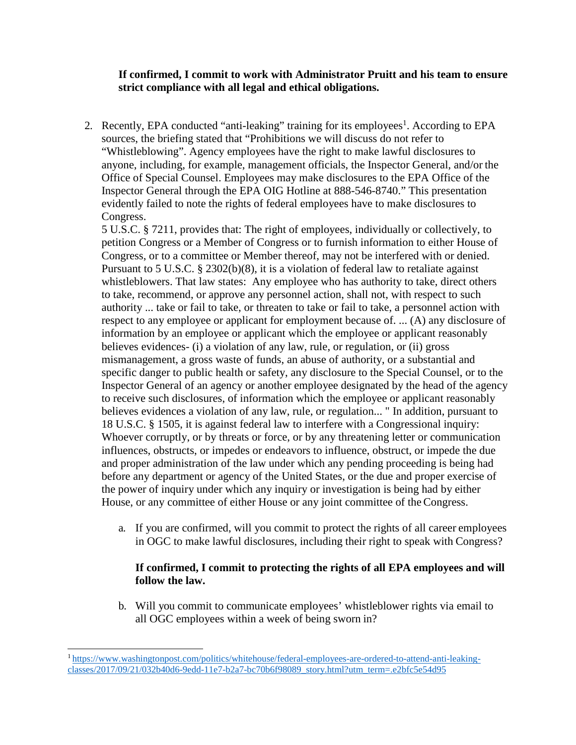#### **If confirmed, I commit to work with Administrator Pruitt and his team to ensure strict compliance with all legal and ethical obligations.**

2. Recently, EPA conducted "anti-leaking" training for its employees<sup>1</sup>. According to EPA sources, the briefing stated that "Prohibitions we will discuss do not refer to "Whistleblowing". Agency employees have the right to make lawful disclosures to anyone, including, for example, management officials, the Inspector General, and/or the Office of Special Counsel. Employees may make disclosures to the EPA Office of the Inspector General through the EPA OIG Hotline at 888-546-8740." This presentation evidently failed to note the rights of federal employees have to make disclosures to Congress.

5 U.S.C. § 7211, provides that: The right of employees, individually or collectively, to petition Congress or a Member of Congress or to furnish information to either House of Congress, or to a committee or Member thereof, may not be interfered with or denied. Pursuant to 5 U.S.C. § 2302(b)(8), it is a violation of federal law to retaliate against whistleblowers. That law states: Any employee who has authority to take, direct others to take, recommend, or approve any personnel action, shall not, with respect to such authority ... take or fail to take, or threaten to take or fail to take, a personnel action with respect to any employee or applicant for employment because of. ... (A) any disclosure of information by an employee or applicant which the employee or applicant reasonably believes evidences- (i) a violation of any law, rule, or regulation, or (ii) gross mismanagement, a gross waste of funds, an abuse of authority, or a substantial and specific danger to public health or safety, any disclosure to the Special Counsel, or to the Inspector General of an agency or another employee designated by the head of the agency to receive such disclosures, of information which the employee or applicant reasonably believes evidences a violation of any law, rule, or regulation... " In addition, pursuant to 18 U.S.C. § 1505, it is against federal law to interfere with a Congressional inquiry: Whoever corruptly, or by threats or force, or by any threatening letter or communication influences, obstructs, or impedes or endeavors to influence, obstruct, or impede the due and proper administration of the law under which any pending proceeding is being had before any department or agency of the United States, or the due and proper exercise of the power of inquiry under which any inquiry or investigation is being had by either House, or any committee of either House or any joint committee of theCongress.

a. If you are confirmed, will you commit to protect the rights of all career employees in OGC to make lawful disclosures, including their right to speak with Congress?

#### **If confirmed, I commit to protecting the rights of all EPA employees and will follow the law.**

b. Will you commit to communicate employees' whistleblower rights via email to all OGC employees within a week of being sworn in?

[<sup>1</sup> https://www.washingtonpost.com/politics/whitehouse/federal-employees-are-ordered-to-attend-anti-leaking](https://www.washingtonpost.com/politics/whitehouse/federal-employees-are-ordered-to-attend-anti-leaking-classes/2017/09/21/032b40d6-9edd-11e7-b2a7-bc70b6f98089_story.html?utm_term=.e2bfc5e54d95)[classes/2017/09/21/032b40d6-9edd-11e7-b2a7-bc70b6f98089\\_story.html?utm\\_term=.e2bfc5e54d95](https://www.washingtonpost.com/politics/whitehouse/federal-employees-are-ordered-to-attend-anti-leaking-classes/2017/09/21/032b40d6-9edd-11e7-b2a7-bc70b6f98089_story.html?utm_term=.e2bfc5e54d95)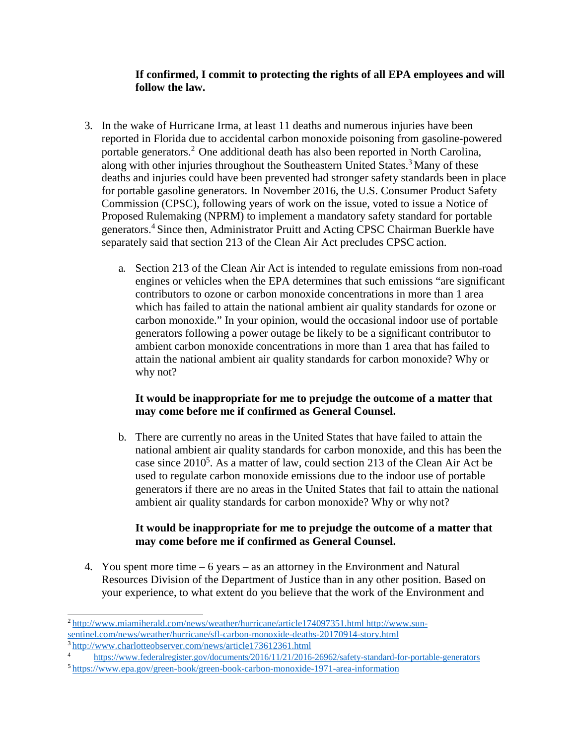## **If confirmed, I commit to protecting the rights of all EPA employees and will follow the law.**

- 3. In the wake of Hurricane Irma, at least 11 deaths and numerous injuries have been reported in Florida due to accidental carbon monoxide poisoning from gasoline-powered portable generators.<sup>2</sup> One additional death has also been reported in North Carolina, along with other injuries throughout the Southeastern United States.<sup>3</sup> Many of these deaths and injuries could have been prevented had stronger safety standards been in place for portable gasoline generators. In November 2016, the U.S. Consumer Product Safety Commission (CPSC), following years of work on the issue, voted to issue a Notice of Proposed Rulemaking (NPRM) to implement a mandatory safety standard for portable generators.4 Since then, Administrator Pruitt and Acting CPSC Chairman Buerkle have separately said that section 213 of the Clean Air Act precludes CPSC action.
	- a. Section 213 of the Clean Air Act is intended to regulate emissions from non-road engines or vehicles when the EPA determines that such emissions "are significant contributors to ozone or carbon monoxide concentrations in more than 1 area which has failed to attain the national ambient air quality standards for ozone or carbon monoxide." In your opinion, would the occasional indoor use of portable generators following a power outage be likely to be a significant contributor to ambient carbon monoxide concentrations in more than 1 area that has failed to attain the national ambient air quality standards for carbon monoxide? Why or why not?

## **It would be inappropriate for me to prejudge the outcome of a matter that may come before me if confirmed as General Counsel.**

b. There are currently no areas in the United States that have failed to attain the national ambient air quality standards for carbon monoxide, and this has been the case since 2010<sup>5</sup>. As a matter of law, could section 213 of the Clean Air Act be used to regulate carbon monoxide emissions due to the indoor use of portable generators if there are no areas in the United States that fail to attain the national ambient air quality standards for carbon monoxide? Why or why not?

## **It would be inappropriate for me to prejudge the outcome of a matter that may come before me if confirmed as General Counsel.**

4. You spent more time – 6 years – as an attorney in the Environment and Natural Resources Division of the Department of Justice than in any other position. Based on your experience, to what extent do you believe that the work of the Environment and

[<sup>2</sup> http://www.miamiherald.com/news/weather/hurricane/article174097351.html](http://www.miamiherald.com/news/weather/hurricane/article174097351.html) [http://www.sun](http://www.sun-sentinel.com/news/weather/hurricane/sfl-carbon-monoxide-deaths-20170914-story.html)[sentinel.com/news/weather/hurricane/sfl-carbon-monoxide-deaths-20170914-story.html](http://www.sun-sentinel.com/news/weather/hurricane/sfl-carbon-monoxide-deaths-20170914-story.html) [3 http://www.charlotteobserver.com/news/article173612361.html](http://www.charlotteobserver.com/news/article173612361.html)

<sup>4</sup> <https://www.federalregister.gov/documents/2016/11/21/2016-26962/safety-standard-for-portable-generators>

[<sup>5</sup> https://www.epa.gov/green-book/green-book-carbon-monoxide-1971-area-information](https://www.epa.gov/green-book/green-book-carbon-monoxide-1971-area-information)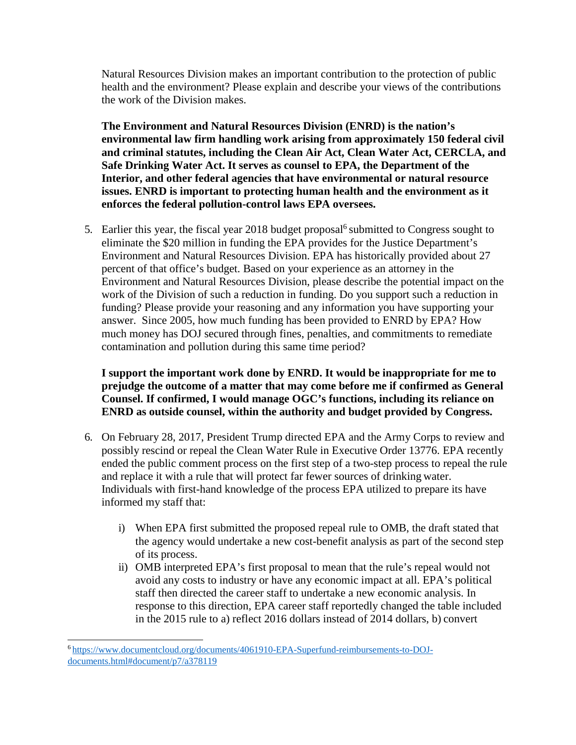Natural Resources Division makes an important contribution to the protection of public health and the environment? Please explain and describe your views of the contributions the work of the Division makes.

**The Environment and Natural Resources Division (ENRD) is the nation's environmental law firm handling work arising from approximately 150 federal civil and criminal statutes, including the Clean Air Act, Clean Water Act, CERCLA, and Safe Drinking Water Act. It serves as counsel to EPA, the Department of the Interior, and other federal agencies that have environmental or natural resource issues. ENRD is important to protecting human health and the environment as it enforces the federal pollution-control laws EPA oversees.**

5. Earlier this year, the fiscal year 2018 budget proposal<sup>6</sup> submitted to Congress sought to eliminate the \$20 million in funding the EPA provides for the Justice Department's Environment and Natural Resources Division. EPA has historically provided about 27 percent of that office's budget. Based on your experience as an attorney in the Environment and Natural Resources Division, please describe the potential impact on the work of the Division of such a reduction in funding. Do you support such a reduction in funding? Please provide your reasoning and any information you have supporting your answer. Since 2005, how much funding has been provided to ENRD by EPA? How much money has DOJ secured through fines, penalties, and commitments to remediate contamination and pollution during this same time period?

**I support the important work done by ENRD. It would be inappropriate for me to prejudge the outcome of a matter that may come before me if confirmed as General Counsel. If confirmed, I would manage OGC's functions, including its reliance on ENRD as outside counsel, within the authority and budget provided by Congress.**

- 6. On February 28, 2017, President Trump directed EPA and the Army Corps to review and possibly rescind or repeal the Clean Water Rule in Executive Order 13776. EPA recently ended the public comment process on the first step of a two-step process to repeal the rule and replace it with a rule that will protect far fewer sources of drinking water. Individuals with first-hand knowledge of the process EPA utilized to prepare its have informed my staff that:
	- i) When EPA first submitted the proposed repeal rule to OMB, the draft stated that the agency would undertake a new cost-benefit analysis as part of the second step of its process.
	- ii) OMB interpreted EPA's first proposal to mean that the rule's repeal would not avoid any costs to industry or have any economic impact at all. EPA's political staff then directed the career staff to undertake a new economic analysis. In response to this direction, EPA career staff reportedly changed the table included in the 2015 rule to a) reflect 2016 dollars instead of 2014 dollars, b) convert

[<sup>6</sup> https://www.documentcloud.org/documents/4061910-EPA-Superfund-reimbursements-to-DOJ](https://www.documentcloud.org/documents/4061910-EPA-Superfund-reimbursements-to-DOJ-documents.html%23document/p7/a378119)[documents.html#document/p7/a378119](https://www.documentcloud.org/documents/4061910-EPA-Superfund-reimbursements-to-DOJ-documents.html%23document/p7/a378119)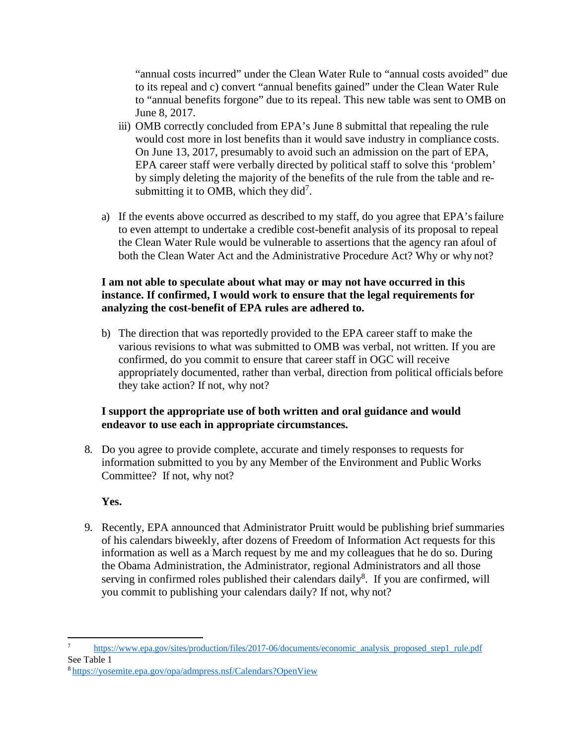"annual costs incurred" under the Clean Water Rule to "annual costs avoided" due to its repeal and c) convert "annual benefits gained" under the Clean Water Rule to "annual benefits forgone" due to its repeal. This new table was sent to OMB on June 8, 2017.

- iii) OMB correctly concluded from EPA's June 8 submittal that repealing the rule would cost more in lost benefits than it would save industry in compliance costs. On June 13, 2017, presumably to avoid such an admission on the part of EPA, EPA career staff were verbally directed by political staff to solve this 'problem' by simply deleting the majority of the benefits of the rule from the table and resubmitting it to OMB, which they did<sup>7</sup>.
- a) If the events above occurred as described to my staff, do you agree that EPA'sfailure to even attempt to undertake a credible cost-benefit analysis of its proposal to repeal the Clean Water Rule would be vulnerable to assertions that the agency ran afoul of both the Clean Water Act and the Administrative Procedure Act? Why or why not?

## **I am not able to speculate about what may or may not have occurred in this instance. If confirmed, I would work to ensure that the legal requirements for analyzing the cost-benefit of EPA rules are adhered to.**

b) The direction that was reportedly provided to the EPA career staff to make the various revisions to what was submitted to OMB was verbal, not written. If you are confirmed, do you commit to ensure that career staff in OGC will receive appropriately documented, rather than verbal, direction from political officials before they take action? If not, why not?

## **I support the appropriate use of both written and oral guidance and would endeavor to use each in appropriate circumstances.**

8. Do you agree to provide complete, accurate and timely responses to requests for information submitted to you by any Member of the Environment and Public Works Committee? If not, why not?

## **Yes.**

9. Recently, EPA announced that Administrator Pruitt would be publishing brief summaries of his calendars biweekly, after dozens of Freedom of Information Act requests for this information as well as a March request by me and my colleagues that he do so. During the Obama Administration, the Administrator, regional Administrators and all those serving in confirmed roles published their calendars daily<sup>8</sup>. If you are confirmed, will you commit to publishing your calendars daily? If not, why not?

<sup>7</sup> [https://www.epa.gov/sites/production/files/2017-06/documents/economic\\_analysis\\_proposed\\_step1\\_rule.pdf](https://www.epa.gov/sites/production/files/2017-06/documents/economic_analysis_proposed_step1_rule.pdf) See Table 1

[<sup>8</sup> https://yosemite.epa.gov/opa/admpress.nsf/Calendars?OpenView](https://yosemite.epa.gov/opa/admpress.nsf/Calendars?OpenView)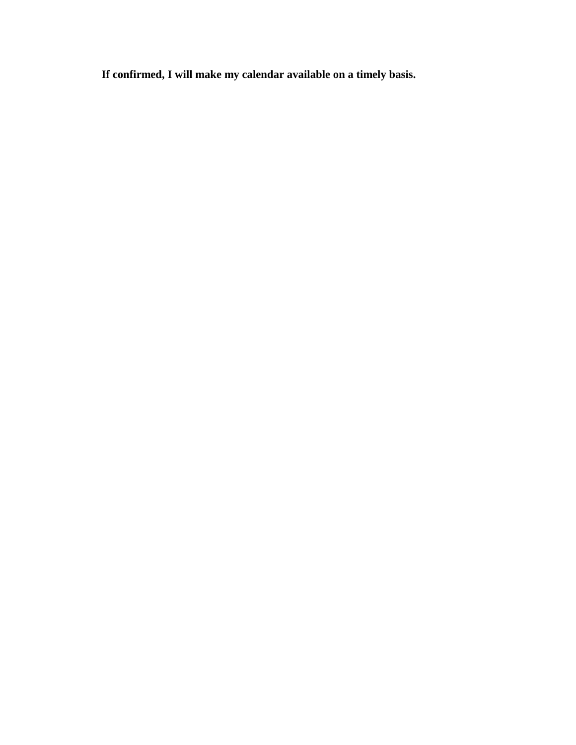**If confirmed, I will make my calendar available on a timely basis.**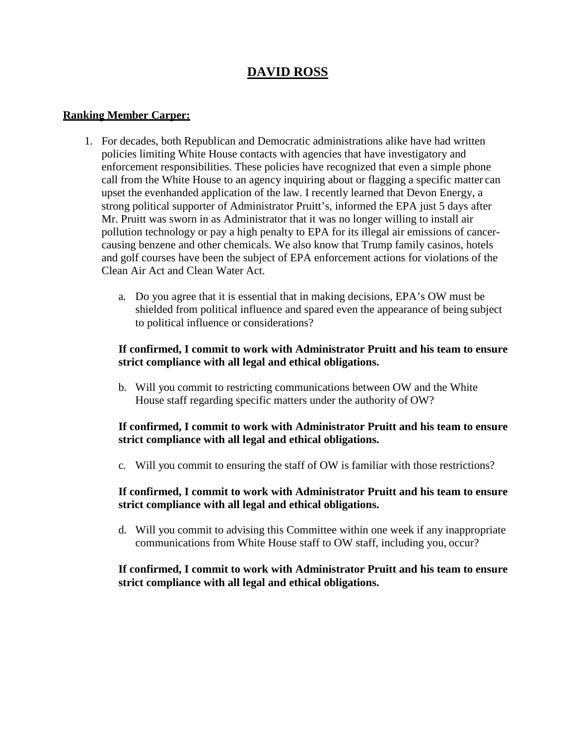## <span id="page-33-0"></span>**DAVID ROSS**

#### **Ranking Member Carper:**

- 1. For decades, both Republican and Democratic administrations alike have had written policies limiting White House contacts with agencies that have investigatory and enforcement responsibilities. These policies have recognized that even a simple phone call from the White House to an agency inquiring about or flagging a specific matter can upset the evenhanded application of the law. I recently learned that Devon Energy, a strong political supporter of Administrator Pruitt's, informed the EPA just 5 days after Mr. Pruitt was sworn in as Administrator that it was no longer willing to install air pollution technology or pay a high penalty to EPA for its illegal air emissions of cancercausing benzene and other chemicals. We also know that Trump family casinos, hotels and golf courses have been the subject of EPA enforcement actions for violations of the Clean Air Act and Clean Water Act.
	- a. Do you agree that it is essential that in making decisions, EPA's OW must be shielded from political influence and spared even the appearance of being subject to political influence or considerations?

#### **If confirmed, I commit to work with Administrator Pruitt and his team to ensure strict compliance with all legal and ethical obligations.**

b. Will you commit to restricting communications between OW and the White House staff regarding specific matters under the authority of OW?

#### **If confirmed, I commit to work with Administrator Pruitt and his team to ensure strict compliance with all legal and ethical obligations.**

c. Will you commit to ensuring the staff of OW is familiar with those restrictions?

#### **If confirmed, I commit to work with Administrator Pruitt and his team to ensure strict compliance with all legal and ethical obligations.**

d. Will you commit to advising this Committee within one week if any inappropriate communications from White House staff to OW staff, including you, occur?

#### **If confirmed, I commit to work with Administrator Pruitt and his team to ensure strict compliance with all legal and ethical obligations.**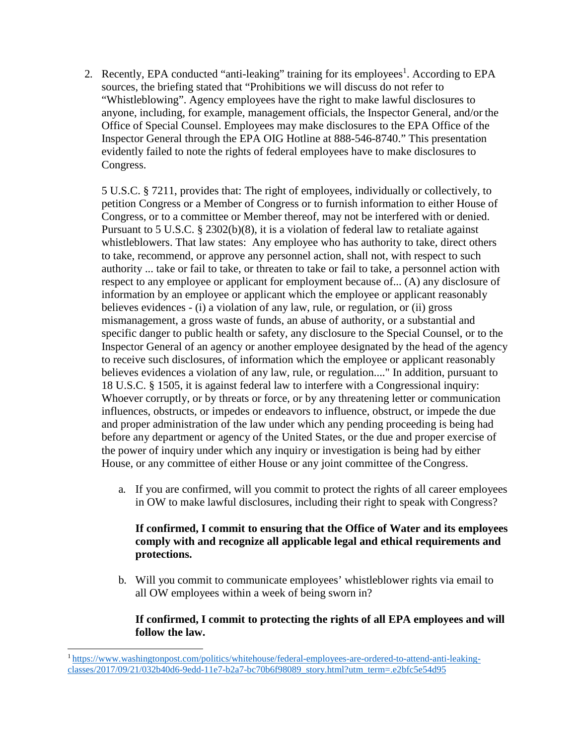2. Recently, EPA conducted "anti-leaking" training for its employees<sup>1</sup>. According to EPA sources, the briefing stated that "Prohibitions we will discuss do not refer to "Whistleblowing". Agency employees have the right to make lawful disclosures to anyone, including, for example, management officials, the Inspector General, and/or the Office of Special Counsel. Employees may make disclosures to the EPA Office of the Inspector General through the EPA OIG Hotline at 888-546-8740." This presentation evidently failed to note the rights of federal employees have to make disclosures to Congress.

5 U.S.C. § 7211, provides that: The right of employees, individually or collectively, to petition Congress or a Member of Congress or to furnish information to either House of Congress, or to a committee or Member thereof, may not be interfered with or denied. Pursuant to 5 U.S.C. § 2302(b)(8), it is a violation of federal law to retaliate against whistleblowers. That law states: Any employee who has authority to take, direct others to take, recommend, or approve any personnel action, shall not, with respect to such authority ... take or fail to take, or threaten to take or fail to take, a personnel action with respect to any employee or applicant for employment because of... (A) any disclosure of information by an employee or applicant which the employee or applicant reasonably believes evidences - (i) a violation of any law, rule, or regulation, or (ii) gross mismanagement, a gross waste of funds, an abuse of authority, or a substantial and specific danger to public health or safety, any disclosure to the Special Counsel, or to the Inspector General of an agency or another employee designated by the head of the agency to receive such disclosures, of information which the employee or applicant reasonably believes evidences a violation of any law, rule, or regulation...." In addition, pursuant to 18 U.S.C. § 1505, it is against federal law to interfere with a Congressional inquiry: Whoever corruptly, or by threats or force, or by any threatening letter or communication influences, obstructs, or impedes or endeavors to influence, obstruct, or impede the due and proper administration of the law under which any pending proceeding is being had before any department or agency of the United States, or the due and proper exercise of the power of inquiry under which any inquiry or investigation is being had by either House, or any committee of either House or any joint committee of theCongress.

a. If you are confirmed, will you commit to protect the rights of all career employees in OW to make lawful disclosures, including their right to speak with Congress?

## **If confirmed, I commit to ensuring that the Office of Water and its employees comply with and recognize all applicable legal and ethical requirements and protections.**

b. Will you commit to communicate employees' whistleblower rights via email to all OW employees within a week of being sworn in?

## **If confirmed, I commit to protecting the rights of all EPA employees and will follow the law.**

[<sup>1</sup> https://www.washingtonpost.com/politics/whitehouse/federal-employees-are-ordered-to-attend-anti-leaking](https://www.washingtonpost.com/politics/whitehouse/federal-employees-are-ordered-to-attend-anti-leaking-classes/2017/09/21/032b40d6-9edd-11e7-b2a7-bc70b6f98089_story.html?utm_term=.e2bfc5e54d95)[classes/2017/09/21/032b40d6-9edd-11e7-b2a7-bc70b6f98089\\_story.html?utm\\_term=.e2bfc5e54d95](https://www.washingtonpost.com/politics/whitehouse/federal-employees-are-ordered-to-attend-anti-leaking-classes/2017/09/21/032b40d6-9edd-11e7-b2a7-bc70b6f98089_story.html?utm_term=.e2bfc5e54d95)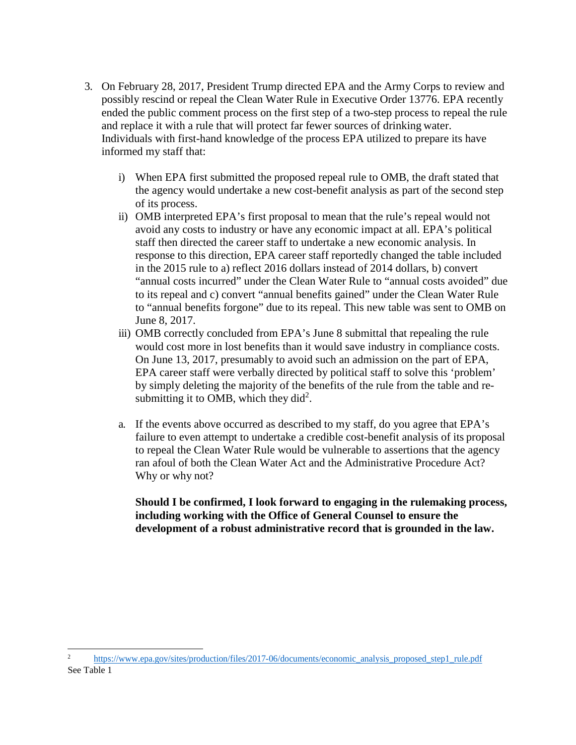- 3. On February 28, 2017, President Trump directed EPA and the Army Corps to review and possibly rescind or repeal the Clean Water Rule in Executive Order 13776. EPA recently ended the public comment process on the first step of a two-step process to repeal the rule and replace it with a rule that will protect far fewer sources of drinking water. Individuals with first-hand knowledge of the process EPA utilized to prepare its have informed my staff that:
	- i) When EPA first submitted the proposed repeal rule to OMB, the draft stated that the agency would undertake a new cost-benefit analysis as part of the second step of its process.
	- ii) OMB interpreted EPA's first proposal to mean that the rule's repeal would not avoid any costs to industry or have any economic impact at all. EPA's political staff then directed the career staff to undertake a new economic analysis. In response to this direction, EPA career staff reportedly changed the table included in the 2015 rule to a) reflect 2016 dollars instead of 2014 dollars, b) convert "annual costs incurred" under the Clean Water Rule to "annual costs avoided" due to its repeal and c) convert "annual benefits gained" under the Clean Water Rule to "annual benefits forgone" due to its repeal. This new table was sent to OMB on June 8, 2017.
	- iii) OMB correctly concluded from EPA's June 8 submittal that repealing the rule would cost more in lost benefits than it would save industry in compliance costs. On June 13, 2017, presumably to avoid such an admission on the part of EPA, EPA career staff were verbally directed by political staff to solve this 'problem' by simply deleting the majority of the benefits of the rule from the table and resubmitting it to OMB, which they did<sup>2</sup>.
	- a. If the events above occurred as described to my staff, do you agree that EPA's failure to even attempt to undertake a credible cost-benefit analysis of its proposal to repeal the Clean Water Rule would be vulnerable to assertions that the agency ran afoul of both the Clean Water Act and the Administrative Procedure Act? Why or why not?

**Should I be confirmed, I look forward to engaging in the rulemaking process, including working with the Office of General Counsel to ensure the development of a robust administrative record that is grounded in the law.**

<sup>&</sup>lt;sup>2</sup> https://www.epa.gov/sites/production/files/2017-06/documents/economic analysis proposed step1 rule.pdf See Table 1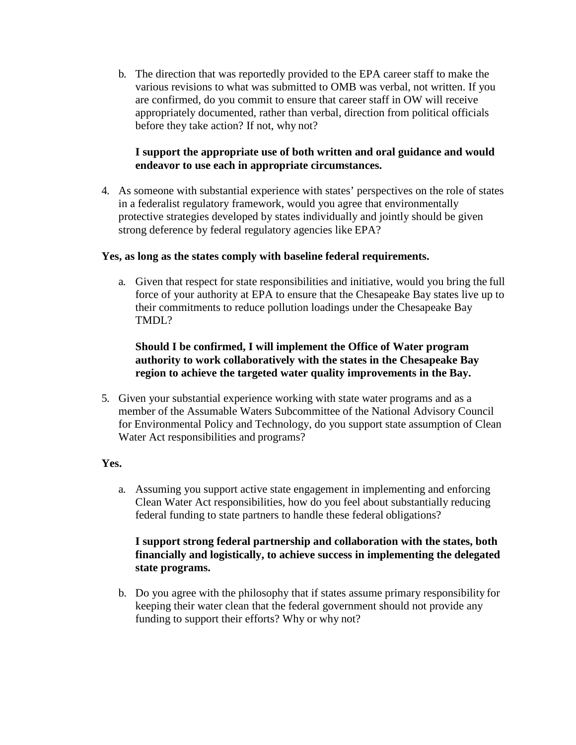b. The direction that was reportedly provided to the EPA career staff to make the various revisions to what was submitted to OMB was verbal, not written. If you are confirmed, do you commit to ensure that career staff in OW will receive appropriately documented, rather than verbal, direction from political officials before they take action? If not, why not?

## **I support the appropriate use of both written and oral guidance and would endeavor to use each in appropriate circumstances.**

4. As someone with substantial experience with states' perspectives on the role of states in a federalist regulatory framework, would you agree that environmentally protective strategies developed by states individually and jointly should be given strong deference by federal regulatory agencies like EPA?

#### **Yes, as long as the states comply with baseline federal requirements.**

a. Given that respect for state responsibilities and initiative, would you bring the full force of your authority at EPA to ensure that the Chesapeake Bay states live up to their commitments to reduce pollution loadings under the Chesapeake Bay TMDL?

## **Should I be confirmed, I will implement the Office of Water program authority to work collaboratively with the states in the Chesapeake Bay region to achieve the targeted water quality improvements in the Bay.**

5. Given your substantial experience working with state water programs and as a member of the Assumable Waters Subcommittee of the National Advisory Council for Environmental Policy and Technology, do you support state assumption of Clean Water Act responsibilities and programs?

## **Yes.**

a. Assuming you support active state engagement in implementing and enforcing Clean Water Act responsibilities, how do you feel about substantially reducing federal funding to state partners to handle these federal obligations?

### **I support strong federal partnership and collaboration with the states, both financially and logistically, to achieve success in implementing the delegated state programs.**

b. Do you agree with the philosophy that if states assume primary responsibility for keeping their water clean that the federal government should not provide any funding to support their efforts? Why or why not?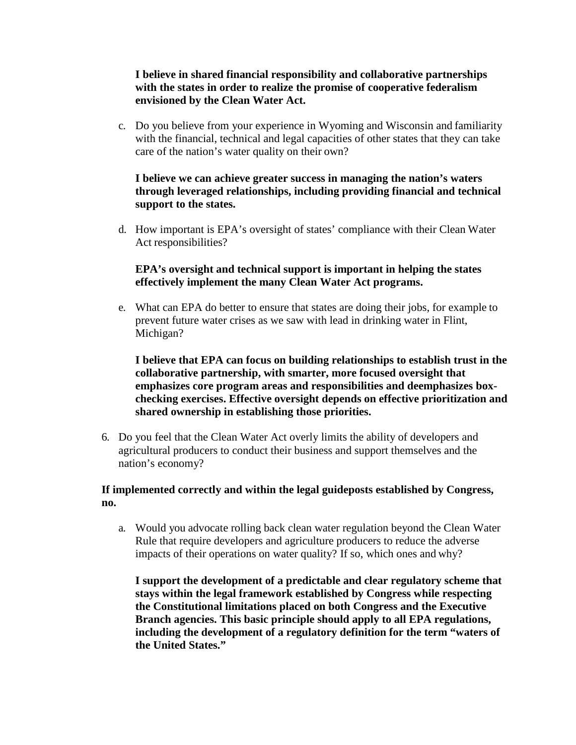#### **I believe in shared financial responsibility and collaborative partnerships with the states in order to realize the promise of cooperative federalism envisioned by the Clean Water Act.**

c. Do you believe from your experience in Wyoming and Wisconsin and familiarity with the financial, technical and legal capacities of other states that they can take care of the nation's water quality on their own?

### **I believe we can achieve greater success in managing the nation's waters through leveraged relationships, including providing financial and technical support to the states.**

d. How important is EPA's oversight of states' compliance with their Clean Water Act responsibilities?

#### **EPA's oversight and technical support is important in helping the states effectively implement the many Clean Water Act programs.**

e. What can EPA do better to ensure that states are doing their jobs, for example to prevent future water crises as we saw with lead in drinking water in Flint, Michigan?

### **I believe that EPA can focus on building relationships to establish trust in the collaborative partnership, with smarter, more focused oversight that emphasizes core program areas and responsibilities and deemphasizes boxchecking exercises. Effective oversight depends on effective prioritization and shared ownership in establishing those priorities.**

6. Do you feel that the Clean Water Act overly limits the ability of developers and agricultural producers to conduct their business and support themselves and the nation's economy?

## **If implemented correctly and within the legal guideposts established by Congress, no.**

a. Would you advocate rolling back clean water regulation beyond the Clean Water Rule that require developers and agriculture producers to reduce the adverse impacts of their operations on water quality? If so, which ones and why?

**I support the development of a predictable and clear regulatory scheme that stays within the legal framework established by Congress while respecting the Constitutional limitations placed on both Congress and the Executive Branch agencies. This basic principle should apply to all EPA regulations, including the development of a regulatory definition for the term "waters of the United States."**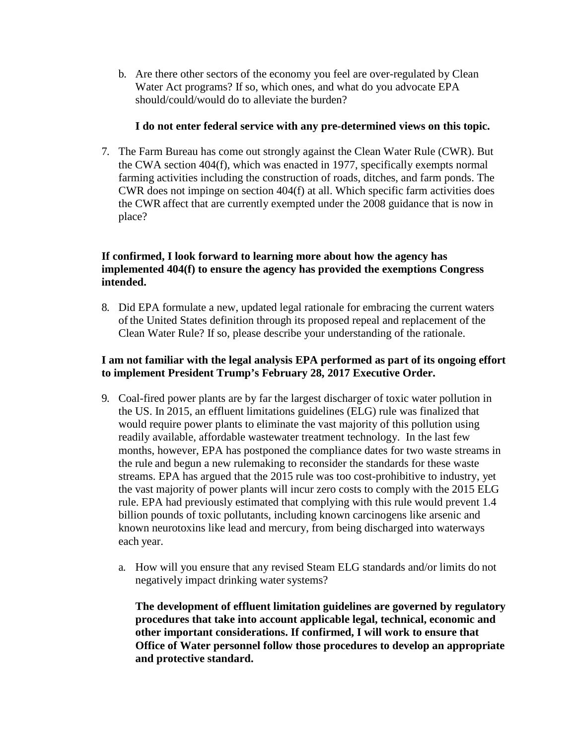b. Are there other sectors of the economy you feel are over-regulated by Clean Water Act programs? If so, which ones, and what do you advocate EPA should/could/would do to alleviate the burden?

## **I do not enter federal service with any pre-determined views on this topic.**

7. The Farm Bureau has come out strongly against the Clean Water Rule (CWR). But the CWA section 404(f), which was enacted in 1977, specifically exempts normal farming activities including the construction of roads, ditches, and farm ponds. The CWR does not impinge on section 404(f) at all. Which specific farm activities does the CWR affect that are currently exempted under the 2008 guidance that is now in place?

## **If confirmed, I look forward to learning more about how the agency has implemented 404(f) to ensure the agency has provided the exemptions Congress intended.**

8. Did EPA formulate a new, updated legal rationale for embracing the current waters of the United States definition through its proposed repeal and replacement of the Clean Water Rule? If so, please describe your understanding of the rationale.

## **I am not familiar with the legal analysis EPA performed as part of its ongoing effort to implement President Trump's February 28, 2017 Executive Order.**

- 9. Coal-fired power plants are by far the largest discharger of toxic water pollution in the US. In 2015, an effluent limitations guidelines (ELG) rule was finalized that would require power plants to eliminate the vast majority of this pollution using readily available, affordable wastewater treatment technology. In the last few months, however, EPA has postponed the compliance dates for two waste streams in the rule and begun a new rulemaking to reconsider the standards for these waste streams. EPA has argued that the 2015 rule was too cost-prohibitive to industry, yet the vast majority of power plants will incur zero costs to comply with the 2015 ELG rule. EPA had previously estimated that complying with this rule would prevent 1.4 billion pounds of toxic pollutants, including known carcinogens like arsenic and known neurotoxins like lead and mercury, from being discharged into waterways each year.
	- a. How will you ensure that any revised Steam ELG standards and/or limits do not negatively impact drinking water systems?

**The development of effluent limitation guidelines are governed by regulatory procedures that take into account applicable legal, technical, economic and other important considerations. If confirmed, I will work to ensure that Office of Water personnel follow those procedures to develop an appropriate and protective standard.**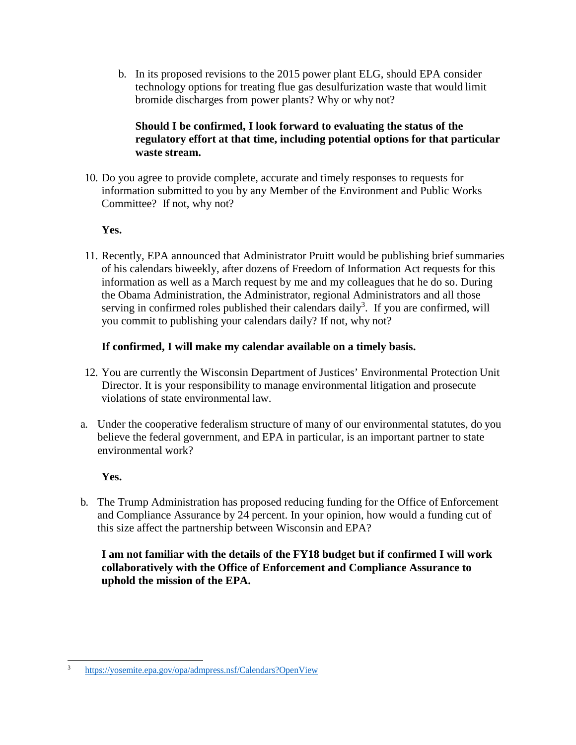b. In its proposed revisions to the 2015 power plant ELG, should EPA consider technology options for treating flue gas desulfurization waste that would limit bromide discharges from power plants? Why or why not?

## **Should I be confirmed, I look forward to evaluating the status of the regulatory effort at that time, including potential options for that particular waste stream.**

10. Do you agree to provide complete, accurate and timely responses to requests for information submitted to you by any Member of the Environment and Public Works Committee? If not, why not?

## **Yes.**

11. Recently, EPA announced that Administrator Pruitt would be publishing brief summaries of his calendars biweekly, after dozens of Freedom of Information Act requests for this information as well as a March request by me and my colleagues that he do so. During the Obama Administration, the Administrator, regional Administrators and all those serving in confirmed roles published their calendars daily<sup>3</sup>. If you are confirmed, will you commit to publishing your calendars daily? If not, why not?

## **If confirmed, I will make my calendar available on a timely basis.**

- 12. You are currently the Wisconsin Department of Justices' Environmental Protection Unit Director. It is your responsibility to manage environmental litigation and prosecute violations of state environmental law.
- a. Under the cooperative federalism structure of many of our environmental statutes, do you believe the federal government, and EPA in particular, is an important partner to state environmental work?

## **Yes.**

b. The Trump Administration has proposed reducing funding for the Office of Enforcement and Compliance Assurance by 24 percent. In your opinion, how would a funding cut of this size affect the partnership between Wisconsin and EPA?

## **I am not familiar with the details of the FY18 budget but if confirmed I will work collaboratively with the Office of Enforcement and Compliance Assurance to uphold the mission of the EPA.**

<sup>3</sup> <https://yosemite.epa.gov/opa/admpress.nsf/Calendars?OpenView>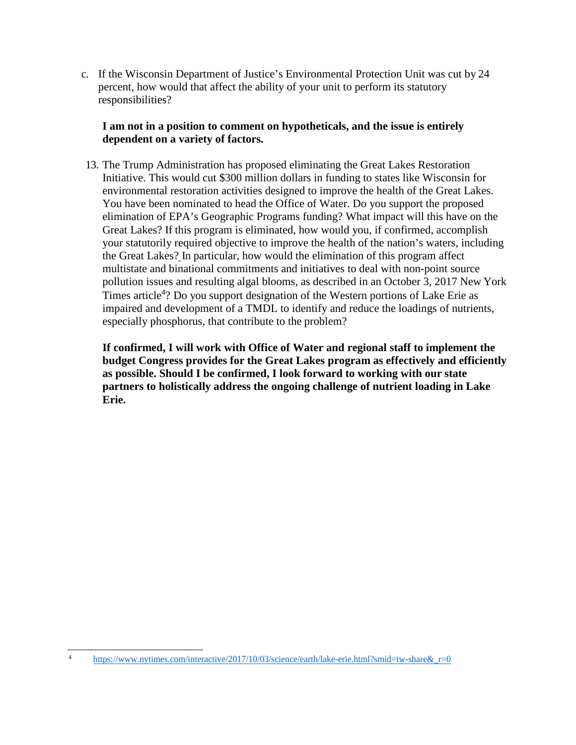c. If the Wisconsin Department of Justice's Environmental Protection Unit was cut by 24 percent, how would that affect the ability of your unit to perform its statutory responsibilities?

## **I am not in a position to comment on hypotheticals, and the issue is entirely dependent on a variety of factors.**

13. The Trump Administration has proposed eliminating the Great Lakes Restoration Initiative. This would cut \$300 million dollars in funding to states like Wisconsin for environmental restoration activities designed to improve the health of the Great Lakes. You have been nominated to head the Office of Water. Do you support the proposed elimination of EPA's Geographic Programs funding? What impact will this have on the Great Lakes? If this program is eliminated, how would you, if confirmed, accomplish your statutorily required objective to improve the health of the nation's waters, including the Great Lakes? In particular, how would the elimination of this program affect multistate and binational commitments and initiatives to deal with non-point source pollution issues and resulting algal blooms, as described in an October 3, 2017 New York Times article<sup>4</sup>? Do you support designation of the Western portions of Lake Erie as impaired and development of a TMDL to identify and reduce the loadings of nutrients, especially phosphorus, that contribute to the problem?

**If confirmed, I will work with Office of Water and regional staff to implement the budget Congress provides for the Great Lakes program as effectively and efficiently as possible. Should I be confirmed, I look forward to working with our state partners to holistically address the ongoing challenge of nutrient loading in Lake Erie.**

<sup>4</sup> https://www.nytimes.com/interactive/2017/10/03/science/earth/lake-erie.html?smid=tw-share&r=0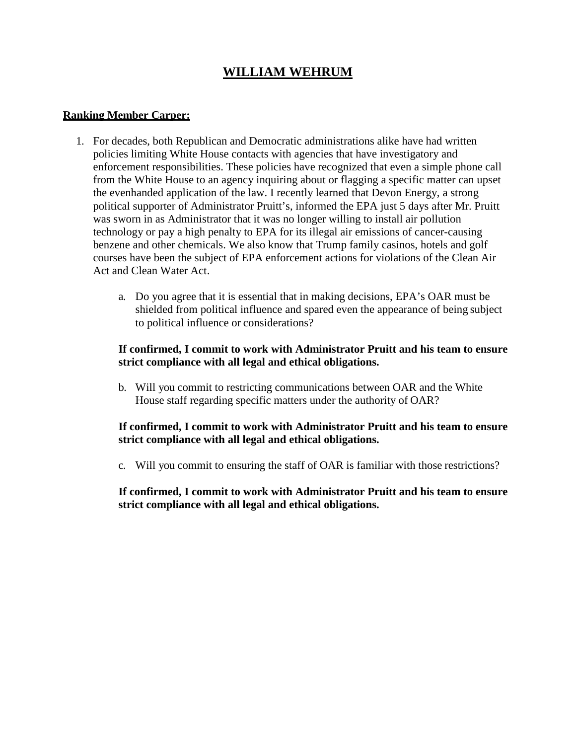## <span id="page-41-0"></span>**WILLIAM WEHRUM**

#### **Ranking Member Carper:**

- 1. For decades, both Republican and Democratic administrations alike have had written policies limiting White House contacts with agencies that have investigatory and enforcement responsibilities. These policies have recognized that even a simple phone call from the White House to an agency inquiring about or flagging a specific matter can upset the evenhanded application of the law. I recently learned that Devon Energy, a strong political supporter of Administrator Pruitt's, informed the EPA just 5 days after Mr. Pruitt was sworn in as Administrator that it was no longer willing to install air pollution technology or pay a high penalty to EPA for its illegal air emissions of cancer-causing benzene and other chemicals. We also know that Trump family casinos, hotels and golf courses have been the subject of EPA enforcement actions for violations of the Clean Air Act and Clean Water Act.
	- a. Do you agree that it is essential that in making decisions, EPA's OAR must be shielded from political influence and spared even the appearance of being subject to political influence or considerations?

#### **If confirmed, I commit to work with Administrator Pruitt and his team to ensure strict compliance with all legal and ethical obligations.**

b. Will you commit to restricting communications between OAR and the White House staff regarding specific matters under the authority of OAR?

## **If confirmed, I commit to work with Administrator Pruitt and his team to ensure strict compliance with all legal and ethical obligations.**

c. Will you commit to ensuring the staff of OAR is familiar with those restrictions?

**If confirmed, I commit to work with Administrator Pruitt and his team to ensure strict compliance with all legal and ethical obligations.**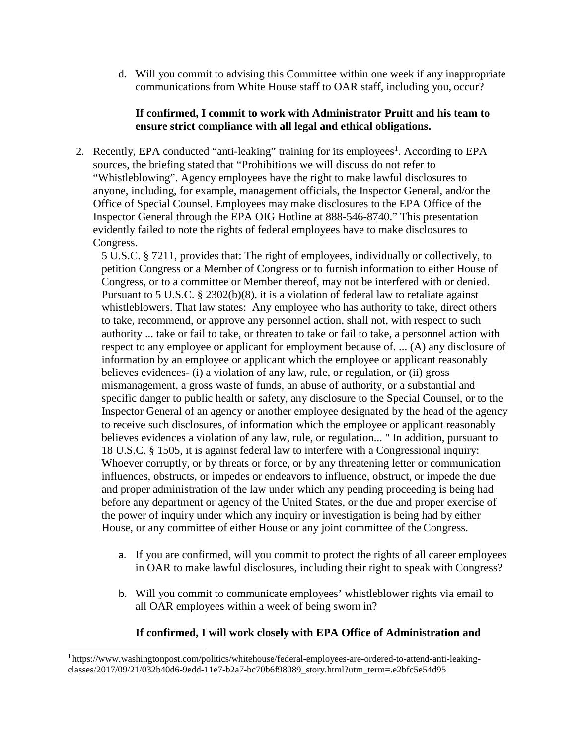d. Will you commit to advising this Committee within one week if any inappropriate communications from White House staff to OAR staff, including you, occur?

#### **If confirmed, I commit to work with Administrator Pruitt and his team to ensure strict compliance with all legal and ethical obligations.**

2. Recently, EPA conducted "anti-leaking" training for its employees<sup>1</sup>. According to EPA sources, the briefing stated that "Prohibitions we will discuss do not refer to "Whistleblowing". Agency employees have the right to make lawful disclosures to anyone, including, for example, management officials, the Inspector General, and/or the Office of Special Counsel. Employees may make disclosures to the EPA Office of the Inspector General through the EPA OIG Hotline at 888-546-8740." This presentation evidently failed to note the rights of federal employees have to make disclosures to Congress.

5 U.S.C. § 7211, provides that: The right of employees, individually or collectively, to petition Congress or a Member of Congress or to furnish information to either House of Congress, or to a committee or Member thereof, may not be interfered with or denied. Pursuant to 5 U.S.C. § 2302(b)(8), it is a violation of federal law to retaliate against whistleblowers. That law states: Any employee who has authority to take, direct others to take, recommend, or approve any personnel action, shall not, with respect to such authority ... take or fail to take, or threaten to take or fail to take, a personnel action with respect to any employee or applicant for employment because of. ... (A) any disclosure of information by an employee or applicant which the employee or applicant reasonably believes evidences- (i) a violation of any law, rule, or regulation, or (ii) gross mismanagement, a gross waste of funds, an abuse of authority, or a substantial and specific danger to public health or safety, any disclosure to the Special Counsel, or to the Inspector General of an agency or another employee designated by the head of the agency to receive such disclosures, of information which the employee or applicant reasonably believes evidences a violation of any law, rule, or regulation... " In addition, pursuant to 18 U.S.C. § 1505, it is against federal law to interfere with a Congressional inquiry: Whoever corruptly, or by threats or force, or by any threatening letter or communication influences, obstructs, or impedes or endeavors to influence, obstruct, or impede the due and proper administration of the law under which any pending proceeding is being had before any department or agency of the United States, or the due and proper exercise of the power of inquiry under which any inquiry or investigation is being had by either House, or any committee of either House or any joint committee of theCongress.

- a. If you are confirmed, will you commit to protect the rights of all career employees in OAR to make lawful disclosures, including their right to speak with Congress?
- b. Will you commit to communicate employees' whistleblower rights via email to all OAR employees within a week of being sworn in?

## **If confirmed, I will work closely with EPA Office of Administration and**

<sup>&</sup>lt;sup>1</sup> https[://www.washingtonpost.com/politics/whitehouse/federal-employees-are-ordered-to-attend-anti-leaking](http://www.washingtonpost.com/politics/whitehouse/federal-employees-are-ordered-to-attend-anti-leaking-)classes/2017/09/21/032b40d6-9edd-11e7-b2a7-bc70b6f98089\_story.html?utm\_term=.e2bfc5e54d95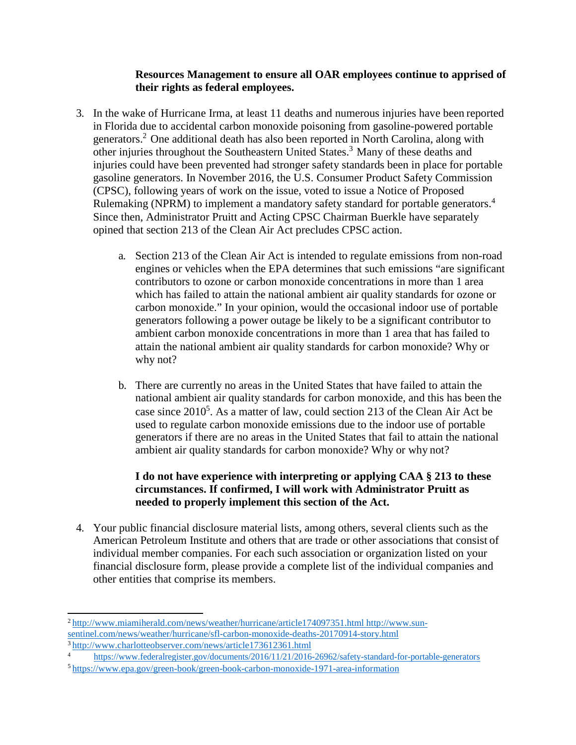### **Resources Management to ensure all OAR employees continue to apprised of their rights as federal employees.**

- 3. In the wake of Hurricane Irma, at least 11 deaths and numerous injuries have been reported in Florida due to accidental carbon monoxide poisoning from gasoline-powered portable generators.2 One additional death has also been reported in North Carolina, along with other injuries throughout the Southeastern United States.<sup>3</sup> Many of these deaths and injuries could have been prevented had stronger safety standards been in place for portable gasoline generators. In November 2016, the U.S. Consumer Product Safety Commission (CPSC), following years of work on the issue, voted to issue a Notice of Proposed Rulemaking (NPRM) to implement a mandatory safety standard for portable generators.<sup>4</sup> Since then, Administrator Pruitt and Acting CPSC Chairman Buerkle have separately opined that section 213 of the Clean Air Act precludes CPSC action.
	- a. Section 213 of the Clean Air Act is intended to regulate emissions from non-road engines or vehicles when the EPA determines that such emissions "are significant contributors to ozone or carbon monoxide concentrations in more than 1 area which has failed to attain the national ambient air quality standards for ozone or carbon monoxide." In your opinion, would the occasional indoor use of portable generators following a power outage be likely to be a significant contributor to ambient carbon monoxide concentrations in more than 1 area that has failed to attain the national ambient air quality standards for carbon monoxide? Why or why not?
	- b. There are currently no areas in the United States that have failed to attain the national ambient air quality standards for carbon monoxide, and this has been the case since 2010<sup>5</sup>. As a matter of law, could section 213 of the Clean Air Act be used to regulate carbon monoxide emissions due to the indoor use of portable generators if there are no areas in the United States that fail to attain the national ambient air quality standards for carbon monoxide? Why or why not?

## **I do not have experience with interpreting or applying CAA § 213 to these circumstances. If confirmed, I will work with Administrator Pruitt as needed to properly implement this section of the Act.**

4. Your public financial disclosure material lists, among others, several clients such as the American Petroleum Institute and others that are trade or other associations that consist of individual member companies. For each such association or organization listed on your financial disclosure form, please provide a complete list of the individual companies and other entities that comprise its members.

[<sup>2</sup> http://www.miamiherald.com/news/weather/hurricane/article174097351.html](http://www.miamiherald.com/news/weather/hurricane/article174097351.html) [http://www.sun](http://www.sun-sentinel.com/news/weather/hurricane/sfl-carbon-monoxide-deaths-20170914-story.html)[sentinel.com/news/weather/hurricane/sfl-carbon-monoxide-deaths-20170914-story.html](http://www.sun-sentinel.com/news/weather/hurricane/sfl-carbon-monoxide-deaths-20170914-story.html)

 $\frac{3 \text{ http://www.charlotteobserver.com/news/article}173612361.html}{\text{https://www.federalreoister.gov/documents/2016/11/21/2016}}$ 4 <https://www.federalregister.gov/documents/2016/11/21/2016-26962/safety-standard-for-portable-generators>

[<sup>5</sup> https://www.epa.gov/green-book/green-book-carbon-monoxide-1971-area-information](https://www.epa.gov/green-book/green-book-carbon-monoxide-1971-area-information)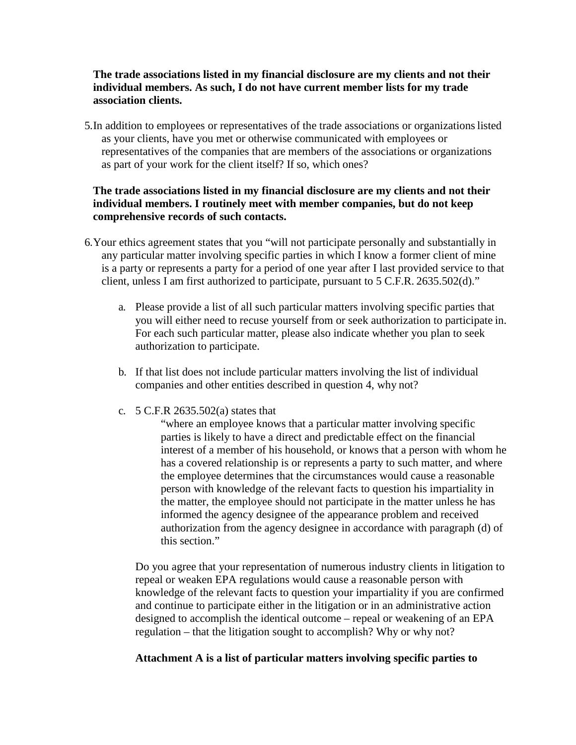#### **The trade associations listed in my financial disclosure are my clients and not their individual members. As such, I do not have current member lists for my trade association clients.**

5. In addition to employees or representatives of the trade associations or organizations listed as your clients, have you met or otherwise communicated with employees or representatives of the companies that are members of the associations or organizations as part of your work for the client itself? If so, which ones?

### **The trade associations listed in my financial disclosure are my clients and not their individual members. I routinely meet with member companies, but do not keep comprehensive records of such contacts.**

- 6.Your ethics agreement states that you "will not participate personally and substantially in any particular matter involving specific parties in which I know a former client of mine is a party or represents a party for a period of one year after I last provided service to that client, unless I am first authorized to participate, pursuant to 5 C.F.R. 2635.502(d)."
	- a. Please provide a list of all such particular matters involving specific parties that you will either need to recuse yourself from or seek authorization to participate in. For each such particular matter, please also indicate whether you plan to seek authorization to participate.
	- b. If that list does not include particular matters involving the list of individual companies and other entities described in question 4, why not?
	- c. 5 C.F.R 2635.502(a) states that

"where an employee knows that a particular matter involving specific parties is likely to have a direct and predictable effect on the financial interest of a member of his household, or knows that a person with whom he has a covered relationship is or represents a party to such matter, and where the employee determines that the circumstances would cause a reasonable person with knowledge of the relevant facts to question his impartiality in the matter, the employee should not participate in the matter unless he has informed the agency designee of the appearance problem and received authorization from the agency designee in accordance with paragraph (d) of this section."

Do you agree that your representation of numerous industry clients in litigation to repeal or weaken EPA regulations would cause a reasonable person with knowledge of the relevant facts to question your impartiality if you are confirmed and continue to participate either in the litigation or in an administrative action designed to accomplish the identical outcome – repeal or weakening of an EPA regulation – that the litigation sought to accomplish? Why or why not?

#### **Attachment A is a list of particular matters involving specific parties to**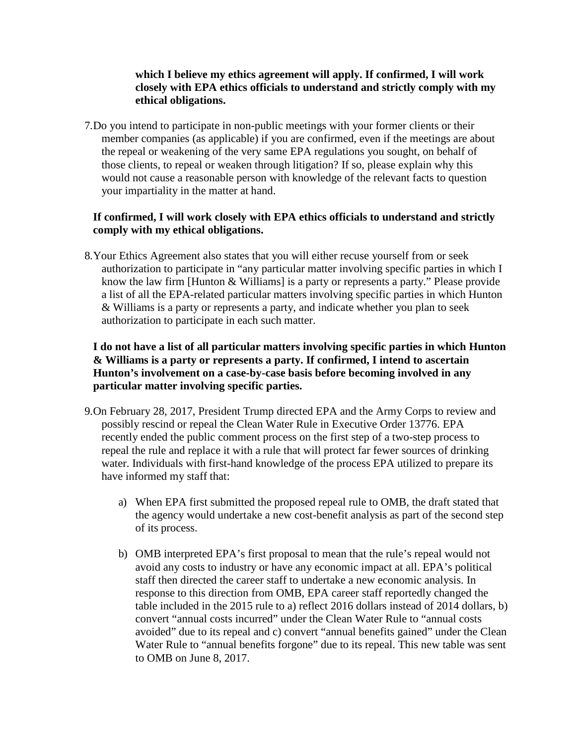#### **which I believe my ethics agreement will apply. If confirmed, I will work closely with EPA ethics officials to understand and strictly comply with my ethical obligations.**

7.Do you intend to participate in non-public meetings with your former clients or their member companies (as applicable) if you are confirmed, even if the meetings are about the repeal or weakening of the very same EPA regulations you sought, on behalf of those clients, to repeal or weaken through litigation? If so, please explain why this would not cause a reasonable person with knowledge of the relevant facts to question your impartiality in the matter at hand.

## **If confirmed, I will work closely with EPA ethics officials to understand and strictly comply with my ethical obligations.**

8.Your Ethics Agreement also states that you will either recuse yourself from or seek authorization to participate in "any particular matter involving specific parties in which I know the law firm [Hunton & Williams] is a party or represents a party." Please provide a list of all the EPA-related particular matters involving specific parties in which Hunton & Williams is a party or represents a party, and indicate whether you plan to seek authorization to participate in each such matter.

**I do not have a list of all particular matters involving specific parties in which Hunton & Williams is a party or represents a party. If confirmed, I intend to ascertain Hunton's involvement on a case-by-case basis before becoming involved in any particular matter involving specific parties.**

- 9.On February 28, 2017, President Trump directed EPA and the Army Corps to review and possibly rescind or repeal the Clean Water Rule in Executive Order 13776. EPA recently ended the public comment process on the first step of a two-step process to repeal the rule and replace it with a rule that will protect far fewer sources of drinking water. Individuals with first-hand knowledge of the process EPA utilized to prepare its have informed my staff that:
	- a) When EPA first submitted the proposed repeal rule to OMB, the draft stated that the agency would undertake a new cost-benefit analysis as part of the second step of its process.
	- b) OMB interpreted EPA's first proposal to mean that the rule's repeal would not avoid any costs to industry or have any economic impact at all. EPA's political staff then directed the career staff to undertake a new economic analysis. In response to this direction from OMB, EPA career staff reportedly changed the table included in the 2015 rule to a) reflect 2016 dollars instead of 2014 dollars, b) convert "annual costs incurred" under the Clean Water Rule to "annual costs avoided" due to its repeal and c) convert "annual benefits gained" under the Clean Water Rule to "annual benefits forgone" due to its repeal. This new table was sent to OMB on June 8, 2017.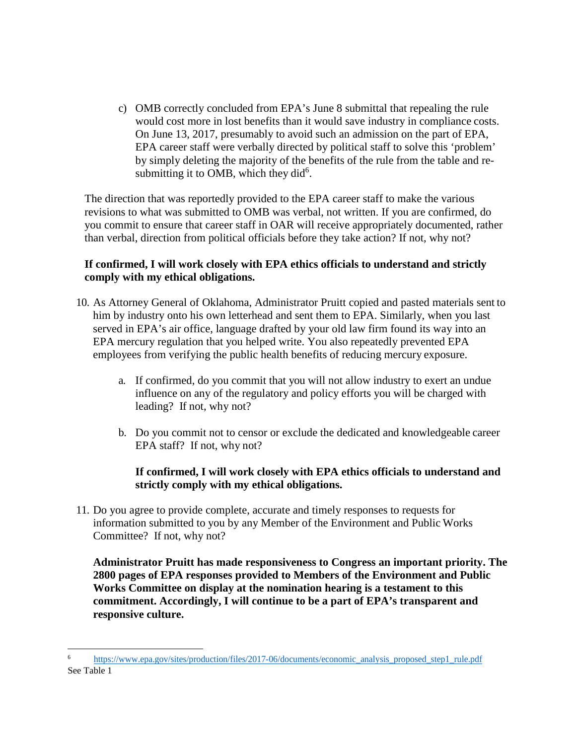c) OMB correctly concluded from EPA's June 8 submittal that repealing the rule would cost more in lost benefits than it would save industry in compliance costs. On June 13, 2017, presumably to avoid such an admission on the part of EPA, EPA career staff were verbally directed by political staff to solve this 'problem' by simply deleting the majority of the benefits of the rule from the table and resubmitting it to OMB, which they did<sup>6</sup>.

The direction that was reportedly provided to the EPA career staff to make the various revisions to what was submitted to OMB was verbal, not written. If you are confirmed, do you commit to ensure that career staff in OAR will receive appropriately documented, rather than verbal, direction from political officials before they take action? If not, why not?

#### **If confirmed, I will work closely with EPA ethics officials to understand and strictly comply with my ethical obligations.**

- 10. As Attorney General of Oklahoma, Administrator Pruitt copied and pasted materials sent to him by industry onto his own letterhead and sent them to EPA. Similarly, when you last served in EPA's air office, language drafted by your old law firm found its way into an EPA mercury regulation that you helped write. You also repeatedly prevented EPA employees from verifying the public health benefits of reducing mercury exposure.
	- a. If confirmed, do you commit that you will not allow industry to exert an undue influence on any of the regulatory and policy efforts you will be charged with leading? If not, why not?
	- b. Do you commit not to censor or exclude the dedicated and knowledgeable career EPA staff? If not, why not?

## **If confirmed, I will work closely with EPA ethics officials to understand and strictly comply with my ethical obligations.**

11. Do you agree to provide complete, accurate and timely responses to requests for information submitted to you by any Member of the Environment and Public Works Committee? If not, why not?

**Administrator Pruitt has made responsiveness to Congress an important priority. The 2800 pages of EPA responses provided to Members of the Environment and Public Works Committee on display at the nomination hearing is a testament to this commitment. Accordingly, I will continue to be a part of EPA's transparent and responsive culture.**

[https://www.epa.gov/sites/production/files/2017-06/documents/economic\\_analysis\\_proposed\\_step1\\_rule.pdf](https://www.epa.gov/sites/production/files/2017-06/documents/economic_analysis_proposed_step1_rule.pdf) See Table 1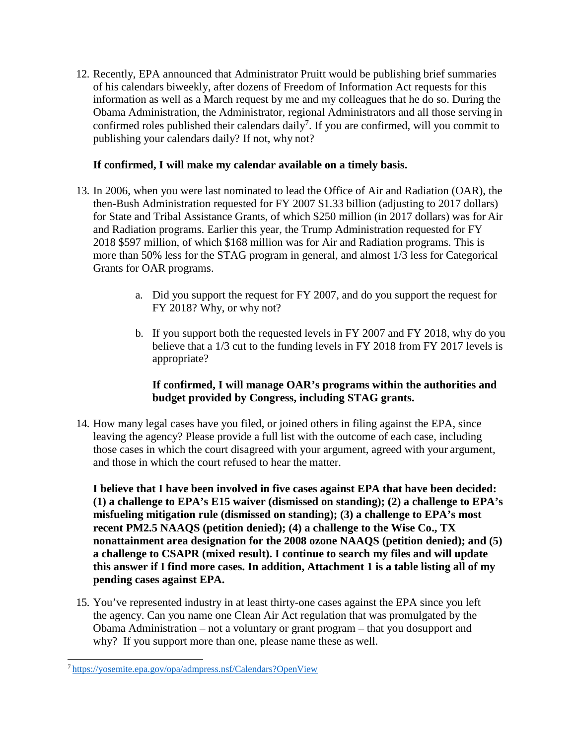12. Recently, EPA announced that Administrator Pruitt would be publishing brief summaries of his calendars biweekly, after dozens of Freedom of Information Act requests for this information as well as a March request by me and my colleagues that he do so. During the Obama Administration, the Administrator, regional Administrators and all those serving in confirmed roles published their calendars daily<sup>7</sup>. If you are confirmed, will you commit to publishing your calendars daily? If not, why not?

## **If confirmed, I will make my calendar available on a timely basis.**

- 13. In 2006, when you were last nominated to lead the Office of Air and Radiation (OAR), the then-Bush Administration requested for FY 2007 \$1.33 billion (adjusting to 2017 dollars) for State and Tribal Assistance Grants, of which \$250 million (in 2017 dollars) was for Air and Radiation programs. Earlier this year, the Trump Administration requested for FY 2018 \$597 million, of which \$168 million was for Air and Radiation programs. This is more than 50% less for the STAG program in general, and almost 1/3 less for Categorical Grants for OAR programs.
	- a. Did you support the request for FY 2007, and do you support the request for FY 2018? Why, or why not?
	- b. If you support both the requested levels in FY 2007 and FY 2018, why do you believe that a 1/3 cut to the funding levels in FY 2018 from FY 2017 levels is appropriate?

## **If confirmed, I will manage OAR's programs within the authorities and budget provided by Congress, including STAG grants.**

14. How many legal cases have you filed, or joined others in filing against the EPA, since leaving the agency? Please provide a full list with the outcome of each case, including those cases in which the court disagreed with your argument, agreed with your argument, and those in which the court refused to hear the matter.

**I believe that I have been involved in five cases against EPA that have been decided: (1) a challenge to EPA's E15 waiver (dismissed on standing); (2) a challenge to EPA's misfueling mitigation rule (dismissed on standing); (3) a challenge to EPA's most recent PM2.5 NAAQS (petition denied); (4) a challenge to the Wise Co., TX nonattainment area designation for the 2008 ozone NAAQS (petition denied); and (5) a challenge to CSAPR (mixed result). I continue to search my files and will update this answer if I find more cases. In addition, Attachment 1 is a table listing all of my pending cases against EPA.**

15. You've represented industry in at least thirty-one cases against the EPA since you left the agency. Can you name one Clean Air Act regulation that was promulgated by the Obama Administration – not a voluntary or grant program – that you dosupport and why? If you support more than one, please name these as well.

[<sup>7</sup> https://yosemite.epa.gov/opa/admpress.nsf/Calendars?OpenView](https://yosemite.epa.gov/opa/admpress.nsf/Calendars?OpenView)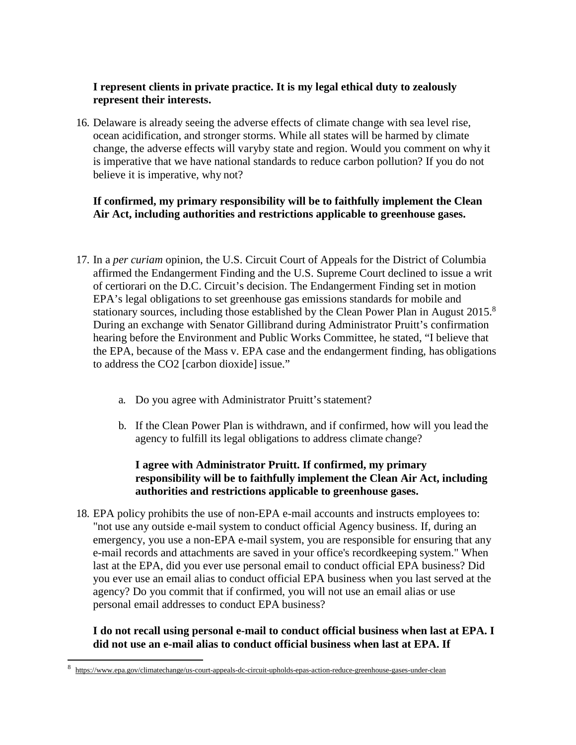## **I represent clients in private practice. It is my legal ethical duty to zealously represent their interests.**

16. Delaware is already seeing the adverse effects of climate change with sea level rise, ocean acidification, and stronger storms. While all states will be harmed by climate change, the adverse effects will varyby state and region. Would you comment on why it is imperative that we have national standards to reduce carbon pollution? If you do not believe it is imperative, why not?

## **If confirmed, my primary responsibility will be to faithfully implement the Clean Air Act, including authorities and restrictions applicable to greenhouse gases.**

- 17. In a *per curiam* opinion, the U.S. Circuit Court of Appeals for the District of Columbia affirmed the Endangerment Finding and the U.S. Supreme Court declined to issue a writ of certiorari on the D.C. Circuit's decision. The Endangerment Finding set in motion EPA's legal obligations to set greenhouse gas emissions standards for mobile and stationary sources, including those established by the Clean Power Plan in August 2015.<sup>8</sup> During an exchange with Senator Gillibrand during Administrator Pruitt's confirmation hearing before the Environment and Public Works Committee, he stated, "I believe that the EPA, because of the Mass v. EPA case and the endangerment finding, has obligations to address the CO2 [carbon dioxide] issue."
	- a. Do you agree with Administrator Pruitt's statement?
	- b. If the Clean Power Plan is withdrawn, and if confirmed, how will you lead the agency to fulfill its legal obligations to address climate change?

## **I agree with Administrator Pruitt. If confirmed, my primary responsibility will be to faithfully implement the Clean Air Act, including authorities and restrictions applicable to greenhouse gases.**

18. EPA policy prohibits the use of non-EPA e-mail accounts and instructs employees to: "not use any outside e-mail system to conduct official Agency business. If, during an emergency, you use a non-EPA e-mail system, you are responsible for ensuring that any e-mail records and attachments are saved in your office's recordkeeping system." When last at the EPA, did you ever use personal email to conduct official EPA business? Did you ever use an email alias to conduct official EPA business when you last served at the agency? Do you commit that if confirmed, you will not use an email alias or use personal email addresses to conduct EPA business?

## **I do not recall using personal e-mail to conduct official business when last at EPA. I did not use an e-mail alias to conduct official business when last at EPA. If**

<sup>8</sup> <https://www.epa.gov/climatechange/us-court-appeals-dc-circuit-upholds-epas-action-reduce-greenhouse-gases-under-clean>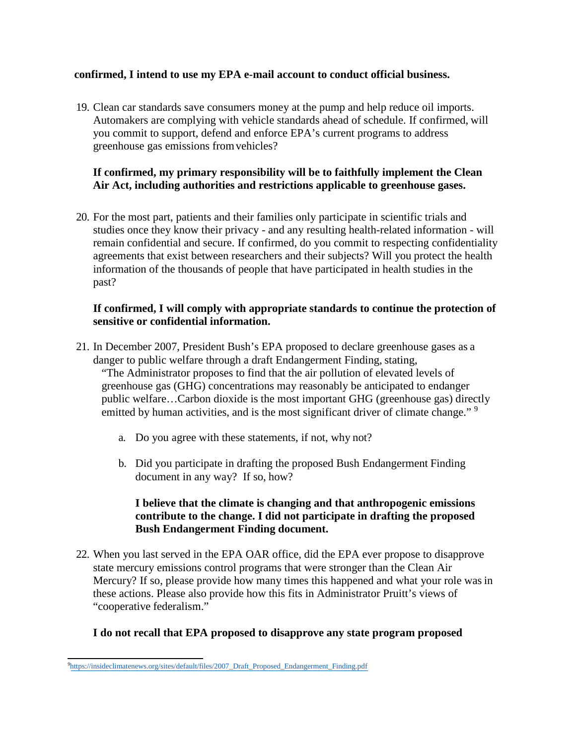### **confirmed, I intend to use my EPA e-mail account to conduct official business.**

19. Clean car standards save consumers money at the pump and help reduce oil imports. Automakers are complying with vehicle standards ahead of schedule. If confirmed, will you commit to support, defend and enforce EPA's current programs to address greenhouse gas emissions fromvehicles?

## **If confirmed, my primary responsibility will be to faithfully implement the Clean Air Act, including authorities and restrictions applicable to greenhouse gases.**

20. For the most part, patients and their families only participate in scientific trials and studies once they know their privacy - and any resulting health-related information - will remain confidential and secure. If confirmed, do you commit to respecting confidentiality agreements that exist between researchers and their subjects? Will you protect the health information of the thousands of people that have participated in health studies in the past?

#### **If confirmed, I will comply with appropriate standards to continue the protection of sensitive or confidential information.**

- 21. In December 2007, President Bush's EPA proposed to declare greenhouse gases as a danger to public welfare through a draft Endangerment Finding, stating, "The Administrator proposes to find that the air pollution of elevated levels of greenhouse gas (GHG) concentrations may reasonably be anticipated to endanger public welfare…Carbon dioxide is the most important GHG (greenhouse gas) directly emitted by human activities, and is the most significant driver of climate change."<sup>9</sup>
	- a. Do you agree with these statements, if not, why not?
	- b. Did you participate in drafting the proposed Bush Endangerment Finding document in any way? If so, how?

### **I believe that the climate is changing and that anthropogenic emissions contribute to the change. I did not participate in drafting the proposed Bush Endangerment Finding document.**

22. When you last served in the EPA OAR office, did the EPA ever propose to disapprove state mercury emissions control programs that were stronger than the Clean Air Mercury? If so, please provide how many times this happened and what your role was in these actions. Please also provide how this fits in Administrator Pruitt's views of "cooperative federalism."

## **I do not recall that EPA proposed to disapprove any state program proposed**

<sup>9</sup> [https://insideclimatenews.org/sites/default/files/2007\\_Draft\\_Proposed\\_Endangerment\\_Finding.pdf](https://insideclimatenews.org/sites/default/files/2007_Draft_Proposed_Endangerment_Finding.pdf)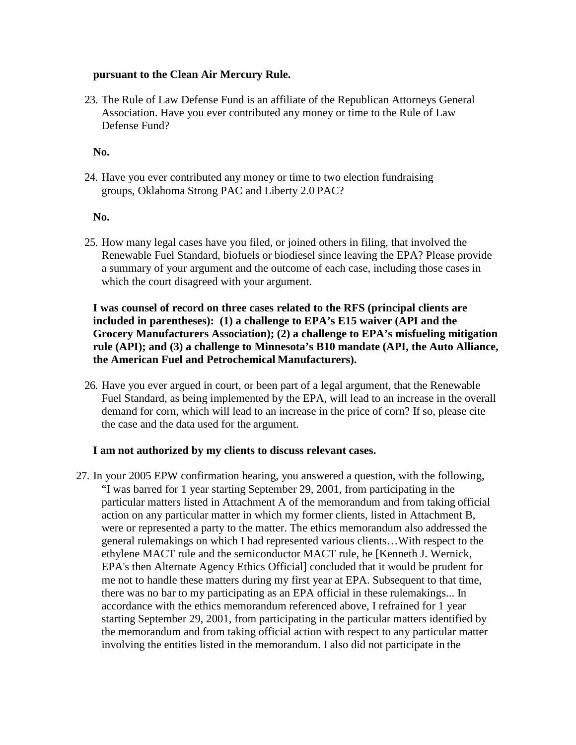#### **pursuant to the Clean Air Mercury Rule.**

23. The Rule of Law Defense Fund is an affiliate of the Republican Attorneys General Association. Have you ever contributed any money or time to the Rule of Law Defense Fund?

**No.**

24. Have you ever contributed any money or time to two election fundraising groups, Oklahoma Strong PAC and Liberty 2.0 PAC?

#### **No.**

25. How many legal cases have you filed, or joined others in filing, that involved the Renewable Fuel Standard, biofuels or biodiesel since leaving the EPA? Please provide a summary of your argument and the outcome of each case, including those cases in which the court disagreed with your argument.

#### **I was counsel of record on three cases related to the RFS (principal clients are included in parentheses): (1) a challenge to EPA's E15 waiver (API and the Grocery Manufacturers Association); (2) a challenge to EPA's misfueling mitigation rule (API); and (3) a challenge to Minnesota's B10 mandate (API, the Auto Alliance, the American Fuel and Petrochemical Manufacturers).**

26. Have you ever argued in court, or been part of a legal argument, that the Renewable Fuel Standard, as being implemented by the EPA, will lead to an increase in the overall demand for corn, which will lead to an increase in the price of corn? If so, please cite the case and the data used for the argument.

#### **I am not authorized by my clients to discuss relevant cases.**

27. In your 2005 EPW confirmation hearing, you answered a question, with the following, "I was barred for 1 year starting September 29, 2001, from participating in the particular matters listed in Attachment A of the memorandum and from taking official action on any particular matter in which my former clients, listed in Attachment B, were or represented a party to the matter. The ethics memorandum also addressed the general rulemakings on which I had represented various clients…With respect to the ethylene MACT rule and the semiconductor MACT rule, he [Kenneth J. Wernick, EPA's then Alternate Agency Ethics Official] concluded that it would be prudent for me not to handle these matters during my first year at EPA. Subsequent to that time, there was no bar to my participating as an EPA official in these rulemakings... In accordance with the ethics memorandum referenced above, I refrained for 1 year starting September 29, 2001, from participating in the particular matters identified by the memorandum and from taking official action with respect to any particular matter involving the entities listed in the memorandum. I also did not participate in the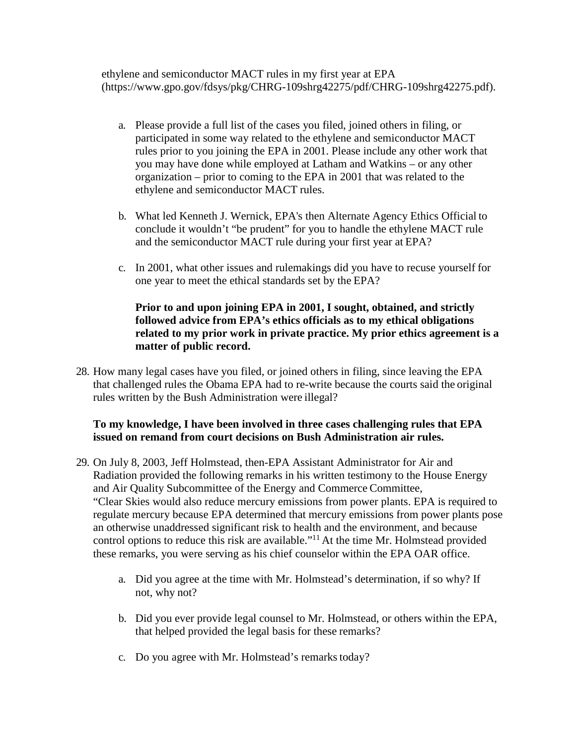ethylene and semiconductor MACT rules in my first year at EPA (https://www.gpo.gov/fdsys/pkg/CHRG-109shrg42275/pdf/CHRG-109shrg42275.pdf).

- a. Please provide a full list of the cases you filed, joined others in filing, or participated in some way related to the ethylene and semiconductor MACT rules prior to you joining the EPA in 2001. Please include any other work that you may have done while employed at Latham and Watkins – or any other organization – prior to coming to the EPA in 2001 that was related to the ethylene and semiconductor MACT rules.
- b. What led Kenneth J. Wernick, EPA's then Alternate Agency Ethics Official to conclude it wouldn't "be prudent" for you to handle the ethylene MACT rule and the semiconductor MACT rule during your first year at EPA?
- c. In 2001, what other issues and rulemakings did you have to recuse yourself for one year to meet the ethical standards set by the EPA?

**Prior to and upon joining EPA in 2001, I sought, obtained, and strictly followed advice from EPA's ethics officials as to my ethical obligations related to my prior work in private practice. My prior ethics agreement is a matter of public record.**

28. How many legal cases have you filed, or joined others in filing, since leaving the EPA that challenged rules the Obama EPA had to re-write because the courts said the original rules written by the Bush Administration were illegal?

## **To my knowledge, I have been involved in three cases challenging rules that EPA issued on remand from court decisions on Bush Administration air rules.**

- 29. On July 8, 2003, Jeff Holmstead, then-EPA Assistant Administrator for Air and Radiation provided the following remarks in his written testimony to the House Energy and Air Quality Subcommittee of the Energy and Commerce Committee, "Clear Skies would also reduce mercury emissions from power plants. EPA is required to regulate mercury because EPA determined that mercury emissions from power plants pose an otherwise unaddressed significant risk to health and the environment, and because control options to reduce this risk are available."<sup>11</sup> At the time Mr. Holmstead provided these remarks, you were serving as his chief counselor within the EPA OAR office.
	- a. Did you agree at the time with Mr. Holmstead's determination, if so why? If not, why not?
	- b. Did you ever provide legal counsel to Mr. Holmstead, or others within the EPA, that helped provided the legal basis for these remarks?
	- c. Do you agree with Mr. Holmstead's remarks today?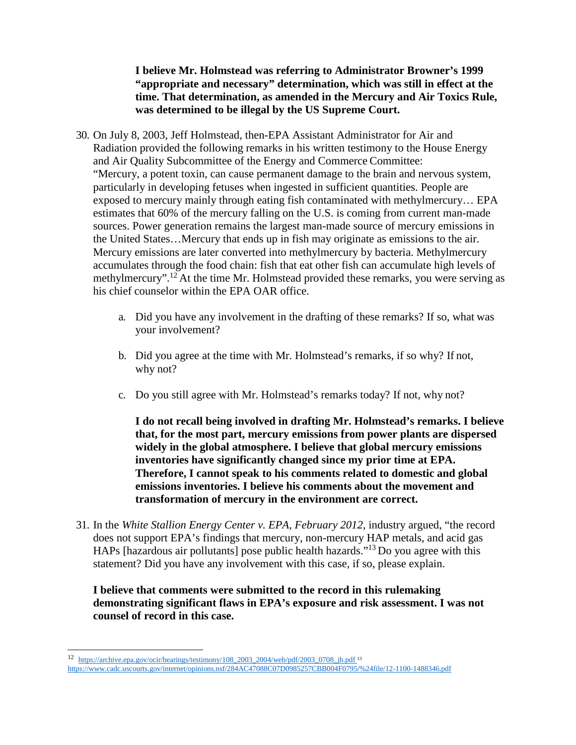**I believe Mr. Holmstead was referring to Administrator Browner's 1999 "appropriate and necessary" determination, which was still in effect at the time. That determination, as amended in the Mercury and Air Toxics Rule, was determined to be illegal by the US Supreme Court.**

- 30. On July 8, 2003, Jeff Holmstead, then-EPA Assistant Administrator for Air and Radiation provided the following remarks in his written testimony to the House Energy and Air Quality Subcommittee of the Energy and Commerce Committee: "Mercury, a potent toxin, can cause permanent damage to the brain and nervous system, particularly in developing fetuses when ingested in sufficient quantities. People are exposed to mercury mainly through eating fish contaminated with methylmercury… EPA estimates that 60% of the mercury falling on the U.S. is coming from current man-made sources. Power generation remains the largest man-made source of mercury emissions in the United States…Mercury that ends up in fish may originate as emissions to the air. Mercury emissions are later converted into methylmercury by bacteria. Methylmercury accumulates through the food chain: fish that eat other fish can accumulate high levels of methylmercury".<sup>12</sup> At the time Mr. Holmstead provided these remarks, you were serving as his chief counselor within the EPA OAR office.
	- a. Did you have any involvement in the drafting of these remarks? If so, what was your involvement?
	- b. Did you agree at the time with Mr. Holmstead's remarks, if so why? If not, why not?
	- c. Do you still agree with Mr. Holmstead's remarks today? If not, why not?

**I do not recall being involved in drafting Mr. Holmstead's remarks. I believe that, for the most part, mercury emissions from power plants are dispersed widely in the global atmosphere. I believe that global mercury emissions inventories have significantly changed since my prior time at EPA. Therefore, I cannot speak to his comments related to domestic and global emissions inventories. I believe his comments about the movement and transformation of mercury in the environment are correct.**

31. In the *White Stallion Energy Center v. EPA, February 2012,* industry argued, "the record does not support EPA's findings that mercury, non-mercury HAP metals, and acid gas HAPs [hazardous air pollutants] pose public health hazards."13 Do you agree with this statement? Did you have any involvement with this case, if so, please explain.

**I believe that comments were submitted to the record in this rulemaking demonstrating significant flaws in EPA's exposure and risk assessment. I was not counsel of record in this case.**

<sup>12</sup> [https://archive.epa.gov/ocir/hearings/testimony/108\\_2003\\_2004/web/pdf/2003\\_0708\\_jh.pdf](https://archive.epa.gov/ocir/hearings/testimony/108_2003_2004/web/pdf/2003_0708_jh.pdf) <sup>13</sup>

<https://www.cadc.uscourts.gov/internet/opinions.nsf/284AC47088C07D0985257CBB004F0795/%24file/12-1100-1488346.pdf>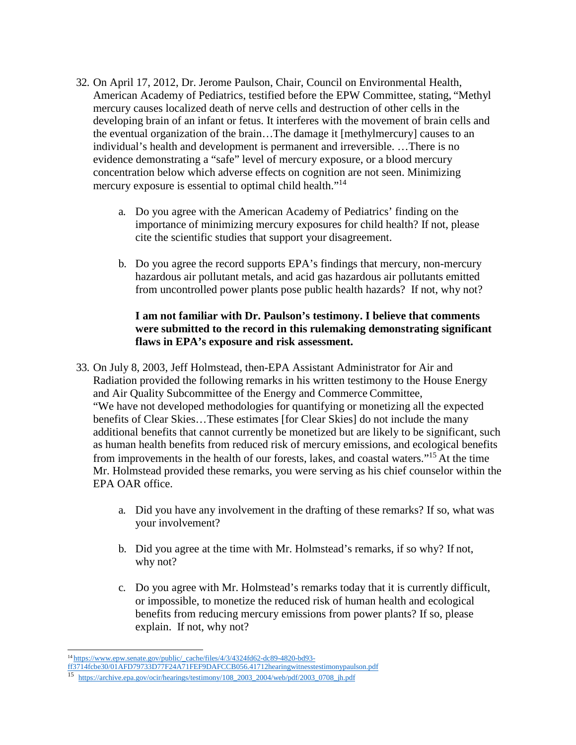- 32. On April 17, 2012, Dr. Jerome Paulson, Chair, Council on Environmental Health, American Academy of Pediatrics, testified before the EPW Committee, stating, "Methyl mercury causes localized death of nerve cells and destruction of other cells in the developing brain of an infant or fetus. It interferes with the movement of brain cells and the eventual organization of the brain…The damage it [methylmercury] causes to an individual's health and development is permanent and irreversible. …There is no evidence demonstrating a "safe" level of mercury exposure, or a blood mercury concentration below which adverse effects on cognition are not seen. Minimizing mercury exposure is essential to optimal child health."<sup>14</sup>
	- a. Do you agree with the American Academy of Pediatrics' finding on the importance of minimizing mercury exposures for child health? If not, please cite the scientific studies that support your disagreement.
	- b. Do you agree the record supports EPA's findings that mercury, non-mercury hazardous air pollutant metals, and acid gas hazardous air pollutants emitted from uncontrolled power plants pose public health hazards? If not, why not?

## **I am not familiar with Dr. Paulson's testimony. I believe that comments were submitted to the record in this rulemaking demonstrating significant flaws in EPA's exposure and risk assessment.**

- 33. On July 8, 2003, Jeff Holmstead, then-EPA Assistant Administrator for Air and Radiation provided the following remarks in his written testimony to the House Energy and Air Quality Subcommittee of the Energy and Commerce Committee, "We have not developed methodologies for quantifying or monetizing all the expected benefits of Clear Skies…These estimates [for Clear Skies] do not include the many additional benefits that cannot currently be monetized but are likely to be significant, such as human health benefits from reduced risk of mercury emissions, and ecological benefits from improvements in the health of our forests, lakes, and coastal waters."15 At the time Mr. Holmstead provided these remarks, you were serving as his chief counselor within the EPA OAR office.
	- a. Did you have any involvement in the drafting of these remarks? If so, what was your involvement?
	- b. Did you agree at the time with Mr. Holmstead's remarks, if so why? If not, why not?
	- c. Do you agree with Mr. Holmstead's remarks today that it is currently difficult, or impossible, to monetize the reduced risk of human health and ecological benefits from reducing mercury emissions from power plants? If so, please explain. If not, why not?

<sup>&</sup>lt;sup>14</sup> https://www.epw.senate.gov/public/\_cache/files/4/3/4324fd62-dc89-4820-bd93-

[ff3714fcbe30/01AFD79733D77F24A71FEF9DAFCCB056.41712hearingwitnesstestimonypaulson.pdf](https://www.epw.senate.gov/public/_cache/files/4/3/4324fd62-dc89-4820-bd93-ff3714fcbe30/01AFD79733D77F24A71FEF9DAFCCB056.41712hearingwitnesstestimonypaulson.pdf)

<sup>15</sup> [https://archive.epa.gov/ocir/hearings/testimony/108\\_2003\\_2004/web/pdf/2003\\_0708\\_jh.pdf](https://archive.epa.gov/ocir/hearings/testimony/108_2003_2004/web/pdf/2003_0708_jh.pdf)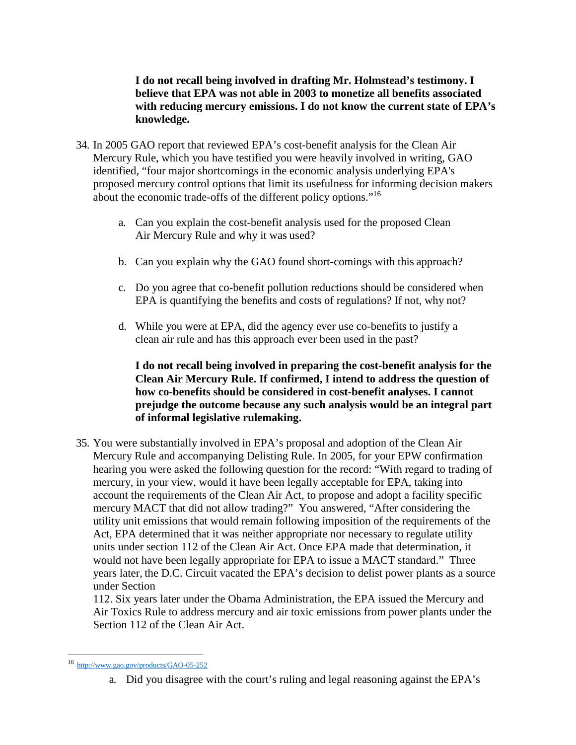**I do not recall being involved in drafting Mr. Holmstead's testimony. I believe that EPA was not able in 2003 to monetize all benefits associated with reducing mercury emissions. I do not know the current state of EPA's knowledge.**

- 34. In 2005 GAO report that reviewed EPA's cost-benefit analysis for the Clean Air Mercury Rule, which you have testified you were heavily involved in writing, GAO identified, "four major shortcomings in the economic analysis underlying EPA's proposed mercury control options that limit its usefulness for informing decision makers about the economic trade-offs of the different policy options."16
	- a. Can you explain the cost-benefit analysis used for the proposed Clean Air Mercury Rule and why it was used?
	- b. Can you explain why the GAO found short-comings with this approach?
	- c. Do you agree that co-benefit pollution reductions should be considered when EPA is quantifying the benefits and costs of regulations? If not, why not?
	- d. While you were at EPA, did the agency ever use co-benefits to justify a clean air rule and has this approach ever been used in the past?

## **I do not recall being involved in preparing the cost-benefit analysis for the Clean Air Mercury Rule. If confirmed, I intend to address the question of how co-benefits should be considered in cost-benefit analyses. I cannot prejudge the outcome because any such analysis would be an integral part of informal legislative rulemaking.**

35. You were substantially involved in EPA's proposal and adoption of the Clean Air Mercury Rule and accompanying Delisting Rule. In 2005, for your EPW confirmation hearing you were asked the following question for the record: "With regard to trading of mercury, in your view, would it have been legally acceptable for EPA, taking into account the requirements of the Clean Air Act, to propose and adopt a facility specific mercury MACT that did not allow trading?" You answered, "After considering the utility unit emissions that would remain following imposition of the requirements of the Act, EPA determined that it was neither appropriate nor necessary to regulate utility units under section 112 of the Clean Air Act. Once EPA made that determination, it would not have been legally appropriate for EPA to issue a MACT standard." Three years later, the D.C. Circuit vacated the EPA's decision to delist power plants as a source under Section

112. Six years later under the Obama Administration, the EPA issued the Mercury and Air Toxics Rule to address mercury and air toxic emissions from power plants under the Section 112 of the Clean Air Act.

a. Did you disagree with the court's ruling and legal reasoning against the EPA's

<sup>16</sup><http://www.gao.gov/products/GAO-05-252>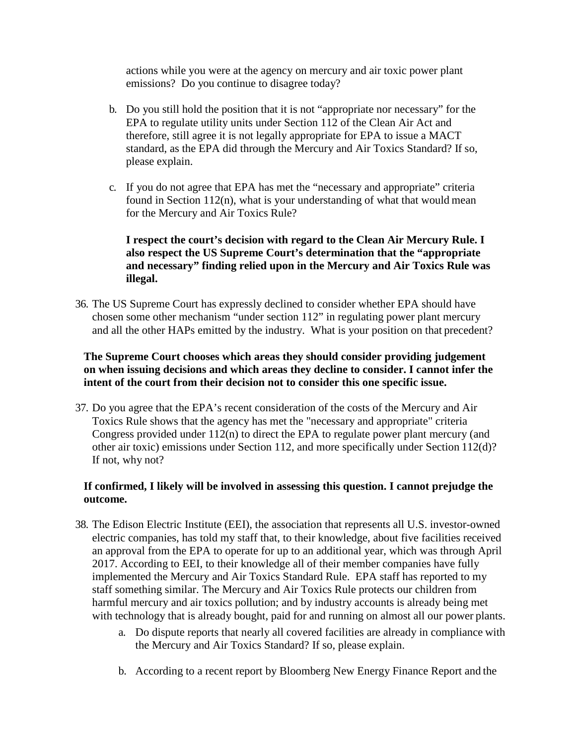actions while you were at the agency on mercury and air toxic power plant emissions? Do you continue to disagree today?

- b. Do you still hold the position that it is not "appropriate nor necessary" for the EPA to regulate utility units under Section 112 of the Clean Air Act and therefore, still agree it is not legally appropriate for EPA to issue a MACT standard, as the EPA did through the Mercury and Air Toxics Standard? If so, please explain.
- c. If you do not agree that EPA has met the "necessary and appropriate" criteria found in Section 112(n), what is your understanding of what that would mean for the Mercury and Air Toxics Rule?

## **I respect the court's decision with regard to the Clean Air Mercury Rule. I also respect the US Supreme Court's determination that the "appropriate and necessary" finding relied upon in the Mercury and Air Toxics Rule was illegal.**

36. The US Supreme Court has expressly declined to consider whether EPA should have chosen some other mechanism "under section 112" in regulating power plant mercury and all the other HAPs emitted by the industry. What is your position on that precedent?

## **The Supreme Court chooses which areas they should consider providing judgement on when issuing decisions and which areas they decline to consider. I cannot infer the intent of the court from their decision not to consider this one specific issue.**

37. Do you agree that the EPA's recent consideration of the costs of the Mercury and Air Toxics Rule shows that the agency has met the "necessary and appropriate" criteria Congress provided under 112(n) to direct the EPA to regulate power plant mercury (and other air toxic) emissions under Section 112, and more specifically under Section 112(d)? If not, why not?

## **If confirmed, I likely will be involved in assessing this question. I cannot prejudge the outcome.**

- 38. The Edison Electric Institute (EEI), the association that represents all U.S. investor-owned electric companies, has told my staff that, to their knowledge, about five facilities received an approval from the EPA to operate for up to an additional year, which was through April 2017. According to EEI, to their knowledge all of their member companies have fully implemented the Mercury and Air Toxics Standard Rule. EPA staff has reported to my staff something similar. The Mercury and Air Toxics Rule protects our children from harmful mercury and air toxics pollution; and by industry accounts is already being met with technology that is already bought, paid for and running on almost all our power plants.
	- a. Do dispute reports that nearly all covered facilities are already in compliance with the Mercury and Air Toxics Standard? If so, please explain.
	- b. According to a recent report by Bloomberg New Energy Finance Report and the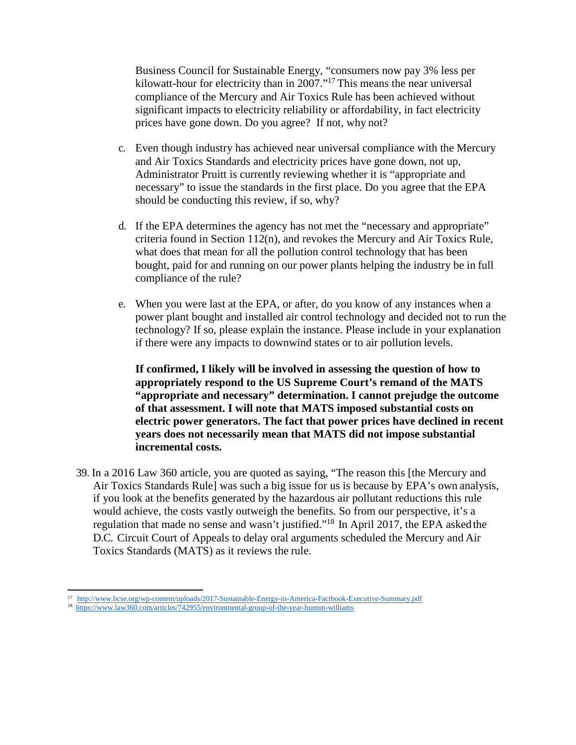Business Council for Sustainable Energy, "consumers now pay 3% less per kilowatt-hour for electricity than in 2007."17 This means the near universal compliance of the Mercury and Air Toxics Rule has been achieved without significant impacts to electricity reliability or affordability, in fact electricity prices have gone down. Do you agree? If not, why not?

- c. Even though industry has achieved near universal compliance with the Mercury and Air Toxics Standards and electricity prices have gone down, not up, Administrator Pruitt is currently reviewing whether it is "appropriate and necessary" to issue the standards in the first place. Do you agree that the EPA should be conducting this review, if so, why?
- d. If the EPA determines the agency has not met the "necessary and appropriate" criteria found in Section 112(n), and revokes the Mercury and Air Toxics Rule, what does that mean for all the pollution control technology that has been bought, paid for and running on our power plants helping the industry be in full compliance of the rule?
- e. When you were last at the EPA, or after, do you know of any instances when a power plant bought and installed air control technology and decided not to run the technology? If so, please explain the instance. Please include in your explanation if there were any impacts to downwind states or to air pollution levels.

**If confirmed, I likely will be involved in assessing the question of how to appropriately respond to the US Supreme Court's remand of the MATS "appropriate and necessary" determination. I cannot prejudge the outcome of that assessment. I will note that MATS imposed substantial costs on electric power generators. The fact that power prices have declined in recent years does not necessarily mean that MATS did not impose substantial incremental costs.**

39. In a 2016 Law 360 article, you are quoted as saying, "The reason this [the Mercury and Air Toxics Standards Rule] was such a big issue for us is because by EPA's own analysis, if you look at the benefits generated by the hazardous air pollutant reductions this rule would achieve, the costs vastly outweigh the benefits. So from our perspective, it's a regulation that made no sense and wasn't justified."18 In April 2017, the EPA askedthe D.C. Circuit Court of Appeals to delay oral arguments scheduled the Mercury and Air Toxics Standards (MATS) as it reviews the rule.

<sup>17</sup> <http://www.bcse.org/wp-content/uploads/2017-Sustainable-Energy-in-America-Factbook-Executive-Summary.pdf>

<sup>18</sup><https://www.law360.com/articles/742955/environmental-group-of-the-year-hunton-williams>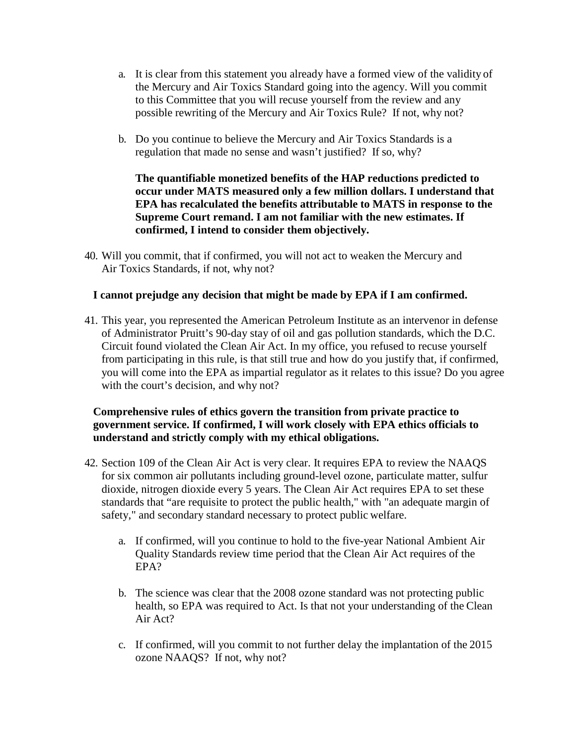- a. It is clear from this statement you already have a formed view of the validity of the Mercury and Air Toxics Standard going into the agency. Will you commit to this Committee that you will recuse yourself from the review and any possible rewriting of the Mercury and Air Toxics Rule? If not, why not?
- b. Do you continue to believe the Mercury and Air Toxics Standards is a regulation that made no sense and wasn't justified? If so, why?

**The quantifiable monetized benefits of the HAP reductions predicted to occur under MATS measured only a few million dollars. I understand that EPA has recalculated the benefits attributable to MATS in response to the Supreme Court remand. I am not familiar with the new estimates. If confirmed, I intend to consider them objectively.**

40. Will you commit, that if confirmed, you will not act to weaken the Mercury and Air Toxics Standards, if not, why not?

#### **I cannot prejudge any decision that might be made by EPA if I am confirmed.**

41. This year, you represented the American Petroleum Institute as an intervenor in defense of Administrator Pruitt's 90-day stay of oil and gas pollution standards, which the D.C. Circuit found violated the Clean Air Act. In my office, you refused to recuse yourself from participating in this rule, is that still true and how do you justify that, if confirmed, you will come into the EPA as impartial regulator as it relates to this issue? Do you agree with the court's decision, and why not?

### **Comprehensive rules of ethics govern the transition from private practice to government service. If confirmed, I will work closely with EPA ethics officials to understand and strictly comply with my ethical obligations.**

- 42. Section 109 of the Clean Air Act is very clear. It requires EPA to review the NAAQS for six common air pollutants including ground-level ozone, particulate matter, sulfur dioxide, nitrogen dioxide every 5 years. The Clean Air Act requires EPA to set these standards that "are requisite to protect the public health," with "an adequate margin of safety," and secondary standard necessary to protect public welfare.
	- a. If confirmed, will you continue to hold to the five-year National Ambient Air Quality Standards review time period that the Clean Air Act requires of the EPA?
	- b. The science was clear that the 2008 ozone standard was not protecting public health, so EPA was required to Act. Is that not your understanding of the Clean Air Act?
	- c. If confirmed, will you commit to not further delay the implantation of the 2015 ozone NAAQS? If not, why not?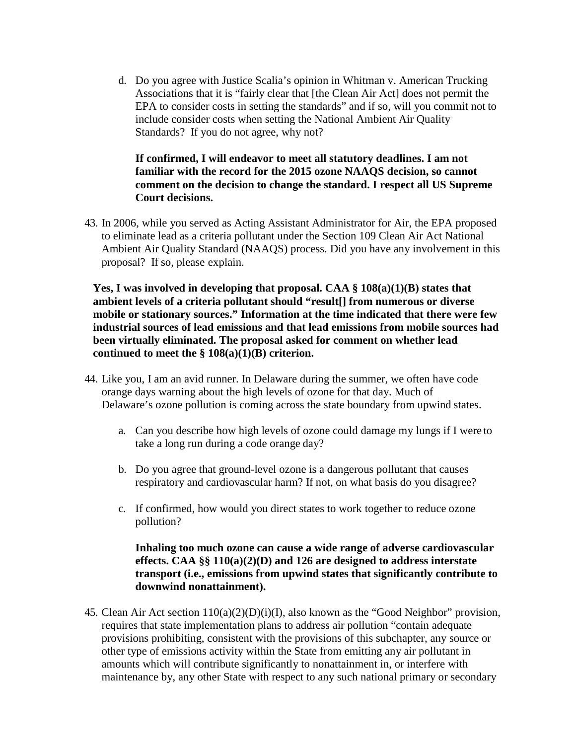d. Do you agree with Justice Scalia's opinion in Whitman v. American Trucking Associations that it is "fairly clear that [the Clean Air Act] does not permit the EPA to consider costs in setting the standards" and if so, will you commit not to include consider costs when setting the National Ambient Air Quality Standards? If you do not agree, why not?

#### **If confirmed, I will endeavor to meet all statutory deadlines. I am not familiar with the record for the 2015 ozone NAAQS decision, so cannot comment on the decision to change the standard. I respect all US Supreme Court decisions.**

43. In 2006, while you served as Acting Assistant Administrator for Air, the EPA proposed to eliminate lead as a criteria pollutant under the Section 109 Clean Air Act National Ambient Air Quality Standard (NAAQS) process. Did you have any involvement in this proposal? If so, please explain.

**Yes, I was involved in developing that proposal. CAA § 108(a)(1)(B) states that ambient levels of a criteria pollutant should "result[] from numerous or diverse mobile or stationary sources." Information at the time indicated that there were few industrial sources of lead emissions and that lead emissions from mobile sources had been virtually eliminated. The proposal asked for comment on whether lead continued to meet the § 108(a)(1)(B) criterion.**

- 44. Like you, I am an avid runner. In Delaware during the summer, we often have code orange days warning about the high levels of ozone for that day. Much of Delaware's ozone pollution is coming across the state boundary from upwind states.
	- a. Can you describe how high levels of ozone could damage my lungs if I were to take a long run during a code orange day?
	- b. Do you agree that ground-level ozone is a dangerous pollutant that causes respiratory and cardiovascular harm? If not, on what basis do you disagree?
	- c. If confirmed, how would you direct states to work together to reduce ozone pollution?

**Inhaling too much ozone can cause a wide range of adverse cardiovascular effects. CAA §§ 110(a)(2)(D) and 126 are designed to address interstate transport (i.e., emissions from upwind states that significantly contribute to downwind nonattainment).**

45. Clean Air Act section  $110(a)(2)(D)(i)(I)$ , also known as the "Good Neighbor" provision, requires that state implementation plans to address air pollution "contain adequate provisions prohibiting, consistent with the provisions of this subchapter, any source or other type of emissions activity within the State from emitting any air pollutant in amounts which will contribute significantly to nonattainment in, or interfere with maintenance by, any other State with respect to any such national primary or secondary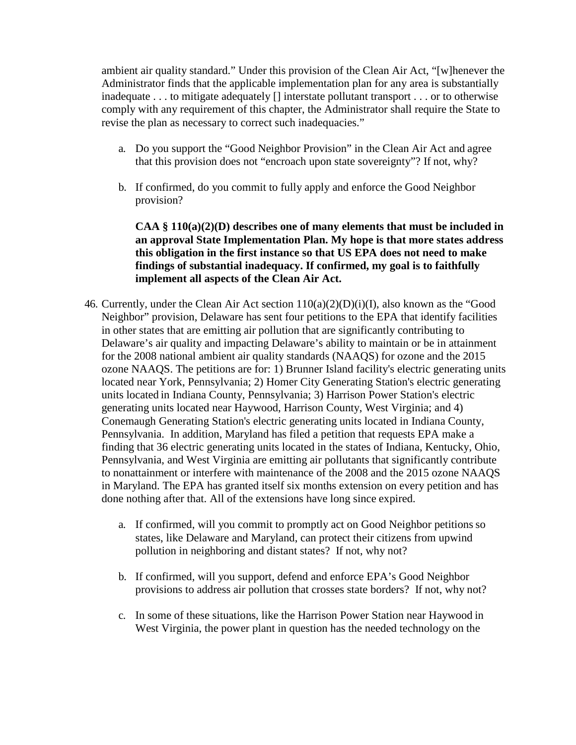ambient air quality standard." Under this provision of the Clean Air Act, "[w]henever the Administrator finds that the applicable implementation plan for any area is substantially inadequate . . . to mitigate adequately [] interstate pollutant transport . . . or to otherwise comply with any requirement of this chapter, the Administrator shall require the State to revise the plan as necessary to correct such inadequacies."

- a. Do you support the "Good Neighbor Provision" in the Clean Air Act and agree that this provision does not "encroach upon state sovereignty"? If not, why?
- b. If confirmed, do you commit to fully apply and enforce the Good Neighbor provision?

**CAA § 110(a)(2)(D) describes one of many elements that must be included in an approval State Implementation Plan. My hope is that more states address this obligation in the first instance so that US EPA does not need to make findings of substantial inadequacy. If confirmed, my goal is to faithfully implement all aspects of the Clean Air Act.**

- 46. Currently, under the Clean Air Act section 110(a)(2)(D)(i)(I), also known as the "Good Neighbor" provision, Delaware has sent four petitions to the EPA that identify facilities in other states that are emitting air pollution that are significantly contributing to Delaware's air quality and impacting Delaware's ability to maintain or be in attainment for the 2008 national ambient air quality standards (NAAQS) for ozone and the 2015 ozone NAAQS. The petitions are for: 1) Brunner Island facility's electric generating units located near York, Pennsylvania; 2) Homer City Generating Station's electric generating units located in Indiana County, Pennsylvania; 3) Harrison Power Station's electric generating units located near Haywood, Harrison County, West Virginia; and 4) Conemaugh Generating Station's electric generating units located in Indiana County, Pennsylvania. In addition, Maryland has filed a petition that requests EPA make a finding that 36 electric generating units located in the states of Indiana, Kentucky, Ohio, Pennsylvania, and West Virginia are emitting air pollutants that significantly contribute to nonattainment or interfere with maintenance of the 2008 and the 2015 ozone NAAQS in Maryland. The EPA has granted itself six months extension on every petition and has done nothing after that. All of the extensions have long since expired.
	- a. If confirmed, will you commit to promptly act on Good Neighbor petitions so states, like Delaware and Maryland, can protect their citizens from upwind pollution in neighboring and distant states? If not, why not?
	- b. If confirmed, will you support, defend and enforce EPA's Good Neighbor provisions to address air pollution that crosses state borders? If not, why not?
	- c. In some of these situations, like the Harrison Power Station near Haywood in West Virginia, the power plant in question has the needed technology on the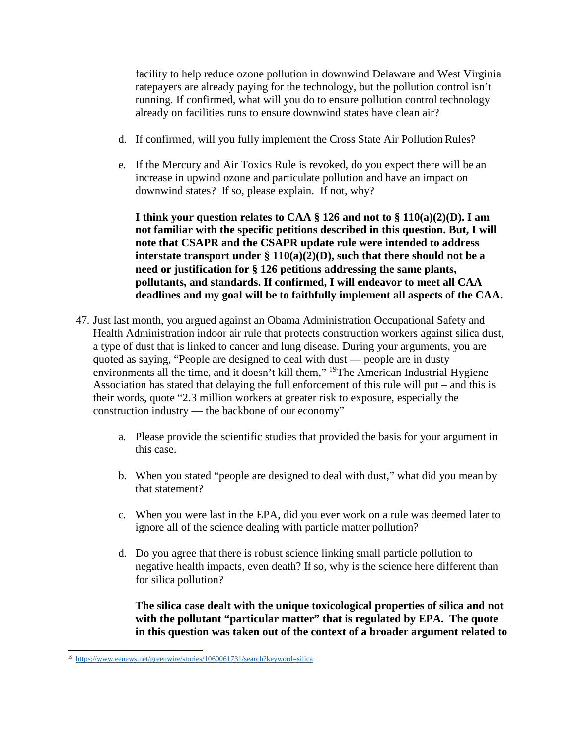facility to help reduce ozone pollution in downwind Delaware and West Virginia ratepayers are already paying for the technology, but the pollution control isn't running. If confirmed, what will you do to ensure pollution control technology already on facilities runs to ensure downwind states have clean air?

- d. If confirmed, will you fully implement the Cross State Air Pollution Rules?
- e. If the Mercury and Air Toxics Rule is revoked, do you expect there will be an increase in upwind ozone and particulate pollution and have an impact on downwind states? If so, please explain. If not, why?

**I think your question relates to CAA § 126 and not to § 110(a)(2)(D). I am not familiar with the specific petitions described in this question. But, I will note that CSAPR and the CSAPR update rule were intended to address interstate transport under § 110(a)(2)(D), such that there should not be a need or justification for § 126 petitions addressing the same plants, pollutants, and standards. If confirmed, I will endeavor to meet all CAA deadlines and my goal will be to faithfully implement all aspects of the CAA.**

- 47. Just last month, you argued against an Obama Administration Occupational Safety and Health Administration indoor air rule that protects construction workers against silica dust, a type of dust that is linked to cancer and lung disease. During your arguments, you are quoted as saying, "People are designed to deal with dust — people are in dusty environments all the time, and it doesn't kill them," <sup>19</sup>The American Industrial Hygiene Association has stated that delaying the full enforcement of this rule will put – and this is their words, quote "2.3 million workers at greater risk to exposure, especially the construction industry — the backbone of our economy"
	- a. Please provide the scientific studies that provided the basis for your argument in this case.
	- b. When you stated "people are designed to deal with dust," what did you mean by that statement?
	- c. When you were last in the EPA, did you ever work on a rule was deemed later to ignore all of the science dealing with particle matter pollution?
	- d. Do you agree that there is robust science linking small particle pollution to negative health impacts, even death? If so, why is the science here different than for silica pollution?

**The silica case dealt with the unique toxicological properties of silica and not with the pollutant "particular matter" that is regulated by EPA. The quote in this question was taken out of the context of a broader argument related to**

<sup>19</sup><https://www.eenews.net/greenwire/stories/1060061731/search?keyword=silica>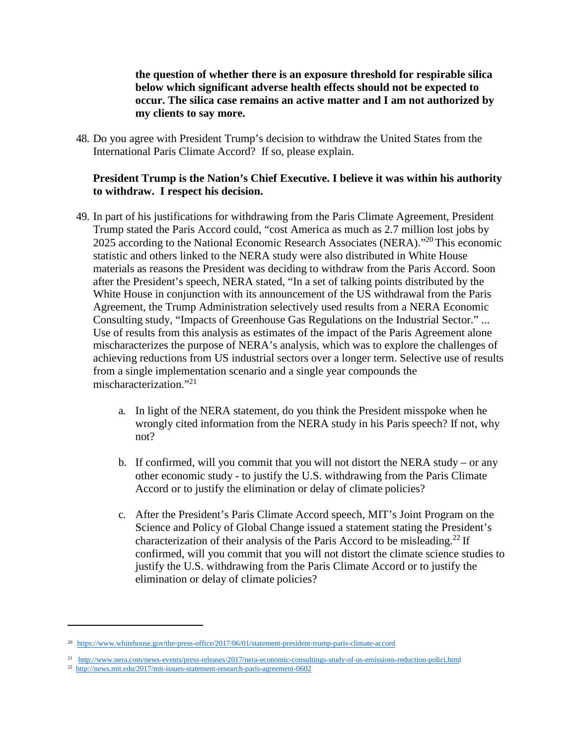**the question of whether there is an exposure threshold for respirable silica below which significant adverse health effects should not be expected to occur. The silica case remains an active matter and I am not authorized by my clients to say more.**

48. Do you agree with President Trump's decision to withdraw the United States from the International Paris Climate Accord? If so, please explain.

#### **President Trump is the Nation's Chief Executive. I believe it was within his authority to withdraw. I respect his decision.**

- 49. In part of his justifications for withdrawing from the Paris Climate Agreement, President Trump stated the Paris Accord could, "cost America as much as 2.7 million lost jobs by 2025 according to the National Economic Research Associates (NERA)."20 This economic statistic and others linked to the NERA study were also distributed in White House materials as reasons the President was deciding to withdraw from the Paris Accord. Soon after the President's speech, NERA stated, "In a set of talking points distributed by the White House in conjunction with its announcement of the US withdrawal from the Paris Agreement, the Trump Administration selectively used results from a NERA Economic Consulting study, "Impacts of Greenhouse Gas Regulations on the Industrial Sector." ... Use of results from this analysis as estimates of the impact of the Paris Agreement alone mischaracterizes the purpose of NERA's analysis, which was to explore the challenges of achieving reductions from US industrial sectors over a longer term. Selective use of results from a single implementation scenario and a single year compounds the mischaracterization."<sup>21</sup>
	- a. In light of the NERA statement, do you think the President misspoke when he wrongly cited information from the NERA study in his Paris speech? If not, why not?
	- b. If confirmed, will you commit that you will not distort the NERA study or any other economic study - to justify the U.S. withdrawing from the Paris Climate Accord or to justify the elimination or delay of climate policies?
	- c. After the President's Paris Climate Accord speech, MIT's Joint Program on the Science and Policy of Global Change issued a statement stating the President's characterization of their analysis of the Paris Accord to be misleading.<sup>22</sup> If confirmed, will you commit that you will not distort the climate science studies to justify the U.S. withdrawing from the Paris Climate Accord or to justify the elimination or delay of climate policies?

<sup>20</sup> <https://www.whitehouse.gov/the-press-office/2017/06/01/statement-president-trump-paris-climate-accord>

<sup>21</sup> <http://www.nera.com/news-events/press-releases/2017/nera-economic-consultings-study-of-us-emissions-reduction-polici.html>

<sup>22</sup><http://news.mit.edu/2017/mit-issues-statement-research-paris-agreement-0602>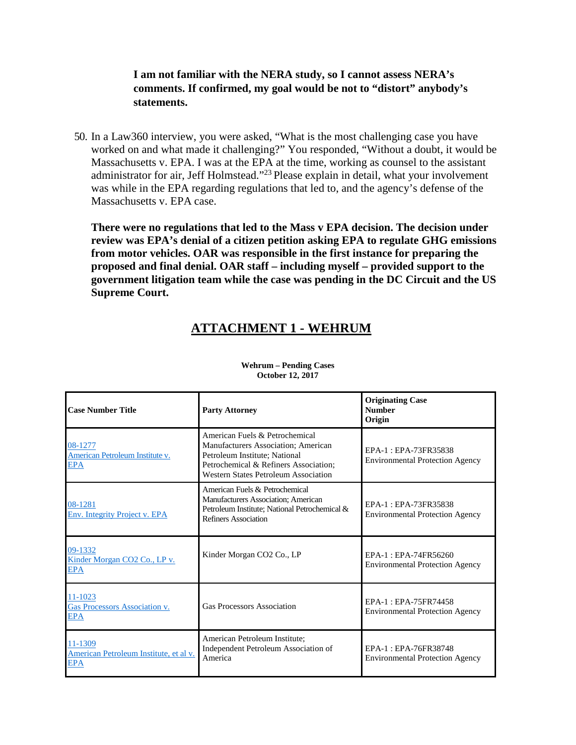## **I am not familiar with the NERA study, so I cannot assess NERA's comments. If confirmed, my goal would be not to "distort" anybody's statements.**

50. In a Law360 interview, you were asked, "What is the most challenging case you have worked on and what made it challenging?" You responded, "Without a doubt, it would be Massachusetts v. EPA. I was at the EPA at the time, working as counsel to the assistant administrator for air, Jeff Holmstead."<sup>23</sup> Please explain in detail, what your involvement was while in the EPA regarding regulations that led to, and the agency's defense of the Massachusetts v. EPA case.

**There were no regulations that led to the Mass v EPA decision. The decision under review was EPA's denial of a citizen petition asking EPA to regulate GHG emissions from motor vehicles. OAR was responsible in the first instance for preparing the proposed and final denial. OAR staff – including myself – provided support to the government litigation team while the case was pending in the DC Circuit and the US Supreme Court.**

## **ATTACHMENT 1 - WEHRUM**

| <b>Case Number Title</b>                                          | <b>Party Attorney</b>                                                                                                                                                                          | <b>Originating Case</b><br><b>Number</b><br>Origin             |
|-------------------------------------------------------------------|------------------------------------------------------------------------------------------------------------------------------------------------------------------------------------------------|----------------------------------------------------------------|
| 08-1277<br>American Petroleum Institute v.<br><b>EPA</b>          | American Fuels & Petrochemical<br>Manufacturers Association; American<br>Petroleum Institute; National<br>Petrochemical & Refiners Association;<br><b>Western States Petroleum Association</b> | EPA-1: EPA-73FR35838<br><b>Environmental Protection Agency</b> |
| 08-1281<br><b>Env. Integrity Project v. EPA</b>                   | American Fuels & Petrochemical<br>Manufacturers Association; American<br>Petroleum Institute; National Petrochemical &<br>Refiners Association                                                 | EPA-1: EPA-73FR35838<br><b>Environmental Protection Agency</b> |
| 09-1332<br>Kinder Morgan CO <sub>2</sub> Co., LP v.<br><b>EPA</b> | Kinder Morgan CO <sub>2</sub> Co., LP                                                                                                                                                          | EPA-1: EPA-74FR56260<br><b>Environmental Protection Agency</b> |
| 11-1023<br><b>Gas Processors Association v.</b><br>EPA            | <b>Gas Processors Association</b>                                                                                                                                                              | EPA-1: EPA-75FR74458<br><b>Environmental Protection Agency</b> |
| 11-1309<br>American Petroleum Institute, et al v.<br>EPA          | American Petroleum Institute;<br>Independent Petroleum Association of<br>America                                                                                                               | EPA-1: EPA-76FR38748<br><b>Environmental Protection Agency</b> |

#### **Wehrum – Pending Cases October 12, 2017**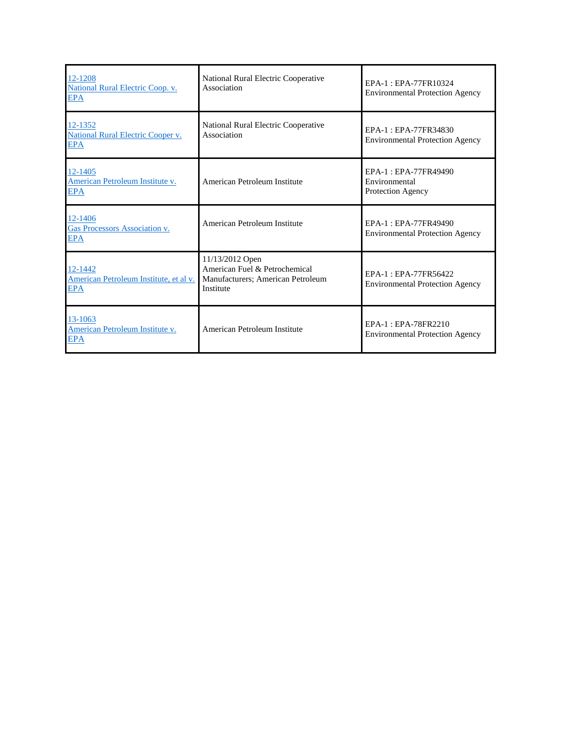| 12-1208<br>National Rural Electric Coop. v.<br><b>EPA</b>         | National Rural Electric Cooperative<br>Association                                                 | EPA-1: EPA-77FR10324<br><b>Environmental Protection Agency</b> |
|-------------------------------------------------------------------|----------------------------------------------------------------------------------------------------|----------------------------------------------------------------|
| 12-1352<br><b>National Rural Electric Cooper v.</b><br><b>EPA</b> | National Rural Electric Cooperative<br>Association                                                 | EPA-1: EPA-77FR34830<br><b>Environmental Protection Agency</b> |
| <u>12-1405</u><br>American Petroleum Institute v.<br><b>EPA</b>   | American Petroleum Institute                                                                       | EPA-1: EPA-77FR49490<br>Environmental<br>Protection Agency     |
| 12-1406<br><b>Gas Processors Association v.</b><br><b>EPA</b>     | American Petroleum Institute                                                                       | EPA-1: EPA-77FR49490<br><b>Environmental Protection Agency</b> |
| 12-1442<br>American Petroleum Institute, et al v.<br><b>EPA</b>   | 11/13/2012 Open<br>American Fuel & Petrochemical<br>Manufacturers; American Petroleum<br>Institute | EPA-1: EPA-77FR56422<br><b>Environmental Protection Agency</b> |
| 13-1063<br>American Petroleum Institute v.<br><b>EPA</b>          | American Petroleum Institute                                                                       | EPA-1: EPA-78FR2210<br><b>Environmental Protection Agency</b>  |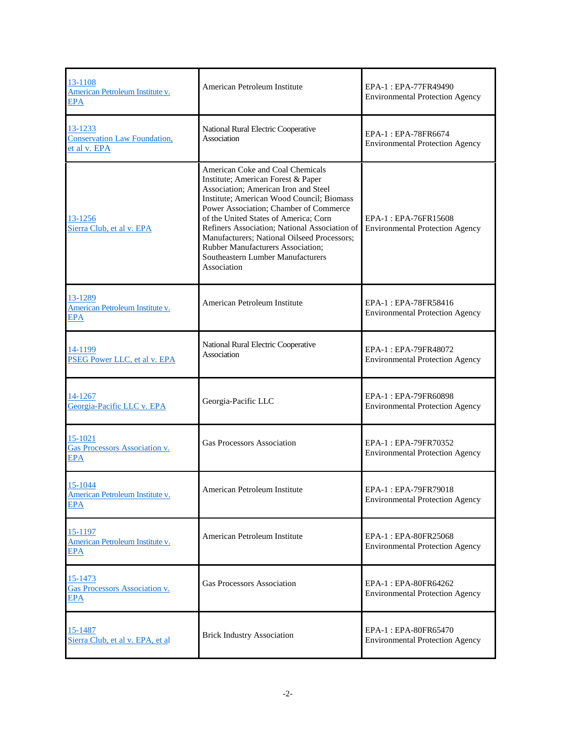| 13-1108<br>American Petroleum Institute v.<br><b>EPA</b>       | American Petroleum Institute                                                                                                                                                                                                                                                                                                                                                                                                            | EPA-1: EPA-77FR49490<br><b>Environmental Protection Agency</b>  |
|----------------------------------------------------------------|-----------------------------------------------------------------------------------------------------------------------------------------------------------------------------------------------------------------------------------------------------------------------------------------------------------------------------------------------------------------------------------------------------------------------------------------|-----------------------------------------------------------------|
| 13-1233<br><b>Conservation Law Foundation,</b><br>et al v. EPA | National Rural Electric Cooperative<br>Association                                                                                                                                                                                                                                                                                                                                                                                      | EPA-1: EPA-78FR6674<br><b>Environmental Protection Agency</b>   |
| 13-1256<br>Sierra Club, et al v. EPA                           | American Coke and Coal Chemicals<br>Institute; American Forest & Paper<br>Association; American Iron and Steel<br>Institute; American Wood Council; Biomass<br>Power Association; Chamber of Commerce<br>of the United States of America; Corn<br>Refiners Association; National Association of<br>Manufacturers; National Oilseed Processors;<br>Rubber Manufacturers Association;<br>Southeastern Lumber Manufacturers<br>Association | EPA-1 : EPA-76FR15608<br><b>Environmental Protection Agency</b> |
| 13-1289<br>American Petroleum Institute v.<br>EPA              | American Petroleum Institute                                                                                                                                                                                                                                                                                                                                                                                                            | EPA-1: EPA-78FR58416<br><b>Environmental Protection Agency</b>  |
| 14-1199<br>PSEG Power LLC, et al v. EPA                        | National Rural Electric Cooperative<br>Association                                                                                                                                                                                                                                                                                                                                                                                      | EPA-1: EPA-79FR48072<br><b>Environmental Protection Agency</b>  |
| 14-1267<br>Georgia-Pacific LLC v. EPA                          | Georgia-Pacific LLC                                                                                                                                                                                                                                                                                                                                                                                                                     | EPA-1: EPA-79FR60898<br><b>Environmental Protection Agency</b>  |
| 15-1021<br>Gas Processors Association v.<br><b>EPA</b>         | <b>Gas Processors Association</b>                                                                                                                                                                                                                                                                                                                                                                                                       | EPA-1: EPA-79FR70352<br><b>Environmental Protection Agency</b>  |
| 15-1044<br>American Petroleum Institute v.<br><b>EPA</b>       | American Petroleum Institute                                                                                                                                                                                                                                                                                                                                                                                                            | EPA-1: EPA-79FR79018<br><b>Environmental Protection Agency</b>  |
| 15-1197<br>American Petroleum Institute v.<br><b>EPA</b>       | American Petroleum Institute                                                                                                                                                                                                                                                                                                                                                                                                            | EPA-1: EPA-80FR25068<br><b>Environmental Protection Agency</b>  |
| 15-1473<br>Gas Processors Association v.<br><u>EPA</u>         | <b>Gas Processors Association</b>                                                                                                                                                                                                                                                                                                                                                                                                       | EPA-1: EPA-80FR64262<br><b>Environmental Protection Agency</b>  |
| 15-1487<br>Sierra Club, et al v. EPA, et al                    | <b>Brick Industry Association</b>                                                                                                                                                                                                                                                                                                                                                                                                       | EPA-1: EPA-80FR65470<br><b>Environmental Protection Agency</b>  |